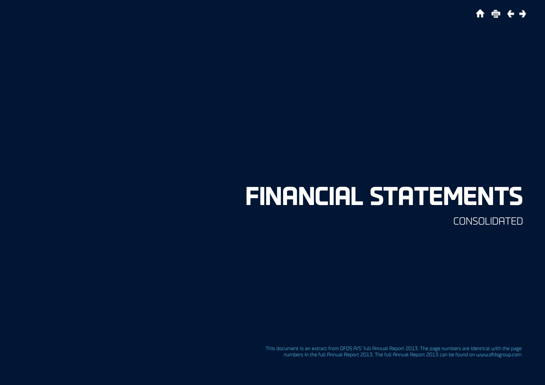**合 亩 在 4** 

# **Financial statements**

**CONSOLIDATED** 

This document is an extract from DFDS A/S' full Annual Report 2013. The page numbers are identical with the page numbers in the full Annual Report 2013. The full Annual Report 2013 can be found on www.dfdsgroup.com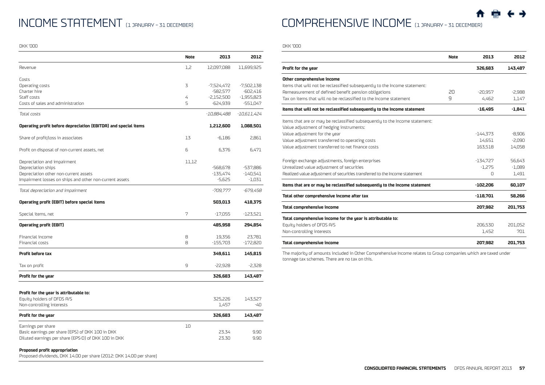## INCOME STATEMENT (1 JANUARY - 31 DECEMBER)

DKK '000

|                                                                                                      | <b>Note</b> | 2013         | 2012         |
|------------------------------------------------------------------------------------------------------|-------------|--------------|--------------|
| Revenue                                                                                              | 1,2         | 12,097,088   | 11,699,925   |
| Costs                                                                                                |             |              |              |
| Operating costs                                                                                      | 3           | $-7,524,472$ | $-7,502,138$ |
| Charter hire                                                                                         |             | -582,577     | -602,416     |
| Staff costs                                                                                          | 4           | $-2,152,500$ | $-1,955,823$ |
| Costs of sales and administration                                                                    | 5           | $-624,939$   | -551,047     |
| Total costs                                                                                          |             | -10,884,488  | -10,611,424  |
| Operating profit before depreciation (EBITDA) and special items                                      |             | 1,212,600    | 1,088,501    |
| Share of profit/loss in associates                                                                   | 13          | $-6,186$     | 2,861        |
| Profit on disposal of non-current assets, net                                                        | 6           | 6,376        | 6,471        |
| Depreciation and impairment                                                                          | 11,12       |              |              |
| Depreciation ships                                                                                   |             | $-568,678$   | -537,886     |
| Depreciation other non-current assets                                                                |             | $-135,474$   | $-140,541$   |
| Impairment losses on ships and other non-current assets                                              |             | $-5,625$     | -1,031       |
| Total depreciation and impairment                                                                    |             | -709,777     | -679,458     |
| Operating profit (EBIT) before special items                                                         |             | 503,013      | 418,375      |
| Special items, net                                                                                   | 7           | -17,055      | -123,521     |
| <b>Operating profit (EBIT)</b>                                                                       |             | 485,958      | 294,854      |
| Financial income                                                                                     | 8           | 19,356       | 23,781       |
| Financial costs                                                                                      | 8           | $-155,703$   | $-172,820$   |
| Profit before tax                                                                                    |             | 349,611      | 145,815      |
| Tax on profit                                                                                        | 9           | $-22,928$    | $-2,328$     |
| Profit for the year                                                                                  |             | 326,683      | 143,487      |
| Profit for the year is attributable to:                                                              |             |              |              |
| Equity holders of DFDS A/S                                                                           |             | 325,226      | 143,527      |
| Non-controlling interests                                                                            |             | 1,457        | -40          |
| Profit for the year                                                                                  |             | 326,683      | 143,487      |
| Earnings per share                                                                                   | 10          |              |              |
| Basic earnings per share (EPS) of DKK 100 in DKK                                                     |             | 23.34        | 9.90         |
| Diluted earnings per share (EPS-D) of DKK 100 in DKK                                                 |             | 23.30        | 9.90         |
| Proposed profit appropriation<br>Proposed dividends. DKK 14.00 per share (2012: DKK 14.00 per share) |             |              |              |

Comprehensive income (1 January – 31 December)

DKK '000

 $\overline{\phantom{a}}$ 

|                                                                             | <b>Note</b> | 2013       | 2012     |
|-----------------------------------------------------------------------------|-------------|------------|----------|
| Profit for the year                                                         |             | 326,683    | 143,487  |
| Other comprehensive income                                                  |             |            |          |
| Items that will not be reclassified subsequently to the Income statement:   |             |            |          |
| Remeasurement of defined benefit pension obligations                        | 20          | $-20.957$  | $-2,988$ |
| Tax on items that will no be reclassified to the Income statement           | 9           | 4,462      | 1,147    |
| Items that will not be reclassified subsequently to the Income statement    |             | $-16,495$  | $-1,841$ |
| Items that are or may be reclassified subsequently to the Income statement: |             |            |          |
| Value adjustment of hedging instruments:                                    |             |            |          |
| Value adjustment for the year                                               |             | $-144.373$ | $-8,906$ |
| Value adjustment transferred to operating costs                             |             | 14,651     | $-2,090$ |
| Value adjustment transferred to net finance costs                           |             | 163.518    | 14,058   |
| Foreign exchange adjustments, foreign enterprises                           |             | $-134.727$ | 56,643   |
| Unrealized value adjustment of securities                                   |             | $-1.275$   | $-1,089$ |
| Realized value adjustment of securities transferred to the Income statement |             | $\Omega$   | 1,491    |
| Items that are or may be reclassified subsequently to the Income statement  |             | $-102,206$ | 60,107   |
| Total other comprehensive income after tax                                  |             | $-118,701$ | 58,266   |
| Total comprehensive income                                                  |             | 207.982    | 201,753  |
| Total comprehensive income for the year is attributable to:                 |             |            |          |
| Equity holders of DFDS A/S                                                  |             | 206,530    | 201,052  |
| Non-controlling interests                                                   |             | 1,452      | 701      |
| Total comprehensive income                                                  |             | 207.982    | 201.753  |

The majority of amounts included in Other Comprehensive Income relates to Group companies which are taxed under tonnage tax schemes. There are no tax on this.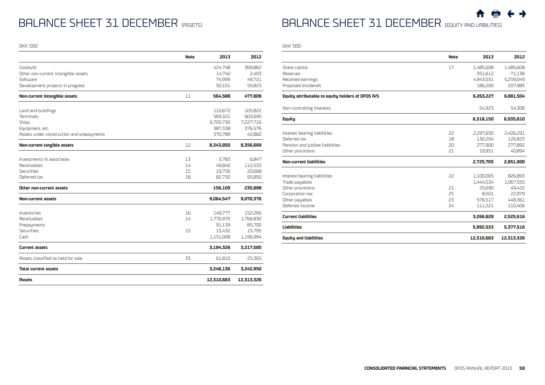## BALANCE SHEET 31 DECEMBER (ASSETS)

DKK '000

BALANCE SHEET 31 DECEMBER (EQUITY AND LIABILITIES)

DKK '000

|                                           | <b>Note</b> | 2013       | 2012       |
|-------------------------------------------|-------------|------------|------------|
| Goodwill                                  |             | 424,748    | 369,862    |
| Other non-current intangible assets       |             | 14,740     | 2,403      |
| Software                                  |             | 74,999     | 49,721     |
| Development projects in progress          |             | 50,101     | 55,823     |
| Non-current intangible assets             | 11          | 564,588    | 477,809    |
| Land and buildings                        |             | 110,672    | 105,822    |
| Terminals                                 |             | 569,321    | 603,695    |
| Ships                                     |             | 6,705,730  | 7,227,716  |
| Equipment, etc.                           |             | 387,338    | 376,576    |
| Assets under construction and prepayments |             | 570,789    | 42,860     |
| Non-current tangible assets               | 12          | 8,343,850  | 8,356,669  |
|                                           |             |            |            |
| Investments in associates                 | 13          | 3,783      | 6,847      |
| Receivables                               | 14          | 49,840     | 112,533    |
| Securities                                | 15          | 19,756     | 20,668     |
| Deferred tax                              | 18          | 82,730     | 95,850     |
| Other non-current assets                  |             | 156,109    | 235,898    |
| <b>Non-current assets</b>                 |             | 9,064,547  | 9,070,376  |
| Inventories                               | 16          | 149,777    | 152,266    |
| Receivables                               | 14          | 1,776,970  | 1,766,830  |
| Prepayments                               |             | 91,139     | 85,700     |
| Securities                                | 15          | 15,432     | 15,795     |
| Cash                                      |             | 1,151,008  | 1,196,994  |
| <b>Current assets</b>                     |             | 3,184,326  | 3,217,585  |
| Assets classified as held for sale        | 33          | 61,810     | 25,365     |
| <b>Total current assets</b>               |             | 3,246,136  | 3,242,950  |
| Assets                                    |             | 12,310,683 | 12,313,326 |

|                                                   | <b>Note</b> | 2013                   | 2012                 |
|---------------------------------------------------|-------------|------------------------|----------------------|
| Share capital                                     | 17          | 1,485,608              | 1,485,608            |
| Reserves                                          |             | $-351,612$             | $-71,138$            |
| Retained earnings                                 |             | 4,943,031              | 5,259,049            |
| Proposed dividends                                |             | 186,200                | 207,985              |
| Equity attributable to equity holders of DFDS A/S |             | 6,263,227              | 6,881,504            |
| Non-controlling interests                         |             | 54.923                 | 54,306               |
| <b>Equity</b>                                     |             | 6,318,150              | 6,935,810            |
|                                                   | 22          |                        |                      |
| Interest bearing liabilities<br>Deferred tax      | 18          | 2,297,650<br>130.204   | 2,406,291<br>126,823 |
| Pension and jubilee liabilities                   | 20          | 277,900                | 277,892              |
| Other provisions                                  | 21          | 19,951                 | 40,894               |
| <b>Non-current liabilities</b>                    |             | 2,725,705              | 2,851,900            |
|                                                   | 22          |                        |                      |
| Interest bearing liabilities<br>Trade payables    |             | 1,100,065<br>1,444,534 | 826,893<br>1,067,555 |
| Other provisions                                  | 21          | 25.690                 | 49,422               |
| Corporation tax                                   | 25          | 8,501                  | 22,979               |
| Other payables                                    | 23          | 576,517                | 448,361              |
| Deferred income                                   | 24          | 111,521                | 110,406              |
| <b>Current liabilities</b>                        |             | 3,266,828              | 2,525,616            |
| Liabilities                                       |             | 5,992,533              | 5,377,516            |
| <b>Equity and liabilities</b>                     |             | 12.310.683             | 12.313.326           |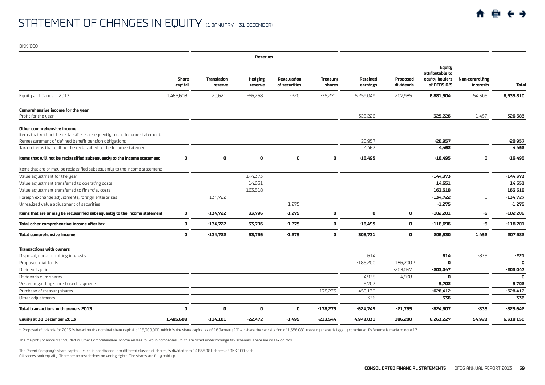|                                                                                                         |                  |                               | <b>Reserves</b>           |                              |                           |                      |                       |                                                                   |                                     |              |
|---------------------------------------------------------------------------------------------------------|------------------|-------------------------------|---------------------------|------------------------------|---------------------------|----------------------|-----------------------|-------------------------------------------------------------------|-------------------------------------|--------------|
|                                                                                                         | Share<br>capital | <b>Translation</b><br>reserve | <b>Hedging</b><br>reserve | Revaluation<br>of securities | <b>Treasury</b><br>shares | Retained<br>earnings | Proposed<br>dividends | <b>Equity</b><br>attributable to<br>equity holders<br>of DFDS A/S | <b>Non-controlling</b><br>interests | <b>Total</b> |
| Equity at 1 January 2013<br>1,485,608                                                                   |                  | 20,621                        | $-56,268$                 | $-220$                       | $-35,271$                 | 5,259,049            | 207,985               | 6,881,504                                                         | 54,306                              | 6,935,810    |
| Comprehensive income for the year<br>Profit for the year                                                |                  |                               |                           |                              |                           | 325,226              |                       | 325,226                                                           | 1,457                               | 326,683      |
| Other comprehensive income<br>Items that will not be reclassified subsequently to the Income statement: |                  |                               |                           |                              |                           |                      |                       |                                                                   |                                     |              |
| Remeasurement of defined benefit pension obligations                                                    |                  |                               |                           |                              |                           | $-20,957$            |                       | -20,957                                                           |                                     | -20,957      |
| Tax on items that will not be reclassified to the Income statement                                      |                  |                               |                           |                              |                           | 4,462                |                       | 4,462                                                             |                                     | 4,462        |
| Items that will not be reclassified subsequently to the Income statement                                | $\mathbf 0$      | 0                             | 0                         | 0                            | 0                         | $-16,495$            |                       | $-16,495$                                                         | $\Omega$                            | $-16,495$    |
| Items that are or may be reclassified subsequently to the Income statement:                             |                  |                               |                           |                              |                           |                      |                       |                                                                   |                                     |              |
| Value adjustment for the year                                                                           |                  |                               | $-144,373$                |                              |                           |                      |                       | $-144,373$                                                        |                                     | $-144,373$   |
| Value adjustment transferred to operating costs                                                         |                  |                               | 14,651                    |                              |                           |                      |                       | 14,651                                                            |                                     | 14,651       |
| Value adjustment transferred to financial costs                                                         |                  |                               | 163,518                   |                              |                           |                      |                       | 163.518                                                           |                                     | 163.518      |
| Foreign exchange adjustments, foreign enterprises                                                       |                  | $-134,722$                    |                           |                              |                           |                      |                       | $-134,722$                                                        | $-5$                                | $-134,727$   |
| Unrealized value adjustment of securities                                                               |                  |                               |                           | $-1,275$                     |                           |                      |                       | $-1,275$                                                          |                                     | $-1,275$     |
| Items that are or may be reclassified subsequently to the Income statement                              | 0                | $-134,722$                    | 33,796                    | $-1,275$                     | 0                         | 0                    | $\mathbf{0}$          | $-102,201$                                                        | -5                                  | $-102,206$   |
| Total other comprehensive income after tax                                                              | $\mathbf 0$      | $-134,722$                    | 33,796                    | $-1,275$                     | 0                         | $-16,495$            | 0                     | $-118,696$                                                        | -5                                  | $-118,701$   |
| <b>Total comprehensive income</b>                                                                       | $\mathbf 0$      | $-134,722$                    | 33,796                    | $-1,275$                     | 0                         | 308,731              | 0                     | 206,530                                                           | 1,452                               | 207,982      |
| <b>Transactions with owners</b>                                                                         |                  |                               |                           |                              |                           |                      |                       |                                                                   |                                     |              |
| Disposal, non-controlling interests                                                                     |                  |                               |                           |                              |                           | 614                  |                       | 614                                                               | $-835$                              | $-221$       |
| Proposed dividends                                                                                      |                  |                               |                           |                              |                           | $-186,200$           | 186,200 1             | $\mathbf 0$                                                       |                                     | 0            |
| Dividends paid                                                                                          |                  |                               |                           |                              |                           |                      | $-203,047$            | $-203,047$                                                        |                                     | $-203,047$   |
| Dividends own shares                                                                                    |                  |                               |                           |                              |                           | 4,938                | $-4,938$              | 0                                                                 |                                     | 0            |
| Vested regarding share-based payments                                                                   |                  |                               |                           |                              |                           | 5,702                |                       | 5,702                                                             |                                     | 5,702        |
| Purchase of treasury shares                                                                             |                  |                               |                           |                              | $-178,273$                | $-450,139$           |                       | $-628,412$                                                        |                                     | $-628,412$   |
| Other adjustments                                                                                       |                  |                               |                           |                              |                           | 336                  |                       | 336                                                               |                                     | 336          |
| Total transactions with owners 2013                                                                     | 0                | 0                             | 0                         | 0                            | $-178,273$                | -624,749             | $-21,785$             | $-824,807$                                                        | $-835$                              | -825,642     |
| Equity at 31 December 2013<br>1,485,608                                                                 |                  | $-114.101$                    | $-22.472$                 | $-1,495$                     | $-213,544$                | 4.943.031            | 186,200               | 6.263.227                                                         | 54.923                              | 6.318.150    |

<sup>1</sup> Proposed dividends for 2013 is based on the nominal share capital of 13,300,000, which is the share capital as of 16 January 2014, where the cancellation of 1,556,081 treasury shares is legally completed. Reference is

The majority of amounts included in Other Comprehensive Income relates to Group companies which are taxed under tonnage tax schemes. There are no tax on this.

The Parent Company's share capital, which is not divided into different classes of shares, is divided into 14,856,081 shares of DKK 100 each. All shares rank equally. There are no restrictions on voting rights. The shares are fully paid up.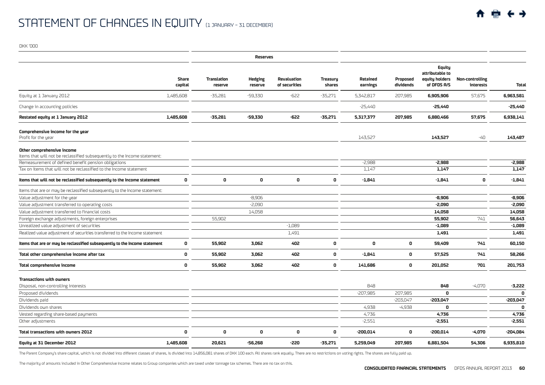|                                                                                                         |                         |                        | <b>Reserves</b>           |                                     |                           |                      |                       |                                                            |                                     |              |
|---------------------------------------------------------------------------------------------------------|-------------------------|------------------------|---------------------------|-------------------------------------|---------------------------|----------------------|-----------------------|------------------------------------------------------------|-------------------------------------|--------------|
|                                                                                                         | <b>Share</b><br>capital | Translation<br>reserve | <b>Hedging</b><br>reserve | <b>Revaluation</b><br>of securities | <b>Treasury</b><br>shares | Retained<br>earnings | Proposed<br>dividends | Equity<br>attributable to<br>equity holders<br>of DFDS A/S | <b>Non-controlling</b><br>interests | <b>Total</b> |
| Equity at 1 January 2012                                                                                | 1,485,608               | $-35,281$              | $-59,330$                 | $-622$                              | $-35,271$                 | 5,342,817            | 207,985               | 6,905,906                                                  | 57,675                              | 6,963,581    |
| Change in accounting policies                                                                           |                         |                        |                           |                                     |                           | $-25,440$            |                       | $-25,440$                                                  |                                     | -25,440      |
| Restated equity at 1 January 2012                                                                       | 1,485,608               | $-35,281$              | $-59,330$                 | -622                                | $-35,271$                 | 5,317,377            | 207,985               | 6,880,466                                                  | 57,675                              | 6,938,141    |
| Comprehensive income for the year<br>Profit for the year                                                |                         |                        |                           |                                     |                           | 143,527              |                       | 143,527                                                    | -40                                 | 143,487      |
| Other comprehensive income<br>Items that will not be reclassified subsequently to the Income statement: |                         |                        |                           |                                     |                           |                      |                       |                                                            |                                     |              |
| Remeasurement of defined benefit pension obligations                                                    |                         |                        |                           |                                     |                           | $-2,988$             |                       | $-2,988$                                                   |                                     | $-2,988$     |
| Tax on items that will not be reclassified to the Income statement                                      |                         |                        |                           |                                     |                           | 1,147                |                       | 1,147                                                      |                                     | 1,147        |
| Items that will not be reclassified subsequently to the Income statement                                | 0                       | 0                      | $\mathbf 0$               | 0                                   | 0                         | $-1,841$             |                       | $-1,841$                                                   | 0                                   | $-1,841$     |
| Items that are or may be reclassified subsequently to the Income statement:                             |                         |                        |                           |                                     |                           |                      |                       |                                                            |                                     |              |
| Value adjustment for the year                                                                           |                         |                        | $-8.906$                  |                                     |                           |                      |                       | $-8.906$                                                   |                                     | $-8,906$     |
| Value adjustment transferred to operating costs                                                         |                         |                        | $-2,090$                  |                                     |                           |                      |                       | $-2,090$                                                   |                                     | $-2,090$     |
| Value adjustment transferred to financial costs                                                         |                         |                        | 14,058                    |                                     |                           |                      |                       | 14,058                                                     |                                     | 14,058       |
| Foreign exchange adjustments, foreign enterprises                                                       |                         | 55,902                 |                           |                                     |                           |                      |                       | 55,902                                                     | 741                                 | 56,643       |
| Unrealized value adjustment of securities                                                               |                         |                        |                           | $-1,089$                            |                           |                      |                       | $-1,089$                                                   |                                     | $-1,089$     |
| Realized value adjustment of securities transferred to the Income statement                             |                         |                        |                           | 1,491                               |                           |                      |                       | 1,491                                                      |                                     | 1,491        |
| Items that are or may be reclassified subsequently to the Income statement                              | 0                       | 55,902                 | 3,062                     | 402                                 | 0                         | 0                    | 0                     | 59,409                                                     | 741                                 | 60,150       |
| Total other comprehensive income after tax                                                              | 0                       | 55,902                 | 3,062                     | 402                                 | $\mathbf{0}$              | $-1,841$             | 0                     | 57,525                                                     | 741                                 | 58,266       |
| Total comprehensive income                                                                              | 0                       | 55,902                 | 3.062                     | 402                                 | $\mathbf{0}$              | 141,686              | 0                     | 201,052                                                    | 701                                 | 201,753      |
| Transactions with owners                                                                                |                         |                        |                           |                                     |                           |                      |                       |                                                            |                                     |              |
| Disposal, non-controlling interests                                                                     |                         |                        |                           |                                     |                           | 848                  |                       | 848                                                        | $-4,070$                            | $-3,222$     |
| Proposed dividends                                                                                      |                         |                        |                           |                                     |                           | $-207,985$           | 207,985               | 0                                                          |                                     | 0            |
| Dividends paid                                                                                          |                         |                        |                           |                                     |                           |                      | $-203,047$            | $-203,047$                                                 |                                     | $-203,047$   |
| Dividends own shares                                                                                    |                         |                        |                           |                                     |                           | 4.938                | $-4,938$              | 0                                                          |                                     | $\Omega$     |
| Vested regarding share-based payments                                                                   |                         |                        |                           |                                     |                           | 4,736                |                       | 4,736                                                      |                                     | 4,736        |
| Other adjustments                                                                                       |                         |                        |                           |                                     |                           | $-2,551$             |                       | $-2,551$                                                   |                                     | $-2,551$     |
| Total transactions with owners 2012                                                                     | 0                       | 0                      | $\mathbf 0$               | 0                                   | 0                         | $-200,014$           | 0                     | -200,014                                                   | $-4,070$                            | -204,084     |
| Equity at 31 December 2012                                                                              | 1,485,608               | 20,621                 | $-56.268$                 | -220                                | $-35,271$                 | 5,259,049            | 207,985               | 6.881.504                                                  | 54,306                              | 6.935.810    |

The Parent Company's share capital, which is not divided into different classes of shares, is divided into 14,856,081 shares of DKK 100 each. All shares rank equally. There are no restrictions on voting rights. The shares

The majority of amounts included in Other Comprehensive Income relates to Group companies which are taxed under tonnage tax schemes. There are no tax on this.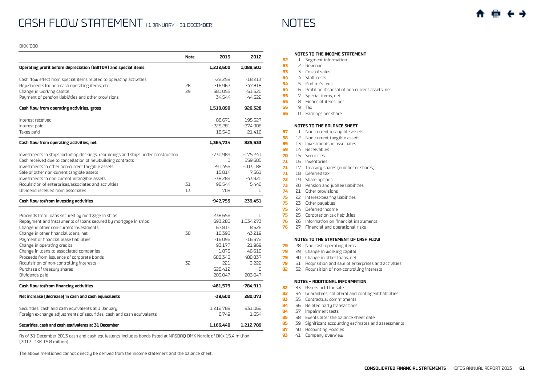|                                                                                   | <b>Note</b> | 2013       | 2012         |
|-----------------------------------------------------------------------------------|-------------|------------|--------------|
| Operating profit before depreciation (EBITDA) and special items                   |             | 1,212,600  | 1,088,501    |
| Cash flow effect from special items related to operating activities               |             | -22,259    | -18,213      |
| Adjustments for non-cash operating items, etc.                                    | 28          | $-16,962$  | -47,818      |
| Change in working capital                                                         | 29          | 381,055    | $-51,520$    |
| Payment of pension liabilities and other provisions                               |             | -34,544    | $-44.622$    |
| Cash flow from operating activities, gross                                        |             | 1,519,890  | 926,328      |
| Interest received                                                                 |             | 88,671     | 195,527      |
| Interest paid                                                                     |             | $-225,281$ | $-274,906$   |
| Taxes paid                                                                        |             | $-18,546$  | $-21,416$    |
| Cash flow from operating activities, net                                          |             | 1,364,734  | 825,533      |
| Investments in ships including dockings, rebuildings and ships under construction |             | -730.989   | $-175.241$   |
| Cash received due to cancellation of newbuilding contracts                        |             | $\Omega$   | 559.685      |
| Investments in other non-current tangible assets                                  |             | $-91.455$  | $-103.188$   |
| Sale of other non-current tangible assets                                         |             | 15,814     | 7,561        |
| Investments in non-current intangible assets                                      |             | $-38,289$  | $-43,920$    |
| Acquisition of enterprises/associates and activities                              | 31          | $-98,544$  | $-5,446$     |
| Dividend received from associates                                                 | 13          | 708        | $\Omega$     |
| Cash flow to/from investing activities                                            |             | -942,755   | 239,451      |
| Proceeds from loans secured by mortgage in ships                                  |             | 238,656    | 0            |
| Repayment and instalments of loans secured by mortgage in ships                   |             | $-693,280$ | $-1,034,273$ |
| Change in other non-current investments                                           |             | 67,814     | 8,526        |
| Change in other financial loans, net                                              | 30          | $-10,393$  | 43,219       |
| Payment of financial lease liabilities                                            |             | $-16,096$  | $-16,372$    |
| Change in operating credits                                                       |             | 93.177     | $-21.969$    |
| Change in loans to associated companies                                           |             | 1,875      | $-46,610$    |
| Proceeds from issuance of corporate bonds                                         |             | 688.348    | 488,837      |
| Acquisition of non-controlling interests                                          | 32          | -221       | $-3.222$     |
| Purchase of treasury shares                                                       |             | $-628.412$ | U            |
| Dividends paid                                                                    |             | $-203.047$ | -203.047     |
| Cash flow to/from financing activities                                            |             | $-461,579$ | $-784,911$   |
| Net increase (decrease) in cash and cash equivalents                              |             | $-39,600$  | 280,073      |
| Securities, cash and cash equivalents at 1 January                                |             | 1,212,789  | 931,062      |
| Foreign exchange adjustments of securities, cash and cash equivalents             |             | $-6,749$   | 1.654        |
|                                                                                   |             |            |              |

As of 31 December 2013 cash and cash equivalents includes bonds listed at NASDAQ OMX Nordic of DKK 15.4 million (2012: DKK 15.8 million).

The above mentioned cannot directly be derived from the income statement and the balance sheet.

## **Notes to the Income statement**

- **62** 1 [Segment information](#page-6-0)
- **63** 2 [Revenue](#page-7-0)
- **63** 3 [Cost of sales](#page-7-0)
- **64** 4 [Staff costs](#page-8-0)
- **64** 5 [Auditor's fees](#page-8-0)
- **64** 6 [Profit on disposal of non-current assets, net](#page-8-0)
- **65** 7 [Special items, net](#page-9-0)
- **65** 8 [Financial items, net](#page-9-0)
- **66** 9 [Tax](#page-10-0)
- **66** 10 [Earnings per share](#page-10-0)

#### **Notes to the Balance Sheet**

- **67** 11 [Non-current intangible assets](#page-11-0)
- **68** 12 [Non-current tangible assets](#page-12-0)
- **69** 13 [Investments in associates](#page-13-0)
- **69** 14 [Receivables](#page-13-0)
- **70** 15 [Securities](#page-14-0)
- **71** 16 [Inventories](#page-15-0)
- **71** 17 [Treasury shares \(number of shares\)](#page-15-0)
- **71** 18 [Deferred tax](#page-15-0)
- **72** 19 [Share options](#page-15-0)
- **73** 20 [Pension and jubilee liabilities](#page-17-0)
- **74** 21 [Other provisions](#page-18-0)
- **75** 22 [Interest-bearing liabilities](#page-19-0)
- **75** 23 [Other payables](#page-19-0)
- **75** 24 [Deferred income](#page-19-0)
- **75** 25 [Corporation tax liabilities](#page-19-0)
- **76** 26 [Information on financial instruments](#page-20-0)
- **76** 27 [Financial and operational risks](#page-20-0)

#### **Notes to the Statement of Cash Flow**

- **79** 28 [Non-cash operating items](#page-23-0)
- **79** 29 [Change in working capital](#page-23-0)
- **79** 30 [Change in other loans, net](#page-23-0)
- **79** 31 [Acquisition and sale of enterprises and activities](#page-23-0)
- **82** 32 [Acquisition of non-controlling interests](#page-26-0)

### **Notes – Additional information**

- **82** 33 [Assets held for sale](#page-26-0)
- **82** 34 [Guarantees, collateral and contingent liabilities](#page-26-0)
- **83** 35 [Contractual commitments](#page-27-0)
- **84** 36 [Related party transactions](#page-28-0)
- **84** 37 [Impairment tests](#page-28-0)
- **85** 38 [Events after the balance sheet date](#page-29-0)
- **85** 39 [Significant accounting estimates and assessments](#page-29-0)
- **87** 40 [Accounting Policies](#page-31-0)
- **93** 41 [Company overview](#page-37-0)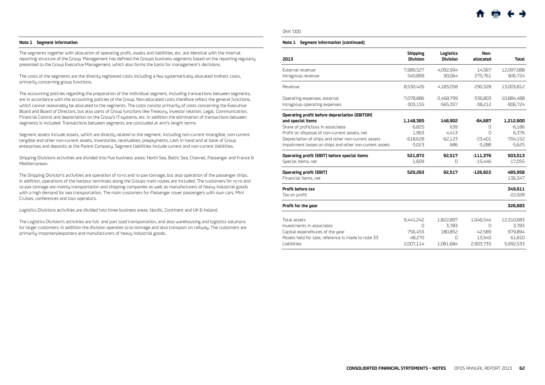#### <span id="page-6-0"></span>**Note 1 Segment information**

The segments together with allocation of operating profit, assets and liabilities, etc. are identical with the internal reporting structure of the Group. Management has defined the Groups business segments based on the reporting regularly presented to the Group Executive Management, which also forms the basis for management's decisions.

The costs of the segments are the directly registered costs including a few systematically allocated indirect costs, primarily concerning group functions.

The accounting policies regarding the preparation of the individual segment, including transactions between segments, are in accordance with the accounting policies of the Group. Non-allocated costs therefore reflect the general functions, which cannot reasonably be allocated to the segments. The costs consist primarily of costs concerning the Executive Board and Board of Directors, but also parts of Group functions like Treasury, Investor relation, Legal, Communication, Financial Control and depreciation on the Group's IT-systems, etc. In addition the elimination of transactions between segments is included. Transactions between segments are concluded at arm's length terms.

Segment assets include assets, which are directly related to the segment, including non-current intangible, non-current tangible and other non-current assets, inventories, receivables, prepayments, cash in hand and at bank of Group enterprises and deposits at the Parent Company. Segment liabilities include current and non-current liabilities.

Shipping Divisions activities are divided into five business areas: North Sea, Baltic Sea, Channel, Passenger and France & Mediterranean.

The Shipping Division's activities are operation of ro-ro and ro-pax tonnage, but also operation of the passenger ships. In addition, operations of the harbour terminals along the Groups main routes are included. The customers for ro-ro and ro-pax tonnage are mainly transportation and shipping companies as well as manufacturers of heavy industrial goods with a high demand for sea transportation. The main customers for Passenger cover passengers with own cars, Mini Cruises, conferences and tour operators.

Logistics Divisions activities are divided into three business areas: Nordic, Continent and UK & Ireland.

The Logistics Division's activities are full- and part load transportation, and also warehousing and logistics solutions for larger customers. In addition the division operates lo-lo tonnage and also transport on railway. The customers are primarily importers/exporters and manufacturers of heavy industrial goods.

#### DKK '000

#### **Note 1 Segment information (continued)**

| 2013                                                    | <b>Shipping</b><br><b>Division</b> | Logistics<br><b>Division</b> | Non-<br>allocated | <b>Total</b>  |
|---------------------------------------------------------|------------------------------------|------------------------------|-------------------|---------------|
|                                                         |                                    |                              |                   |               |
| External revenue                                        | 7,989,527                          | 4,092,994                    | 14,567            | 12,097,088    |
| Intragroup revenue                                      | 540,899                            | 90,064                       | 275,761           | 906,724       |
| Revenue                                                 | 8,530,426                          | 4,183,058                    | 290,328           | 13,003,812    |
| Operating expenses, external                            | $-7,078,886$                       | $-3,468,799$                 | $-336,803$        | $-10,884,488$ |
| Intragroup operating expenses                           | $-303,155$                         | -565,357                     | $-38,212$         | $-906,724$    |
| Operating profit before depreciation (EBITDA)           |                                    |                              |                   |               |
| and special items                                       | 1,148,385                          | 148,902                      | $-84,687$         | 1,212,600     |
| Share of profit/loss in associates                      | $-6,825$                           | 639                          | 0                 | $-6,186$      |
| Profit on disposal of non-current assets, net           | 1,963                              | 4,413                        | $\Omega$          | 6,376         |
| Depreciation of ships and other non-current assets      | $-618,628$                         | $-62,123$                    | $-23,401$         | $-704,152$    |
| Impairment losses on ships and other non-current assets | $-3,023$                           | 686                          | $-3,288$          | $-5,625$      |
| Operating profit (EBIT) before special items            | 521,872                            | 92.517                       | $-111.376$        | 503,013       |
| Special items, net                                      | $-1.609$                           | 0                            | $-15,446$         | $-17,055$     |
| <b>Operating profit (EBIT)</b>                          | 520,263                            | 92,517                       | $-126.822$        | 485,958       |
| Financial items, net                                    |                                    |                              |                   | $-136,347$    |
| Profit before tax                                       |                                    |                              |                   | 349,611       |
| Tax on profit                                           |                                    |                              |                   | $-22,928$     |
| Profit for the year                                     |                                    |                              |                   | 326,683       |
|                                                         |                                    |                              |                   |               |
| Total assets                                            | 9,441,242                          | 1,822,897                    | 1,046,544         | 12,310,683    |
| Investments in associates                               | $\Omega$                           | 3.783                        | Ω                 | 3,783         |
| Capital expenditures of the year                        | 756,453                            | 180,852                      | 42,589            | 979,894       |
| Assets held for sale, reference is made to note 33      | 48,270                             | O                            | 13,540            | 61,810        |
| Liabilities                                             | 2.007.114                          | 1,081,684                    | 2.903.735         | 5.992.533     |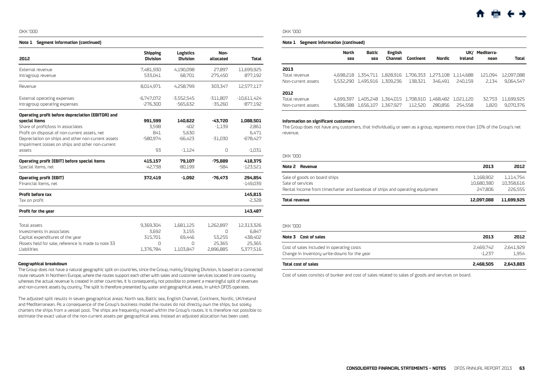#### <span id="page-7-0"></span>**Note 1 Segment information (continued)**

| 2012                                               | <b>Shipping</b><br><b>Division</b> | Logistics<br><b>Division</b> | Non-<br>allocated | <b>Total</b>          |
|----------------------------------------------------|------------------------------------|------------------------------|-------------------|-----------------------|
| External revenue<br>Intragroup revenue             | 7,481,930<br>533,041               | 4,190,098<br>68,701          | 27,897<br>275,450 | 11,699,925<br>877,192 |
| Revenue                                            | 8,014,971                          | 4,258,799                    | 303,347           | 12,577,117            |
| External operating expenses                        | $-6,747,072$                       | $-3,552,545$                 | $-311,807$        | $-10,611,424$         |
| Intragroup operating expenses                      | $-276,300$                         | -565,632                     | $-35,260$         | $-877,192$            |
| Operating profit before depreciation (EBITDA) and  |                                    |                              |                   |                       |
| special items                                      | 991,599                            | 140,622                      | $-43.720$         | 1,088,501             |
| Share of profit/loss in associates                 | 3.598                              | 402                          | $-1,139$          | 2,861                 |
| Profit on disposal of non-current assets, net      | 841                                | 5,630                        |                   | 6,471                 |
| Depreciation on ships and other non-current assets | -580,974                           | $-66,423$                    | $-31,030$         | $-678,427$            |
| Impairment losses on ships and other non-current   |                                    |                              |                   |                       |
| assets                                             | 93                                 | $-1,124$                     | 0                 | $-1,031$              |
| Operating profit (EBIT) before special items       | 415,157                            | 79,107                       | $-75.889$         | 418,375               |
| Special items, net                                 | $-42,738$                          | $-80,199$                    | $-584$            | $-123,521$            |
| <b>Operating profit (EBIT)</b>                     | 372,419                            | $-1,092$                     | $-76,473$         | 294,854               |
| Financial items, net                               |                                    |                              |                   | $-149.039$            |
| Profit before tax                                  |                                    |                              |                   | 145,815               |
| Tax on profit                                      |                                    |                              |                   | $-2,328$              |
| Profit for the year                                |                                    |                              |                   | 143,487               |
| Total assets                                       | 9,369,304                          | 1,681,125                    | 1.262.897         | 12,313,326            |
| Investments in associates                          | 3.692                              | 3.155                        | U                 | 6,847                 |
| Capital expenditures of the year                   | 315,701                            | 69,446                       | 53,255            | 438,402               |
| Assets held for sale, reference is made to note 33 | $\Omega$                           | $\Omega$                     | 25.365            | 25,365                |
| Liabilities                                        | 1,376,784                          | 1,103,847                    | 2.896.885         | 5,377,516             |

#### **Geographical breakdown**

The Group does not have a natural geographic split on countries, since the Group, mainly Shipping Division, is based on a connected route network in Northern Europe, where the routes support each other with sales and customer services located in one country whereas the actual revenue is created in other countries. It is consequently not possible to present a meaningful split of revenues and non-current assets by country. The split is therefore presented by water and geographical areas, in which DFDS operates.

The adjusted split results in seven geographical areas: North sea, Baltic sea, English Channel, Continent, Nordic, UK/Ireland and Mediterranean. As a consequence of the Group's business model the routes do not directly own the ships, but solely charters the ships from a vessel pool. The ships are frequently moved within the Group's routes. It is therefore not possible to estimate the exact value of the non-current assets per geographical area. Instead an adjusted allocation has been used.

#### DKK '000

#### **Note 1 Segment information (continued)**

|                                     | North<br>sea | Baltic<br>sea                 | English<br><b>Channel</b> | Continent | Nordic                                                                 | Ireland | UK/ Mediterra-<br>nean | Total                   |
|-------------------------------------|--------------|-------------------------------|---------------------------|-----------|------------------------------------------------------------------------|---------|------------------------|-------------------------|
| 2013                                |              |                               |                           |           |                                                                        |         |                        |                         |
| Total revenue                       |              |                               |                           |           | 4,698,218 1,354,711 1,828,916 1,706,353 1,273,108 1,114,688            |         | 121.094                | 12,097,088              |
| Non-current assets                  |              | 5,532,290 1,495,916 1,309,236 |                           | 138.321   | 346.491                                                                | 240.159 | 2.134                  | 9.064.547               |
| 2012                                |              |                               |                           |           |                                                                        |         |                        |                         |
| Total revenue<br>Non-current assets |              | 5.396.588 1.656.107 1.367.927 |                           | 112,520   | 4,699,397 1,405,248 1,364,015 1,708,910 1,468,482 1,021,120<br>280.856 | 254.558 | 32.753<br>1,820        | 11,699,925<br>9.070.376 |

#### **Information on significant customers**

The Group does not have any customers, that individually or seen as a group, represents more than 10% of the Group's net revenue.

#### DKK '000

| Note 2 Revenue                                                               | 2013       | 2012       |
|------------------------------------------------------------------------------|------------|------------|
| Sale of goods on board ships                                                 | 1.168.902  | 1.114.754  |
| Sale of services                                                             | 10.680.380 | 10.358.616 |
| Rental income from timecharter and bareboat of ships and operating equipment | 247.806    | 226.555    |
| Total revenue                                                                | 12.097.088 | 11.699.925 |

#### DKK '000

| Note 3 Cost of sales                                                                      | 2013                  | 2012               |
|-------------------------------------------------------------------------------------------|-----------------------|--------------------|
| Cost of sales included in operating costs<br>Change in inventory write-downs for the year | 2.469.742<br>$-1.237$ | 2.641.929<br>1.954 |
| Total cost of sales                                                                       | 2.468.505             | 2.643.883          |

Cost of sales consists of bunker and cost of sales related to sales of goods and services on board.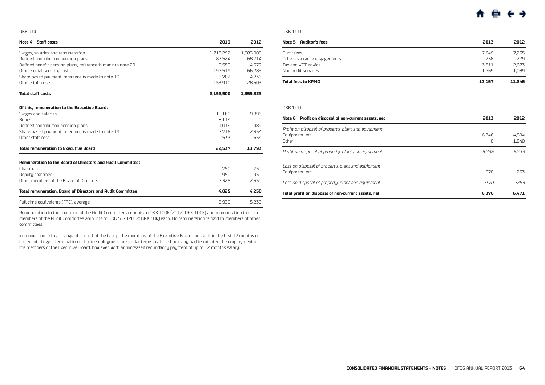<span id="page-8-0"></span>

| Note 4 Staff costs                                                      | 2013            | 2012      |
|-------------------------------------------------------------------------|-----------------|-----------|
| Wages, salaries and remuneration                                        | 1,715,292       | 1,583,008 |
| Defined contribution pension plans                                      | 82,524          | 68.714    |
| Defined benefit pension plans, reference is made to note 20             | 2,553           | 4.577     |
| Other social security costs                                             | 192,519         | 166,285   |
| Share-based payment, reference is made to note 19                       | 5.702           | 4.736     |
| Other staff costs                                                       | 153,910         | 128,503   |
| <b>Total staff costs</b>                                                | 2,152,500       | 1,955,823 |
|                                                                         |                 |           |
| Of this, remuneration to the Executive Board:                           |                 | 9.896     |
| Wages and salaries<br><b>Bonus</b>                                      | 10,160<br>8,114 | n         |
| Defined contribution pension plans                                      | 1.014           | 989       |
| Share-based payment, reference is made to note 19                       | 2,716           | 2,354     |
| Other staff cost                                                        | 533             | 554       |
| <b>Total remuneration to Executive Board</b>                            | 22,537          | 13,793    |
|                                                                         |                 |           |
| Remuneration to the Board of Directors and Audit Committee:<br>Chairman | 750             | 750       |
| Deputy chairmen                                                         | 950             | 950       |
| Other members of the Board of Directors                                 | 2,325           | 2,550     |
| <b>Total remuneration, Board of Directors and Audit Committee</b>       | 4.025           | 4.250     |
| Full time equivalents (FTE), average                                    | 5,930           | 5.239     |

Remuneration to the chairman of the Audit Committee amounts to DKK 100k (2012: DKK 100k) and remuneration to other members of the Audit Committee amounts to DKK 50k (2012: DKK 50k) each. No remuneration is paid to members of other committees.

In connection with a change of control of the Group, the members of the Executive Board can - within the first 12 months of the event - trigger termination of their employment on similar terms as if the Company had terminated the employment of the members of the Executive Board, however, with an increased redundancy payment of up to 12 months salary.

## DKK '000

 $\overline{\phantom{a}}$ 

| Note 5 Auditor's fees       | 2013   | 2012   |
|-----------------------------|--------|--------|
| <b>Audit fees</b>           | 7.649  | 7.255  |
| Other assurance engagements | 238    | 229    |
| Tax and VAT advice          | 3.511  | 2,673  |
| Non-audit services          | 1.769  | 1.089  |
| Total fees to KPMG          | 13.167 | 11.246 |

#### DKK '000

| Note 6 Profit on disposal of non-current assets, net                            | 2013       | 2012           |
|---------------------------------------------------------------------------------|------------|----------------|
| Profit on disposal of property, plant and equipment<br>Equipment, etc.<br>Other | 6.746<br>Ω | 4.894<br>1.840 |
| Profit on disposal of property, plant and equipment                             | 6.746      | 6.734          |
| Loss on disposal of property, plant and equipment<br>Equipment, etc.            | $-370$     | $-263$         |
| Loss on disposal of property, plant and equipment                               | -370       | $-263$         |
| Total profit on disposal of non-current assets, net                             | 6.376      | 6.471          |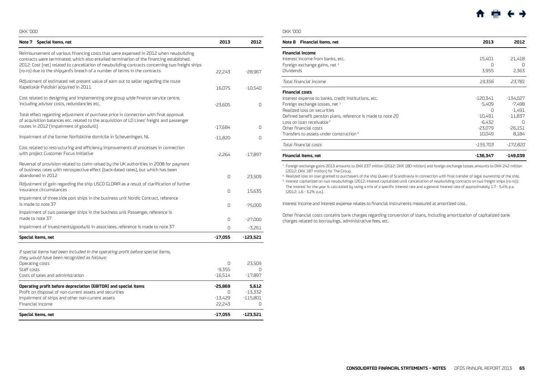<span id="page-9-0"></span>

| Note 7 Special items, net                                                                                                                                                                                                                                                                                                                                        | 2013      | 2012       |
|------------------------------------------------------------------------------------------------------------------------------------------------------------------------------------------------------------------------------------------------------------------------------------------------------------------------------------------------------------------|-----------|------------|
| Reimbursement of various financing costs that were expensed in 2012 when newbuilding<br>contracts were terminated, which also entailed termination of the financing established.<br>2012: Cost [net] related to cancellation of newbuilding contracts concerning two freight ships<br>(ro-ro) due to the shipyard's breach of a number of terms in the contracts | 22.243    | $-28,967$  |
|                                                                                                                                                                                                                                                                                                                                                                  |           |            |
| Adjustment of estimated net present value of earn out to seller regarding the route<br>Kapellskär-Paldiski acquired in 2011                                                                                                                                                                                                                                      | 16,075    | $-10,540$  |
| Cost related to designing and implementing one group wide finance service centre,<br>including advisor costs, redundancies etc.                                                                                                                                                                                                                                  | $-23,605$ | $\Omega$   |
| Total effect regarding adjustment of purchase price in connection with final approval<br>of acquisition balances etc. related to the acquisition of LD Lines' freight and passenger<br>routes in 2012 (impairment of goodwill)                                                                                                                                   | $-17.684$ | $\Omega$   |
|                                                                                                                                                                                                                                                                                                                                                                  |           |            |
| Impairment of the former Norfolkline domicile in Scheveningen, NL                                                                                                                                                                                                                                                                                                | $-11,820$ | $\Omega$   |
| Cost related to restructuring and efficiency improvements of processes in connection<br>with project Customer Focus Initiative                                                                                                                                                                                                                                   | $-2,264$  | $-17,897$  |
| Reversal of provision related to claim raised by the UK authorities in 2008 for payment<br>of business rates with retrospective effect (back-dated rates), but which has been<br>abandoned in 2012                                                                                                                                                               | $\Omega$  | 23,509     |
| Adjustment of gain regarding the ship LISCO GLORIA as a result of clarification of further                                                                                                                                                                                                                                                                       |           |            |
| insurance circumstances                                                                                                                                                                                                                                                                                                                                          | 0         | 15,635     |
| Impairment of three side port ships in the business unit Nordic Contract, reference<br>is made to note 37                                                                                                                                                                                                                                                        | $\Omega$  | $-75,000$  |
| Impairment of two passenger ships in the business unit Passenger, reference is<br>made to note 37                                                                                                                                                                                                                                                                | $\Omega$  | $-27,000$  |
| Impairment of investments/goodwill in associates, reference is made to note 37                                                                                                                                                                                                                                                                                   | 0         | $-3,261$   |
| Special items, net                                                                                                                                                                                                                                                                                                                                               | $-17,055$ | $-123,521$ |

If special items had been included in the operating profit before special items,

| Impairment of ships and other non-current assets<br>Financial income                                                       | $-13.429$<br>22.243 | $-115.801$         |
|----------------------------------------------------------------------------------------------------------------------------|---------------------|--------------------|
| Operating profit before depreciation (EBITDA) and special items<br>Profit on disposal of non-current assets and securities | $-25.869$           | 5.612<br>$-13.332$ |
| Costs of sales and administration                                                                                          | $-16.514$           | -17.897            |
| Staff costs                                                                                                                | $-9.355$            |                    |
| Operating costs                                                                                                            | Ω                   | 23.509             |

## DKK '000

| <b>Financial items, net</b><br>Note 8                       | 2013       | 2012       |
|-------------------------------------------------------------|------------|------------|
| <b>Financial income</b>                                     |            |            |
| Interest income from banks, etc.                            | 15,401     | 21.418     |
| Foreign exchange gains, net $1$                             | Ω          | n          |
| <b>Dividends</b>                                            | 3,955      | 2,363      |
| Total financial income                                      | 19,356     | 23.781     |
| <b>Financial costs</b>                                      |            |            |
| Interest expense to banks, credit institutions, etc.        | -120,341   | $-134.027$ |
| Foreign exchange losses, net 1                              | -5.409     | $-7.498$   |
| Realized loss on securities                                 | Ω          | $-1,491$   |
| Defined benefit pension plans, reference is made to note 20 | $-10.491$  | $-11.837$  |
| Loss on loan receivable <sup>2</sup>                        | -6.432     | Ω          |
| Other financial costs                                       | $-23.079$  | $-26.151$  |
| Transfers to assets under construction <sup>3</sup>         | 10,049     | 8,184      |
| Total financial costs                                       | -155.703   | -172.820   |
| <b>Financial items, net</b>                                 | $-136.347$ | -149.039   |

<sup>1</sup> Foreign exchange gains 2013 amounts to DKK 237 million (2012: DKK 180 million) and foreign exchange losses amounts to DKK 242 million (2012: DKK 187 million) for The Group.

<sup>2</sup> Realized loss on loan granted to purchasers of the ship Queen of Scandinavia in connection with final transfer of legal ownership of the ship.

<sup>3</sup> Interest capitalized on two newbuildings (2012: Interest capitalized until cancellation of newbuilding contracts on two freight ships (ro-ro)). The interest for the year is calculated by using a mix of a specific interest rate and a general interest rate of approximately 1.7 - 5.4% p.a. (2012: 1.6 - 3.2% p.a.).

Interest income and interest expense relates to financial instruments measured at amortized cost.

Other financial costs contains bank charges regarding conversion of loans, including amortization of capitalized bank charges related to borrowings, administrative fees, etc.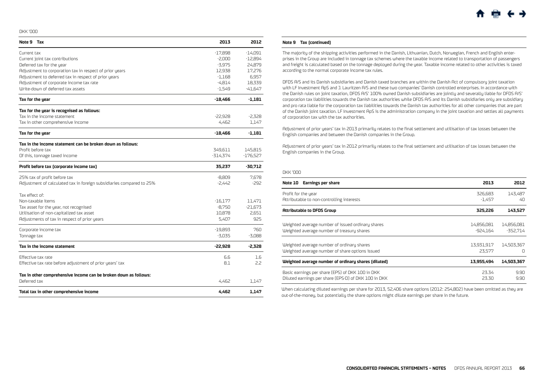<span id="page-10-0"></span>

| Note 9 Tax                                                           | 2013       | 2012       |
|----------------------------------------------------------------------|------------|------------|
| Current tax                                                          | $-17,898$  | $-14.091$  |
| Current joint tax contributions                                      | $-2,000$   | $-12,894$  |
| Deferred tax for the year                                            | $-3.975$   | 24,879     |
| Adjustment to corporation tax in respect of prior years              | 12,938     | 17,276     |
| Adjustment to deferred tax in respect of prior years                 | $-1,168$   | 6,957      |
| Adjustment of corporate income tax rate                              | $-4,814$   | 18,339     |
| Write-down of deferred tax assets                                    | $-1,549$   | -41,647    |
| Tax for the year                                                     | $-18.466$  | $-1,181$   |
| Tax for the year is recognised as follows:                           |            |            |
| Tax in the income statement                                          | $-22,928$  | $-2,328$   |
| Tax in other comprehensive income                                    | 4,462      | 1,147      |
| Tax for the year                                                     | $-18,466$  | $-1,181$   |
| Tax in the income statement can be broken down as follows:           |            |            |
| Profit before tax                                                    | 349,611    | 145,815    |
| Of this, tonnage taxed income                                        | $-314.374$ | $-176,527$ |
| Profit before tax (corporate income tax)                             | 35,237     | -30,712    |
| 25% tax of profit before tax                                         | $-8,809$   | 7,678      |
| Adjustment of calculated tax in foreign subsidiaries compared to 25% | $-2.442$   | $-292$     |
| Tax effect of:                                                       |            |            |
| Non-taxable items                                                    | $-16,177$  | 11.471     |
| Tax asset for the year, not recognised                               | $-8.750$   | $-21,673$  |
| Utilisation of non-capitalized tax asset                             | 10,878     | 2.651      |
| Adjustments of tax in respect of prior years                         | 5,407      | 925        |
| Corporate income tax                                                 | $-19,893$  | 760        |
| Tonnage tax                                                          | -3,035     | $-3,088$   |
| Tax in the income statement                                          | $-22,928$  | $-2.328$   |
| Effective tax rate                                                   | 6.6        | 1.6        |
| Effective tax rate before adjustment of prior years' tax             | 8.1        | 2.2        |
| Tax in other comprehensive income can be broken down as follows:     |            |            |
| Deferred tax                                                         | 4,462      | 1,147      |
| Total tax in other comprehensive income                              | 4.462      | 1.147      |

#### **Note 9 Tax (continued)**

The majority of the shipping activities performed in the Danish, Lithuanian, Dutch, Norwegian, French and English enterprises in the Group are included in tonnage tax schemes where the taxable income related to transportation of passengers and freight is calculated based on the tonnage deployed during the year. Taxable income related to other activities is taxed according to the normal corporate income tax rules.

DFDS A/S and its Danish subsidiaries and Danish taxed branches are within the Danish Act of compulsory joint taxation with LF Investment ApS and J. Lauritzen A/S and these two companies' Danish controlled enterprises. In accordance with the Danish rules on joint taxation, DFDS A/S' 100% owned Danish subsidiaries are jointly and severally liable for DFDS A/S' corporation tax liabilities towards the Danish tax authorities while DFDS A/S and its Danish subsidiaries only are subsidiary and pro rata liable for the corporation tax liabilities towards the Danish tax authorities for all other companies that are part of the Danish joint taxation. LF Investment ApS is the administration company in the joint taxation and settles all payments of corporation tax with the tax authorities.

Adjustment of prior years' tax in 2013 primarily relates to the final settlement and utilisation of tax losses between the English companies and between the Danish companies in the Group.

Adjustment of prior years' tax in 2012 primarily relates to the final settlement and utilisation of tax losses between the English companies in the Group.

#### DKK '000

| <b>Earnings per share</b><br>Note 10                 | 2013       | 2012       |
|------------------------------------------------------|------------|------------|
| Profit for the year                                  | 326.683    | 143.487    |
| Attributable to non-controlling interests            | -1.457     | 40         |
| <b>Attributable to DFDS Group</b>                    | 325.226    | 143,527    |
| Weighted average number of issued ordinary shares    | 14,856,081 | 14,856,081 |
| Weighted average number of treasury shares           | -924.164   | -352.714   |
| Weighted average number of ordinary shares           | 13,931,917 | 14.503.367 |
| Weighted average number of share options issued      | 23.577     | n          |
| Weighted average number of ordinary shares (diluted) | 13,955,494 | 14.503.367 |
| Basic earnings per share (EPS) of DKK 100 in DKK     | 23.34      | 9.90       |
| Diluted earnings per share (EPS-D) of DKK 100 in DKK | 23.30      | 9.90       |

When calculating diluted earnings per share for 2013, 52,406 share options (2012: 254,802) have been omitted as they are out-of-the-money, but potentially the share options might dilute earnings per share in the future.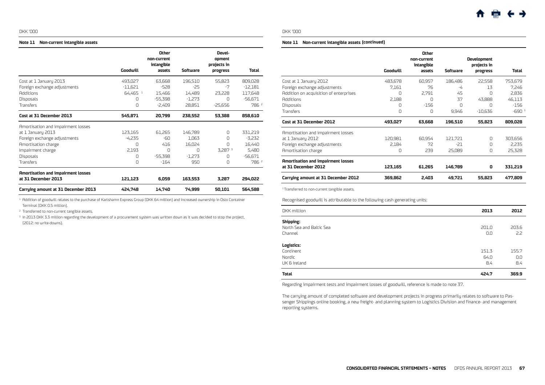#### <span id="page-11-0"></span>**Note 11 Non-current intangible assets**

|                                           |                       | Other<br>non-current<br>intangible |          | Devel-<br>opment<br>projects in |                  |
|-------------------------------------------|-----------------------|------------------------------------|----------|---------------------------------|------------------|
|                                           | Goodwill              | assets                             | Software | progress                        | Total            |
| Cost at 1 January 2013                    | 493,027               | 63,668                             | 196,510  | 55,823                          | 809,028          |
| Foreign exchange adjustments              | $-11.621$             | $-528$                             | $-25$    | -7                              | -12.181          |
| <b>Additions</b>                          | $64,465$ <sup>1</sup> | 15,466                             | 14,489   | 23,228                          | 117,648          |
| <b>Disposals</b>                          | 0                     | $-55,398$                          | $-1.273$ | Ω                               | $-56,671$        |
| <b>Transfers</b>                          | $\Box$                | $-2.409$                           | 28.851   | $-25,656$                       | 786 2            |
| Cost at 31 December 2013                  | 545.871               | 20,799                             | 238.552  | 53.388                          | 858,610          |
| Amortisation and impairment losses        |                       |                                    |          |                                 |                  |
| at 1 January 2013                         | 123,165               | 61,265                             | 146,789  | O                               | 331,219          |
| Foreign exchange adjustments              | -4.235                | -60                                | 1.063    | Π                               | $-3,232$         |
| Amortisation charge                       | O                     | 416                                | 16,024   | Ω                               | 16,440           |
| Impairment charge                         | 2.193                 | n                                  | $\cap$   | 3,287 <sup>3</sup>              | 5,480            |
| <b>Disposals</b>                          | Ω                     | $-55,398$                          | $-1,273$ | Ω                               | -56,671          |
| <b>Transfers</b>                          | Ω                     | $-164$                             | 950      | Ω                               | 786 <sup>2</sup> |
| <b>Amortisation and impairment losses</b> |                       |                                    |          |                                 |                  |
| at 31 December 2013                       | 121,123               | 6,059                              | 163.553  | 3.287                           | 294,022          |
| Carrying amount at 31 December 2013       | 424.748               | 14.740                             | 74.999   | 50,101                          | 564.588          |

 $^{-1}$  Addition of goodwill relates to the purchase of Karlshamn Express Group (DKK 64 million) and increased ownership in Oslo Container Terminal (DKK 0.5 million).

<sup>2</sup> Transferred to non-current tangible assets.

<sup>3</sup> In 2013 DKK 3.3 million regarding the development of a procurement system was written down as it was decided to stop the project, (2012: no write-downs).

### DKK '000

#### **Note 11 Non-current intangible assets (continued)**

|                                           | Goodwill | Other<br>non-current<br>intangible<br>assets | Software | <b>Development</b><br>projects in<br>progress | Total   |
|-------------------------------------------|----------|----------------------------------------------|----------|-----------------------------------------------|---------|
| Cost at 1 January 2012                    | 483,678  | 60,957                                       | 186,486  | 22,558                                        | 753,679 |
| Foreign exchange adjustments              | 7,161    | 76                                           | -4       | 13                                            | 7.246   |
| Addition on acquisition of enterprises    | O        | 2,791                                        | 45       | Ω                                             | 2,836   |
| <b>Additions</b>                          | 2.188    | $\Omega$                                     | 37       | 43.888                                        | 46.113  |
| <b>Disposals</b>                          | $\Omega$ | $-156$                                       | O        | Ω                                             | -156    |
| <b>Transfers</b>                          | 0        | Ω                                            | 9,946    | $-10,636$                                     | $-6901$ |
| Cost at 31 December 2012                  | 493,027  | 63,668                                       | 196,510  | 55,823                                        | 809,028 |
| Amortisation and impairment losses        |          |                                              |          |                                               |         |
| at 1 January 2012                         | 120,981  | 60.954                                       | 121.721  | Ω                                             | 303,656 |
| Foreign exchange adjustments              | 2.184    | 72                                           | -21      | Ω                                             | 2,235   |
| Amortisation charge                       | $\Omega$ | 239                                          | 25,089   | Ω                                             | 25,328  |
| <b>Amortisation and impairment losses</b> |          |                                              |          |                                               |         |
| at 31 December 2012                       | 123,165  | 61,265                                       | 146,789  | 0                                             | 331,219 |
| Carrying amount at 31 December 2012       | 369,862  | 2,403                                        | 49,721   | 55,823                                        | 477,809 |

<sup>1</sup> Transferred to non-current tangible assets.

Recognised goodwill is attributable to the following cash generating units:

| DKK million              | 2013  | 2012  |
|--------------------------|-------|-------|
| Shipping:                |       |       |
| North Sea and Baltic Sea | 201.0 | 203.6 |
| Channel                  | 0.0   | 2.2   |
| Logistics:               |       |       |
| Continent                | 151.3 | 155.7 |
| Nordic                   | 64.0  | 0.0   |
| UK & Ireland             | 8.4   | 8.4   |
| Total                    | 424.7 | 369.9 |

Regarding impairment tests and impairment losses of goodwill, reference is made to note 37.

The carrying amount of completed software and development projects in progress primarily relates to software to Passenger Shippings online booking, a new freight- and planning system to Logistics Division and finance- and management reporting systems.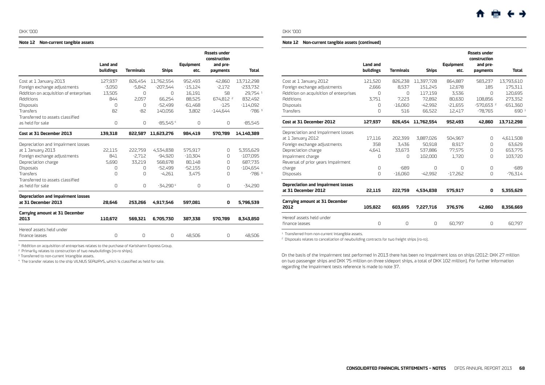#### <span id="page-12-0"></span>**Note 12 Non-current tangible assets**

|                                           | <b>Land and</b><br><b>buildings</b> | <b>Terminals</b> | <b>Ships</b> | <b>Equipment</b><br>etc. | <b>Assets under</b><br>construction<br>and pre-<br>payments | <b>Total</b> |
|-------------------------------------------|-------------------------------------|------------------|--------------|--------------------------|-------------------------------------------------------------|--------------|
|                                           |                                     |                  |              |                          |                                                             |              |
| Cost at 1 January 2013                    | 127,937                             | 826,454          | 11,762,554   | 952,493                  | 42,860                                                      | 13,712,298   |
| Foreign exchange adjustments              | $-3.050$                            | $-5.842$         | -207.544     | $-15.124$                | $-2.172$                                                    | $-233.732$   |
| Addition on acquisition of enterprises    | 13.505                              | $\Omega$         | $\Omega$     | 16,191                   | 58                                                          | 29.754 1     |
| <b>Additions</b>                          | 844                                 | 2.057            | 66,254       | 88,525                   | 674,812 2                                                   | 832,492      |
| <b>Disposals</b>                          | $\cap$                              | $\Box$           | -52,499      | $-61,468$                | $-125$                                                      | $-114.092$   |
| Transfers                                 | 82                                  | $-82$            | 140.056      | 3.802                    | $-144.644$                                                  | $-7863$      |
| Transferred to assets classified          |                                     |                  |              |                          |                                                             |              |
| as held for sale                          | 0                                   | $\Omega$         | $-85.5454$   | $\Omega$                 | $\Omega$                                                    | $-85,545$    |
| Cost at 31 December 2013                  | 139,318                             | 822,587          | 11,623,276   | 984.419                  | 570,789                                                     | 14,140,389   |
| Depreciation and impairment losses        |                                     |                  |              |                          |                                                             |              |
| at 1 January 2013                         | 22,115                              | 222,759          | 4,534,838    | 575,917                  | $\Omega$                                                    | 5,355,629    |
| Foreign exchange adjustments              | 841                                 | $-2,712$         | $-94.920$    | $-10,304$                | $\Omega$                                                    | $-107,095$   |
| Depreciation charge                       | 5.690                               | 33,219           | 568,678      | 80,148                   | Ω                                                           | 687,735      |
| Disposals                                 | 0                                   | 0                | -52.499      | $-52.155$                | Ω                                                           | $-104.654$   |
| <b>Transfers</b>                          | $\Box$                              | $\Omega$         | $-4.261$     | 3.475                    | $\Box$                                                      | $-7863$      |
| Transferred to assets classified          |                                     |                  |              |                          |                                                             |              |
| as held for sale                          | $\Omega$                            | $\Box$           | $-34.2904$   | $\Omega$                 | $\Omega$                                                    | $-34.290$    |
| <b>Depreciation and impairment losses</b> |                                     |                  |              |                          |                                                             |              |
| at 31 December 2013                       | 28,646                              | 253,266          | 4,917,546    | 597,081                  | 0                                                           | 5,796,539    |
| <b>Carrying amount at 31 December</b>     |                                     |                  |              |                          |                                                             |              |
| 2013                                      | 110,672                             | 569.321          | 6,705,730    | 387.338                  | 570,789                                                     | 8.343.850    |
| Hereof assets held under                  |                                     |                  |              |                          |                                                             |              |
| finance leases                            | $\Omega$                            | $\Omega$         | $\Box$       | 48.506                   | $\Omega$                                                    | 48,506       |
|                                           |                                     |                  |              |                          |                                                             |              |

 $1$  Addition on acquisition of entreprises relates to the purchase of Karlshamn Express Group.

<sup>2</sup> Primarily relates to construction of two newbuildings (ro-ro ships).

<sup>3</sup> Transferred to non-current intangible assets.

<sup>4</sup> The transfer relates to the ship VILNIUS SEAWAYS, which is classified as held for sale.

#### DKK '000

#### **Note 12 Non-current tangible assets (continued)**

|                                                                  | <b>Land and</b><br><b>buildings</b> | <b>Terminals</b> | <b>Ships</b> | <b>Equipment</b><br>etc. | <b>Assets under</b><br>construction<br>and pre-<br>payments | Total            |
|------------------------------------------------------------------|-------------------------------------|------------------|--------------|--------------------------|-------------------------------------------------------------|------------------|
| Cost at 1 January 2012                                           | 121,520                             | 826,238          | 11,397,728   | 864,887                  | 583,237                                                     | 13,793,610       |
| Foreign exchange adjustments                                     | 2.666                               | 8,537            | 151.245      | 12.678                   | 185                                                         | 175.311          |
| Addition on acquisition of enterprises                           | O                                   | $\Omega$         | 117.159      | 3.536                    | $\Box$                                                      | 120,695          |
| <b>Additions</b>                                                 | 3.751                               | 7.223            | 72.892       | 80.630                   | 108.856                                                     | 273.352          |
| <b>Disposals</b>                                                 | <sup>n</sup>                        | $-16.060$        | $-42.992$    | $-21.655$                | $-570.653$ <sup>2</sup>                                     | $-651.360$       |
| <b>Transfers</b>                                                 | $\Omega$                            | 516              | 66.522       | 12.417                   | $-78,765$                                                   | 690 <sup>1</sup> |
|                                                                  |                                     |                  |              |                          |                                                             |                  |
| Cost at 31 December 2012                                         | 127.937                             | 826.454          | 11.762.554   | 952.493                  | 42,860                                                      | 13,712,298       |
| Depreciation and impairment losses                               |                                     |                  |              |                          |                                                             |                  |
| at 1 January 2012                                                | 17.116                              | 202.399          | 3,887,026    | 504.967                  | $\Omega$                                                    | 4,611,508        |
| Foreign exchange adjustments                                     | 358                                 | 3,436            | 50,918       | 8,917                    | O                                                           | 63.629           |
| Depreciation charge                                              | 4.641                               | 33.673           | 537.886      | 77.575                   | $\Omega$                                                    | 653.775          |
| Impairment charge                                                | O                                   | 0                | 102,000      | 1.720                    | $\Box$                                                      | 103,720          |
| Reversal of prior years impairment                               |                                     |                  |              |                          |                                                             |                  |
| charge                                                           | $\Omega$                            | $-689$           | $\cap$       | $\cap$                   | $\Omega$                                                    | $-689$           |
| Disposals                                                        | $\Omega$                            | $-16.060$        | $-42.992$    | $-17.262$                | $\Omega$                                                    | $-76,314$        |
| <b>Depreciation and impairment losses</b><br>at 31 December 2012 | 22.115                              | 222.759          | 4.534.838    | 575,917                  | 0                                                           | 5,355,629        |
|                                                                  |                                     |                  |              |                          |                                                             |                  |
| <b>Carrying amount at 31 December</b><br>2012                    | 105.822                             | 603.695          | 7.227.716    | 376,576                  | 42,860                                                      | 8,356,669        |
| Hereof assets held under<br>finance leases                       | $\Omega$                            | 0                | $\Omega$     | 60.797                   | $\Omega$                                                    | 60.797           |
|                                                                  |                                     |                  |              |                          |                                                             |                  |

 $^{\rm 1}$  Transferred from non-current intangible assets.

<sup>2</sup> Disposals relates to cancellation of newbuilding contracts for two freight ships (ro-ro).

On the basis of the impairment test performed in 2013 there has been no impairment loss on ships (2012: DKK 27 million on two passenger ships and DKK 75 million on three sideport ships, a total of DKK 102 million). For further information regarding the impairment tests reference is made to note 37.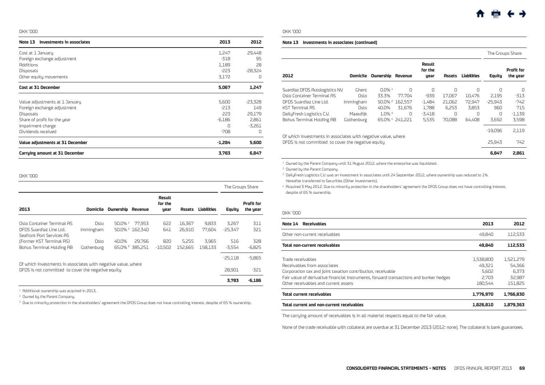<span id="page-13-0"></span>

| Investments in associates<br>Note 13  | 2013   | 2012      |
|---------------------------------------|--------|-----------|
| Cost at 1 January                     | 1,247  | 29,448    |
| Foreign exchange adjustment           | $-318$ | 95        |
| <b>Additions</b>                      | 1,189  | 28        |
| Disposals                             | -223   | $-28,324$ |
| Other equity movements                | 3.172  | $\Omega$  |
| Cost at 31 December                   | 5,067  | 1,247     |
|                                       |        |           |
| Value adjustments at 1 January        | 5,600  | $-23,328$ |
| Foreign exchange adjustment           | $-213$ | 149       |
| Disposals                             | 223    | 29,179    |
| Share of profit for the year          | -6.186 | 2,861     |
| Impairment charge                     | Ω      | $-3,261$  |
| Dividends received                    | $-708$ | $\Omega$  |
| Value adjustments at 31 December      | -1.284 | 5,600     |
| <b>Carrying amount at 31 December</b> | 3,783  | 6,847     |

#### DKK '000

|                                                                                                                     |                    |                    |                           |                           |                  |                  |                     | The Groups Share              |
|---------------------------------------------------------------------------------------------------------------------|--------------------|--------------------|---------------------------|---------------------------|------------------|------------------|---------------------|-------------------------------|
| 2013                                                                                                                | Domicile           | Ownership          | Revenue                   | Result<br>for the<br>year | Assets           | Liabilities      | Equity              | <b>Profit for</b><br>the year |
| Oslo Container Terminal AS<br>DFDS Suardiaz Line Ltd.<br>Seafront Port Services AS                                  | Oslo<br>Immingham  | 50.0% <sup>1</sup> | 77.953<br>50.0% 2 162.340 | 622<br>641                | 16,367<br>26,910 | 9.833<br>77.604  | 3.267<br>$-25.347$  | 311<br>321                    |
| (Former KST Terminal AS)<br>Bohus Terminal Holding AB                                                               | Oslo<br>Gothenburg | 40.0%              | 29.766<br>65.0% 385.251   | 820<br>-10.502            | 5.255<br>152.665 | 3.965<br>158.133 | 516<br>-3.554       | 328<br>$-6.825$               |
| Of which investments in associates with negative value, where<br>DFDS is not committed to cover the negative equity |                    |                    |                           |                           |                  |                  | $-25.118$<br>28,901 | $-5.865$<br>-321              |
|                                                                                                                     |                    |                    |                           |                           |                  |                  | 3.783               | $-6,186$                      |

 $1$  Additional ownership was acquired in 2013.

<sup>2</sup> Owned by the Parent Company.

<sup>3</sup> Due to minority protection in the shareholders' agreement the DFDS Group does not have controlling interest, despite of 65 % ownership.

#### DKK '000

#### **Note 13 Investments in associates (continued)**

|                                                                                                                     |            |                      |                 |                           |          |             |           | The Groups Share              |
|---------------------------------------------------------------------------------------------------------------------|------------|----------------------|-----------------|---------------------------|----------|-------------|-----------|-------------------------------|
| 2012                                                                                                                | Domicile   | Ownership            | Revenue         | Result<br>for the<br>year | Assets   | Liabilities | Equity    | <b>Profit for</b><br>the year |
| Suardiaz DFDS Autologistics NV                                                                                      | Ghent      | $0.0\%$ <sup>1</sup> | $\Omega$        | 0                         | $\Omega$ | $\Omega$    | Ω         | O                             |
| Oslo Container Terminal AS                                                                                          | Oslo       | 33.3%                | 77.704          | -939                      | 17.067   | 10,476      | 2.195     | $-313$                        |
| DFDS Suardiaz Line Ltd.                                                                                             | Immingham  |                      | 50.0% 2 162.557 | -1,484                    | 21,062   | 72.947      | $-25.943$ | $-742$                        |
| <b>KST Terminal AS</b>                                                                                              | Oslo       | 40.0%                | 31.676          | 1,788                     | 6,253    | 3,853       | 960       | 715                           |
| DailyFresh Logistics C.V.                                                                                           | Maasdijk   | $1.0\%$ <sup>3</sup> | O               | $-3.418$                  | O        | O           | 0         | $-1,139$                      |
| Bohus Terminal Holding AB                                                                                           | Gothenburg |                      | 65.0% 4 241.221 | 5,535                     | 70,088   | 64.408      | 3,692     | 3,598                         |
|                                                                                                                     |            |                      |                 |                           |          |             | $-19,096$ | 2,119                         |
| Of which investments in associates with negative value, where<br>DFDS is not committed to cover the negative equity |            |                      |                 |                           |          |             | 25.943    | 742                           |
|                                                                                                                     |            |                      |                 |                           |          |             | 6.847     | 2.861                         |

<sup>1</sup> Owned by the Parent Company until 31 August 2012, where the enterprise was liquidated.

2 Owned by the Parent Company.

<sup>3</sup> DailyFresh Logistics C.V. was an investment in associates until 24 September 2012, where ownership was reduced to 1%. Hereafter transferred to Securities (Other investments).

<sup>4</sup> Acquired 3 May 2012. Due to minority protection in the shareholders' agreement the DFDS Group does not have controlling interest, despite of 65 % ownership.

## DKK '000

| Note 14<br>Receivables                                                                                                                                                                                                                            | 2013                                             | 2012                                              |
|---------------------------------------------------------------------------------------------------------------------------------------------------------------------------------------------------------------------------------------------------|--------------------------------------------------|---------------------------------------------------|
| Other non-current receivables                                                                                                                                                                                                                     | 49.840                                           | 112,533                                           |
| Total non-current receivables                                                                                                                                                                                                                     | 49.840                                           | 112.533                                           |
| Trade receivables<br>Receivables from associates<br>Corporation tax and joint taxation contribution, receivable<br>Fair value of derivative financial instruments, forward transactions and bunker hedges<br>Other receivables and current assets | 1.538.800<br>49.321<br>5.602<br>2.703<br>180.544 | 1,521,279<br>54,366<br>6.373<br>32.987<br>151.825 |
| Total current receivables                                                                                                                                                                                                                         | 1.776.970                                        | 1.766.830                                         |
| Total current and non-current receivables                                                                                                                                                                                                         | 1.826.810                                        | 1.879.363                                         |

The carrying amount of receivables is in all material respects equal to the fair value.

None of the trade receivable with collateral are overdue at 31 December 2013 (2012: none). The collateral is bank guarantees.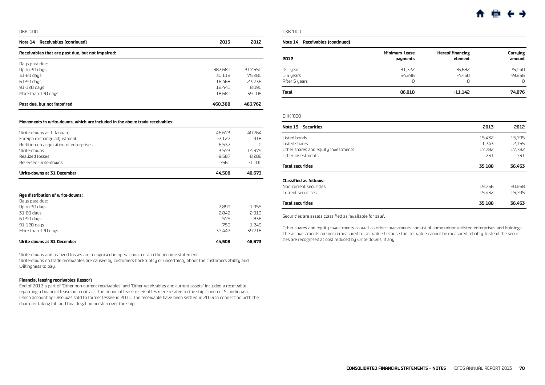<span id="page-14-0"></span>

| Receivables (continued)<br>Note 14               | 2013    | 2012    |
|--------------------------------------------------|---------|---------|
| Receivables that are past due, but not impaired: |         |         |
| Days past due:                                   |         |         |
| Up to 30 days                                    | 382.680 | 317,550 |
| $31-60$ days                                     | 30.119  | 75.280  |
| $61-90$ days                                     | 16,468  | 23.736  |
| $91-120$ days                                    | 12,441  | 8.090   |
| More than 120 daus                               | 18,680  | 39.106  |
| Past due, but not impaired                       | 460.388 | 463.762 |

#### **Movements in write-downs, which are included in the above trade receivables:**

| Write-downs at 1 January               | 46.673   | 40.764   |
|----------------------------------------|----------|----------|
| Foreign exchange adjustment            | $-2.127$ | 918      |
| Addition on acquisition of enterprises | 6.537    | Ω        |
| <b>Urite-douns</b>                     | 3.573    | 14.379   |
| Realized losses                        | $-9.587$ | $-8.288$ |
| Reversed write-downs                   | $-561$   | $-1.100$ |
| Write-downs at 31 December             | 44.508   | 46.673   |

#### **Age distribution of write-downs:**

| Write-downs at 31 December | 44.508 | 46.673 |
|----------------------------|--------|--------|
| More than 120 days         | 37.442 | 39.718 |
| 91-120 days                | 750    | 1,249  |
| 61-90 days                 | 575    | 838    |
| $31-60$ days               | 2.842  | 2,913  |
| Up to 30 days              | 2.899  | 1,955  |
| Days past due:             |        |        |

Write-downs and realized losses are recognised in operational cost in the income statement.

Write-downs on trade receivables are caused by customers bankruptcy or uncertainty about the customers ability and willingness to pay.

#### **Financial leasing receivables (lessor)**

End of 2012 a part of 'Other non-current receivables' and 'Other receivables and current assets' included a receivable regarding a financial lease out contract. The financial lease receivables were related to the ship Queen of Scandinavia, which accounting wise was sold to former lessee in 2011. The receivable have been settled in 2013 in connection with the charterer taking full and final legal ownership over the ship.

DKK '000

#### **Note 14 Receivables (continued)**

| 2012          | Minimum lease | <b>Hereof financing</b> | Carrying |
|---------------|---------------|-------------------------|----------|
|               | payments      | element                 | amount   |
| 0-1 year      | 31,722        | $-6,682$                | 25,040   |
| 1-5 years     | 54,296        | $-4.460$                | 49,836   |
| After 5 years | Ω             | Ω                       | $\Box$   |
| Total         | 86,018        | $-11.142$               | 74,876   |

#### DKK '000

| <b>Note 15 Securities</b>           | 2013   | 2012   |
|-------------------------------------|--------|--------|
| Listed bonds                        | 15,432 | 15,795 |
| Listed shares                       | 1.243  | 2.155  |
| Other shares and equity investments | 17.782 | 17.782 |
| Other investments                   | 731    | 731    |
| Total securities                    | 35,188 | 36,463 |
| <b>Classified as follows:</b>       |        |        |
| Non-current securities              | 19.756 | 20,668 |
| Current securities                  | 15.432 | 15.795 |
| Total securities                    | 35.188 | 36,463 |

Securities are assets classified as 'available for sale'.

Other shares and equity investments as well as other investments consist of some minor unlisted enterprises and holdings. These investments are not remeasured to fair value because the fair value cannot be measured reliably. Instead the securities are recognised at cost reduced by write-downs, if any.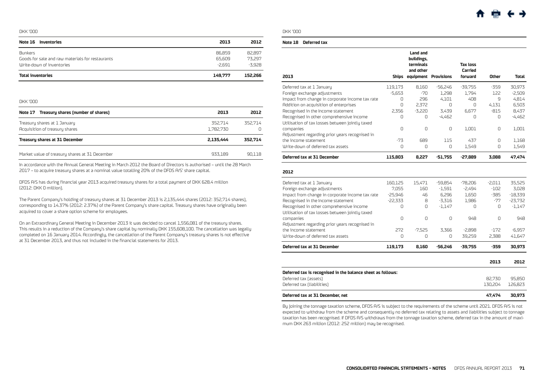<span id="page-15-0"></span>

| Note 16 Inventories                              | 2013     | 2012     |
|--------------------------------------------------|----------|----------|
| <b>Bunkers</b>                                   | 86.859   | 82.897   |
| Goods for sale and raw materials for restaurants | 65.609   | 73.297   |
| Write-down of inventories                        | $-2.691$ | $-3.928$ |
| <b>Total inventories</b>                         | 149.777  | 152.266  |

DKK '000

| Note 17 Treasury shares (number of shares)                     | 2013                 | 2012    |
|----------------------------------------------------------------|----------------------|---------|
| Treasury shares at 1 January<br>Acquisition of treasury shares | 352.714<br>1.782.730 | 352.714 |
| Treasury shares at 31 December                                 | 2.135.444            | 352.714 |
| Market value of treasury shares at 31 December                 | 933.189              | 90.118  |

In accordance with the Annual General Meeting in March 2012 the Board of Directors is authorised – until the 28 March 2017 – to acquire treasury shares at a nominal value totalling 20% of the DFDS A/S' share capital.

DFDS A/S has during financial year 2013 acquired treasury shares for a total payment of DKK 628.4 million (2012: DKK 0 million).

The Parent Company's holding of treasury shares at 31 December 2013 is 2,135,444 shares (2012: 352,714 shares), corresponding to 14.37% (2012: 2.37%) of the Parent Company's share capital. Treasury shares have originally been acquired to cover a share option scheme for employees.

On an Extraordinary General Meeting in December 2013 it was decided to cancel 1,556,081 of the treasury shares. This results in a reduction of the Company's share capital by nominally DKK 155,608,100. The cancellation was legally completed on 16 January 2014. Accordingly, the cancellation of the Parent Company's treasury shares is not effective at 31 December 2013, and thus not included in the financial statements for 2013.

DKK '000

#### **Note 18 Deferred tax**

| 2013                                                        |           | <b>Land and</b><br>buildings,<br>terminals<br>and other<br><b>Ships equipment Provisions</b> |           | <b>Tax loss</b><br>Carried<br>forward | Other    | Total     |
|-------------------------------------------------------------|-----------|----------------------------------------------------------------------------------------------|-----------|---------------------------------------|----------|-----------|
| Deferred tax at 1 January                                   | 119,173   | 8,160                                                                                        | $-56,246$ | $-39,755$                             | $-359$   | 30,973    |
| Foreign exchange adjustments                                | $-5,653$  | -70                                                                                          | 1,298     | 1,794                                 | 122      | $-2,509$  |
| Impact from change in corporate income tax rate             | 0         | 296                                                                                          | 4,101     | 408                                   | 9        | 4,814     |
| Addition on acquisition of enterprises                      | 0         | 2,372                                                                                        | $\Omega$  | $\Omega$                              | 4,131    | 6,503     |
| Recognised in the Income statement                          | 2.356     | $-3.220$                                                                                     | 3,439     | 6,677                                 | $-815$   | 8,437     |
| Recognised in other comprehensive income                    | $\Omega$  | 0                                                                                            | $-4,462$  | $\Omega$                              | 0        | $-4,462$  |
| Utilisation of tax losses between jointly taxed             |           |                                                                                              |           |                                       |          |           |
| companies                                                   | 0         | $\Omega$                                                                                     | 0         | 1.001                                 | 0        | 1.001     |
| Adjustment regarding prior years recognised in              |           |                                                                                              |           |                                       |          |           |
| the income statement                                        | $-73$     | 689                                                                                          | 115       | 437                                   | $\Box$   | 1.168     |
| Write-down of deferred tax assets                           | 0         | 0                                                                                            | 0         | 1,549                                 | 0        | 1,549     |
| Deferred tax at 31 December                                 | 115,803   | 8,227                                                                                        | $-51,755$ | $-27,889$                             | 3.088    | 47,474    |
| 2012                                                        |           |                                                                                              |           |                                       |          |           |
| Deferred tax at 1 January                                   | 160,125   | 15,471                                                                                       | -59,854   | $-78,206$                             | $-2,011$ | 35,525    |
| Foreign exchange adjustments                                | 7.055     | 160                                                                                          | $-1,591$  | $-2,494$                              | $-102$   | 3.028     |
| Impact from change in corporate income tax rate             | $-25,946$ | 46                                                                                           | 6,296     | 1,650                                 | $-385$   | $-18,339$ |
| Recognised in the Income statement                          | $-22,333$ | 8                                                                                            | $-3,316$  | 1,986                                 | $-77$    | $-23,732$ |
| Recognised in other comprehensive income                    | $\Omega$  | 0                                                                                            | $-1,147$  | $\Omega$                              | 0        | $-1,147$  |
| Utilisation of tax losses between jointly taxed             |           |                                                                                              |           |                                       |          |           |
| companies                                                   | 0         | 0                                                                                            | $\Omega$  | 948                                   | $\Omega$ | 948       |
| Adjustment regarding prior years recognised in              |           |                                                                                              |           |                                       |          |           |
| the income statement                                        | 272       | $-7,525$                                                                                     | 3,366     | $-2,898$                              | $-172$   | $-6,957$  |
| Write-down of deferred tax assets                           | 0         | $\Omega$                                                                                     | $\Omega$  | 39,259                                | 2,388    | 41,647    |
| Deferred tax at 31 December                                 | 119,173   | 8,160                                                                                        | $-56,246$ | -39,755                               | -359     | 30,973    |
|                                                             |           |                                                                                              |           |                                       | 2013     | 2012      |
| Deferred tax is recognised in the balance sheet as follows: |           |                                                                                              |           |                                       |          |           |
| Deferred tax (assets)                                       |           |                                                                                              |           |                                       | 82,730   | 95,850    |
| Deferred tax (liabilities)                                  |           |                                                                                              |           |                                       | 130,204  | 126,823   |
| Deferred tax at 31 December, net                            |           |                                                                                              |           |                                       | 47,474   | 30.973    |

By joining the tonnage taxation scheme, DFDS A/S is subject to the requirements of the scheme until 2021. DFDS A/S is not expected to withdraw from the scheme and consequently no deferred tax relating to assets and liabilities subject to tonnage taxation has been recognised. If DFDS A/S withdraws from the tonnage taxation scheme, deferred tax in the amount of maximum DKK 263 million (2012: 252 million) may be recognised.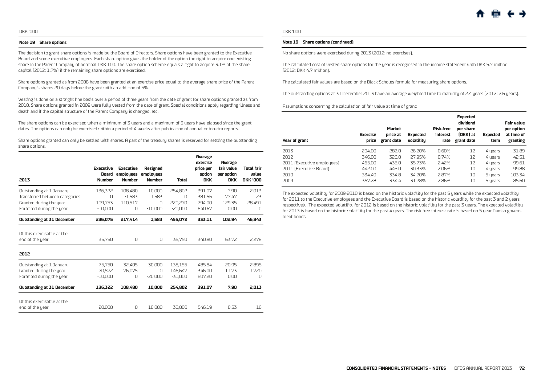#### **Note 19 Share options**

The decision to grant share options is made by the Board of Directors. Share options have been granted to the Executive Board and some executive employees. Each share option gives the holder of the option the right to acquire one existing share in the Parent Company of nominal DKK 100. The share option scheme equals a right to acquire 3.1% of the share capital (2012: 1.7%) if the remaining share options are exercised.

Share options granted as from 2008 have been granted at an exercise price equal to the average share price of the Parent Company's shares 20 days before the grant with an addition of 5%.

Vesting is done on a straight line basis over a period of three years from the date of grant for share options granted as from 2010. Share options granted in 2009 were fully vested from the date of grant. Special conditions apply regarding illness and death and if the capital structure of the Parent Company is changed, etc.

The share options can be exercised when a minimum of 3 years and a maximum of 5 years have elapsed since the grant dates. The options can only be exercised within a period of 4 weeks after publication of annual or interim reports.

Share options granted can only be settled with shares. A part of the treasury shares is reserved for settling the outstanding share options.

| 2013                                                                                                               | <b>Executive</b><br>Board<br><b>Number</b> | <b>Executive</b><br>employees<br><b>Number</b> | Resigned<br>employees<br><b>Number</b> | <b>Total</b>                         | <b>Average</b><br>exercise<br>price per<br>option<br><b>DKK</b> | <b>Average</b><br>fair value<br>per option<br><b>DKK</b> | Total fair<br>value<br><b>DKK '000</b> |
|--------------------------------------------------------------------------------------------------------------------|--------------------------------------------|------------------------------------------------|----------------------------------------|--------------------------------------|-----------------------------------------------------------------|----------------------------------------------------------|----------------------------------------|
| Outstanding at 1 January<br>Transferred between categories<br>Granted during the year<br>Forfeited during the year | 136,322<br>Ω<br>109.753<br>$-10.000$       | 108,480<br>$-1.583$<br>110.517<br>0            | 10,000<br>1.583<br>Ω<br>$-10.000$      | 254,802<br>O<br>220,270<br>$-20.000$ | 391.07<br>381.56<br>294.00<br>640.67                            | 7.90<br>77.47<br>129.35<br>0.00                          | 2.013<br>123<br>28.491<br>0            |
| <b>Outstanding at 31 December</b>                                                                                  | 236,075                                    | 217.414                                        | 1.583                                  | 455,072                              | 333.11                                                          | 102.94                                                   | 46,843                                 |
| Of this exercisable at the<br>end of the year                                                                      | 35.750                                     | 0                                              | 0                                      | 35.750                               | 340.80                                                          | 63.72                                                    | 2.278                                  |
| 2012                                                                                                               |                                            |                                                |                                        |                                      |                                                                 |                                                          |                                        |
| Outstanding at 1 January<br>Granted during the year<br>Forfeited during the year                                   | 75.750<br>70,572<br>$-10,000$              | 32.405<br>76,075<br>0                          | 30.000<br>O<br>$-20,000$               | 138.155<br>146,647<br>$-30,000$      | 485.84<br>346.00<br>607.20                                      | 20.95<br>11.73<br>0.00                                   | 2.895<br>1,720<br>0                    |
| <b>Outstanding at 31 December</b>                                                                                  | 136.322                                    | 108,480                                        | 10.000                                 | 254.802                              | 391.07                                                          | 7.90                                                     | 2,013                                  |
| Of this exercisable at the<br>end of the year                                                                      | 20,000                                     | 0                                              | 10,000                                 | 30,000                               | 546.19                                                          | 0.53                                                     | 16                                     |

#### DKK '000

#### **Note 19 Share options (continued)**

No share options were exercised during 2013 (2012: no exercises).

The calculated cost of vested share options for the year is recognised in the income statement with DKK 5.7 million (2012: DKK 4.7 million).

The calculated fair values are based on the Black-Scholes formula for measuring share options.

The outstanding options at 31 December 2013 have an average weighted time to maturity of 2.4 years (2012: 2.6 years).

Assumptions concerning the calculation of fair value at time of grant:

| Year of grant              | <b>Exercise</b><br>price | <b>Market</b><br>price at<br>grant date | <b>Expected</b><br>volatility | <b>Risk-free</b><br>interest<br>rate | <b>Expected</b><br>dividend<br>per share<br>(DKK) at<br>grant date | <b>Expected</b><br>term | <b>Fair value</b><br>per option<br>at time of<br>granting |
|----------------------------|--------------------------|-----------------------------------------|-------------------------------|--------------------------------------|--------------------------------------------------------------------|-------------------------|-----------------------------------------------------------|
| 2013                       | 294.00                   | 282.0                                   | 26.20%                        | 0.60%                                | 12                                                                 | 4 years                 | 31.89                                                     |
| 2012                       | 346.00                   | 326.0                                   | 27.95%                        | 0.74%                                | 12                                                                 | 4 years                 | 42.51                                                     |
| 2011 (Executive employees) | 465.00                   | 435.0                                   | 35.73%                        | 2.42%                                | 12                                                                 | 4 years                 | 99.61                                                     |
| 2011 (Executive Board)     | 442.00                   | 445.0                                   | 30.33%                        | 2.06%                                | 10                                                                 | 4 years                 | 99.88                                                     |
| 2010                       | 334.40                   | 334.8                                   | 34.20%                        | 2.87%                                | 10                                                                 | 5 years                 | 103.34                                                    |
| 2009                       | 357.28                   | 334.4                                   | 31.28%                        | 2.86%                                | 10                                                                 | 5 years                 | 85.60                                                     |

The expected volatility for 2009-2010 is based on the historic volatility for the past 5 years while the expected volatility for 2011 to the Executive employees and the Executive Board is based on the historic volatility for the past 3 and 2 years respectively. The expected volatility for 2012 is based on the historic volatility for the past 3 years. The expected volatility for 2013 is based on the historic volatility for the past 4 years. The risk free interest rate is based on 5 year Danish government bonds.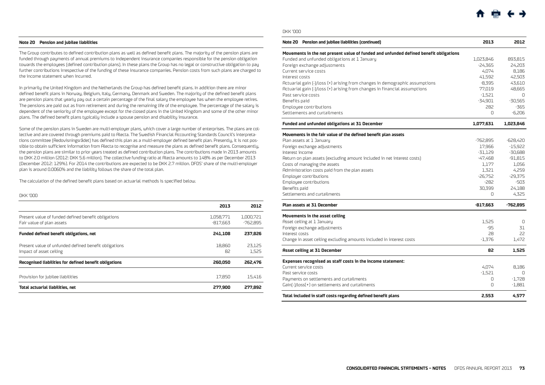#### <span id="page-17-0"></span>**Note 20 Pension and jubilee liabilities**

The Group contributes to defined contribution plans as well as defined benefit plans. The majority of the pension plans are funded through payments of annual premiums to independent insurance companies responsible for the pension obligation towards the employees (defined contribution plans). In these plans the Group has no legal or constructive obligation to pay further contributions irrespective of the funding of these insurance companies. Pension costs from such plans are charged to the income statement when incurred.

In primarily the United Kingdom and the Netherlands the Group has defined benefit plans. In addition there are minor defined benefit plans in Norway, Belgium, Italy, Germany, Denmark and Sweden. The majority of the defined benefit plans are pension plans that yearly pay out a certain percentage of the final salary the employee has when the employee retires. The pensions are paid out as from retirement and during the remaining life of the employee. The percentage of the salary is dependent of the seniority of the employee except for the closed plans in the United Kingdom and some of the other minor plans. The defined benefit plans typically include a spouse pension and disability insurance.

Some of the pension plans in Sweden are multi-employer plans, which cover a large number of enterprises. The plans are collective and are covered through premiums paid to Alecta. The Swedish Financial Accounting Standards Council's interpretations committee (Redovisningsrådet) has defined this plan as a multi-employer defined benefit plan. Presently, it is not possible to obtain sufficient information from Alecta to recognise and measure the plans as defined benefit plans. Consequently, the pension plans are similar to prior years treated as defined contribution plans. The contributions made in 2013 amounts to DKK 2.0 million (2012: DKK 5.6 million). The collective funding ratio at Alecta amounts to 148% as per December 2013 (December 2012: 129%). For 2014 the contributions are expected to be DKK 2.7 million. DFDS' share of the multi-employer plan is around 0.0060% and the liability follows the share of the total plan.

The calculation of the defined benefit plans based on actuarial methods is specified below.

DKK '000

|                                                                                  | 2013                    | 2012                    |
|----------------------------------------------------------------------------------|-------------------------|-------------------------|
| Present value of funded defined benefit obligations<br>Fair value of plan assets | 1,058,771<br>$-817.663$ | 1.000.721<br>$-762.895$ |
| <b>Funded defined benefit obligations, net</b>                                   | 241.108                 | 237.826                 |
| Present value of unfunded defined benefit obligations<br>Impact of asset ceiling | 18,860<br>82            | 23.125<br>1.525         |
| Recognised liabilities for defined benefit obligations                           | 260,050                 | 262.476                 |
| Provision for jubilee liabilities                                                | 17.850                  | 15.416                  |
| Total actuarial liabilities, net                                                 | 277.900                 | 277.892                 |

#### DKK '000

| Note 20 Pension and jubilee liabilities (continued)                                   | 2013       | 2012       |
|---------------------------------------------------------------------------------------|------------|------------|
| Movements in the net present value of funded and unfunded defined benefit obligations |            |            |
| Funded and unfunded obligations at 1 January                                          | 1,023,846  | 893,815    |
| Foreign exchange adjustments                                                          | $-24,365$  | 24,203     |
| Current service costs                                                                 | 4,074      | 8,186      |
| Interest costs                                                                        | 41,592     | 42,503     |
| Actuarial gain [-]/loss [+] arising from changes in demographic assumptions           | $-8,395$   | 43,610     |
| Actuarial gain [-]/loss [+] arising from changes in financial assumptions             | 77,019     | 48,665     |
| Past service costs                                                                    | $-1,521$   | $\Box$     |
| Benefits paid                                                                         | $-34,901$  | $-30,565$  |
| Employee contributions                                                                | 282        | -365       |
| Settlements and curtailments                                                          | O          | $-6,206$   |
| Funded and unfunded obligations at 31 December                                        | 1,077,631  | 1,023,846  |
| Movements in the fair value of the defined benefit plan assets                        |            |            |
| Plan assets at 1 January                                                              | -762,895   | $-628,420$ |
| Foreign exchange adjustments                                                          | 17,966     | $-15,922$  |
| Interest income                                                                       | $-31,129$  | $-30,688$  |
| Return on plan assets (excluding amount included in net interest costs)               | -47,468    | $-91,815$  |
| Costs of managing the assets                                                          | 1,177      | 1,056      |
| Administration costs paid from the plan assets                                        | 1,321      | 4,259      |
| <b>Employer contributions</b>                                                         | $-26,752$  | $-29,375$  |
| Employee contributions                                                                | -282       | $-503$     |
| Benefits paid                                                                         | 30.399     | 24,188     |
| Settlements and curtailments                                                          | O          | 4,325      |
| Plan assets at 31 December                                                            | $-817,663$ | -762,895   |
| Movements in the asset ceiling                                                        |            |            |
| Asset ceiling at 1 January                                                            | 1,525      | 0          |
| Foreign exchange adjustments                                                          | -95        | 31         |
| Interest costs                                                                        | 28         | 22         |
| Change in asset ceiling excluding amounts included in interest costs                  | $-1,376$   | 1.472      |
| <b>Asset ceiling at 31 December</b>                                                   | 82         | 1,525      |
| Expenses recognised as staff costs in the Income statement:                           |            |            |
| Current service costs                                                                 | 4.074      | 8.186      |
| Past service costs                                                                    | $-1,521$   | 0          |
| Payments on settlements and curtailments                                              | 0          | $-1.728$   |
| Gain(-)/loss(+) on settlements and curtailments                                       | 0          | $-1,881$   |
| Total included in staff costs regarding defined benefit plans                         | 2,553      | 4.577      |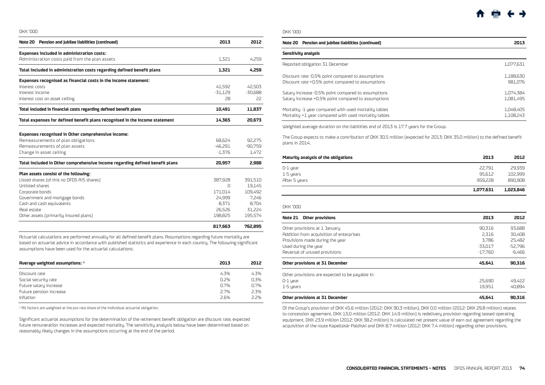<span id="page-18-0"></span>

| Note 20 Pension and jubilee liabilities (continued)                          | 2013      | 2012      |
|------------------------------------------------------------------------------|-----------|-----------|
| <b>Expenses included in administration costs:</b>                            |           |           |
| Administration costs paid from the plan assets                               | 1,321     | 4.259     |
| Total included in administration costs regarding defined benefit plans       | 1.321     | 4.259     |
| Expenses recognised as financial costs in the Income statement:              |           |           |
| Interest costs                                                               | 41.592    | 42,503    |
| Interest income                                                              | $-31,129$ | $-30,688$ |
| Interest cost on asset ceiling                                               | 28        | 22        |
| Total included in financial costs regarding defined benefit plans            | 10,491    | 11,837    |
| Total expenses for defined benefit plans recognised in the Income statement  | 14.365    | 20,673    |
| <b>Expenses recognised in Other comprehensive income:</b>                    |           |           |
| Remeasurements of plan obligations                                           | 68.624    | 92.275    |
| Remeasurements of plan assets                                                | -46.291   | $-90,759$ |
| Change in asset ceiling                                                      | $-1.376$  | 1,472     |
| Total included in Other comprehensive income regarding defined benefit plans | 20,957    | 2.988     |
| Plan assets consist of the following:                                        |           |           |
| Listed shares (of this no DFDS A/S shares)                                   | 387.928   | 391,510   |
| <b>Unlisted shares</b>                                                       | n         | 19,145    |
| Corporate bonds                                                              | 171,014   | 109,492   |
| Government and mortgage bonds                                                | 24,999    | 7,246     |
| Cash and cash equivalents                                                    | 8.371     | 8,704     |
| Real estate                                                                  | 26,526    | 31,224    |
| Other assets (primarily insured plans)                                       | 198,825   | 195,574   |
|                                                                              | 817.663   | 762.895   |

Actuarial calculations are performed annually for all defined benefit plans. Assumptions regarding future mortality are based on actuarial advice in accordance with published statistics and experience in each country. The following significant assumptions have been used for the actuarial calculations:

| 2013 | 2012 |
|------|------|
| 4.3% | 4.3% |
| 0.2% | 0.3% |
| 0.7% | 0.7% |
| 2.7% | 2.3% |
| 2.6% | 2.2% |
|      |      |

 $<sup>1</sup>$  All factors are weighted at the pro rata share of the individual actuarial obligation.</sup>

Significant actuarial assumptions for the determination of the retirement benefit obligation are discount rate, expected future remuneration increases and expected mortality. The sensitivity analysis below have been determined based on reasonably likely changes in the assumptions occurring at the end of the period.

#### DKK '000

| Note 20 Pension and jubilee liabilities (continued)   | 2013      |
|-------------------------------------------------------|-----------|
| Sensitivity analysis                                  |           |
| Reported obligation 31 December                       | 1,077,631 |
| Discount rate -0.5% point compared to assumptions     | 1.188.630 |
| Discount rate +0.5% point compared to assumptions     | 981.076   |
| Salary increase -0.5% point compared to assumptions   | 1.074.384 |
| Salary increase +0.5% point compared to assumptions   | 1.081.495 |
| Mortality -1 year compared with used mortality tables | 1.048.405 |
| Mortality +1 year compared with used mortality tables | 1.108.243 |

Weighted average duration on the liabilities end of 2013 is 17.7 years for the Group.

The Group expects to make a contribution of DKK 30.5 million (expected for 2013: DKK 35.0 million) to the defined benefit plans in 2014.

| Maturity analysis of the obligations | 2013      | 2012      |
|--------------------------------------|-----------|-----------|
| 0-1 year                             | 22.791    | 29.939    |
| 1-5 years                            | 95.612    | 102,999   |
| After 5 years                        | 959.228   | 890,908   |
|                                      | 1,077,631 | 1,023,846 |

DKK '000

| Other provisions<br>Note 21                     | 2013      | 2012     |
|-------------------------------------------------|-----------|----------|
| Other provisions at 1 January                   | 90.316    | 93.688   |
| Addition from acquisition of enterprises        | 2.316     | 30.408   |
| Provisions made during the year                 | 3.786     | 25.482   |
| Used during the year                            | -33.017   | -52.796  |
| Reversal of unused provisions                   | $-17.760$ | $-6.466$ |
| Other provisions at 31 December                 | 45.641    | 90.316   |
| Other provisions are expected to be payable in: |           |          |
| $0-1$ year                                      | 25,690    | 49.422   |
| 1-5 years                                       | 19.951    | 40.894   |
| Other provisions at 31 December                 | 45.641    | 90.316   |

Of the Group's provision of DKK 45.6 million (2012: DKK 90.3 million), DKK 0.0 million (2012: DKK 29.8 million) relates to concession agreement, DKK 13.0 million (2012: DKK 14.9 million) is redelivery provision regarding leased operating equipment, DKK 23.9 million (2012: DKK 38.2 million) is calculated net present value of earn out agreement regarding the acquisition of the route Kapellskär-Paldiski and DKK 8.7 million (2012: DKK 7.4 million) regarding other provisions.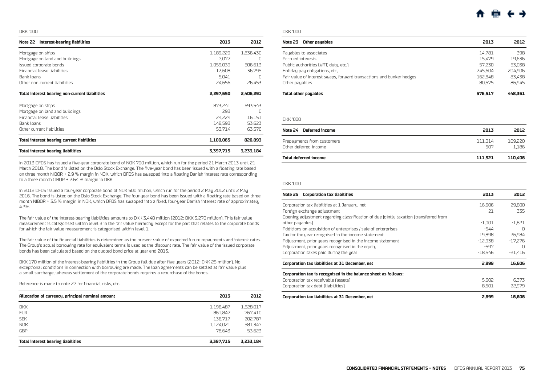<span id="page-19-0"></span>

| Interest-bearing liabilities<br>Note 22           | 2013      | 2012      |
|---------------------------------------------------|-----------|-----------|
| Mortgage on ships                                 | 1,189,229 | 1,836,430 |
| Mortgage on land and buildings                    | 7,077     | 0         |
| Issued corporate bonds                            | 1,059,039 | 506,613   |
| Financial lease liabilities                       | 12,608    | 36,795    |
| Bank loans                                        | 5.041     | Ω         |
| Other non-current liabilities                     | 24.656    | 26,453    |
| Total interest bearing non-current liabilities    | 2,297,650 | 2,406,291 |
| Mortgage on ships                                 | 873.241   | 693,543   |
| Mortgage on land and buildings                    | 293       | Ω         |
| Financial lease liabilities                       | 24.224    | 16,151    |
| Bank loans                                        | 148.593   | 53,623    |
| Other current liabilities                         | 53.714    | 63,576    |
| <b>Total interest bearing current liabilities</b> | 1,100,065 | 826,893   |
| <b>Total interest bearing liabilities</b>         | 3,397,715 | 3,233,184 |

In 2013 DFDS has issued a five-year corporate bond of NOK 700 million, which run for the period 21 March 2013 until 21 March 2018. The bond is listed on the Oslo Stock Exchange. The five-year bond has been issued with a floating rate based on three month NIBOR + 2.9 % margin in NOK, which DFDS has swapped into a floating Danish interest rate corresponding to a three month CIBOR + 2.64 % margin in DKK

In 2012 DFDS issued a four-year corporate bond of NOK 500 million, which run for the period 2 May 2012 until 2 May 2016. The bond is listed on the Oslo Stock Exchange. The four-year bond has been issued with a floating rate based on three month NIBOR + 3.5 % margin in NOK, which DFDS has swapped into a fixed, four-year Danish interest rate of approximately 4.3%.

The fair value of the interest-bearing liabilities amounts to DKK 3,448 million (2012: DKK 3,270 million). This fair value measurement is categorised within level 3 in the fair value hierarchy except for the part that relates to the corporate bonds for which the fair value measurement is categorised within level 1.

The fair value of the financial liabilities is determined as the present value of expected future repayments and interest rates. The Group's actual borrowing rate for equivalent terms is used as the discount rate. The fair value of the issued corporate bonds has been calculated based on the quoted bond price at year end 2013.

DKK 170 million of the interest-bearing liabilities in the Group fall due after five years (2012: DKK 25 million). No exceptional conditions in connection with borrowing are made. The loan agreements can be settled at fair value plus a small surcharge, whereas settlement of the corporate bonds requires a repurchase of the bonds.

Reference is made to note 27 for financial risks, etc.

| Allocation of currency, principal nominal amount | 2013      | 2012      |
|--------------------------------------------------|-----------|-----------|
| <b>DKK</b>                                       | 1,196,487 | 1,628,017 |
| <b>EUR</b>                                       | 861.847   | 767,410   |
| <b>SEK</b>                                       | 136.717   | 202,787   |
| <b>NOK</b>                                       | 1,124,021 | 581,347   |
| GBP                                              | 78.643    | 53,623    |
| <b>Total interest bearing liabilities</b>        | 3,397,715 | 3,233,184 |

#### DKK '000

| Note 23<br>Other payables                                            | 2013    | 2012    |
|----------------------------------------------------------------------|---------|---------|
| Payables to associates                                               | 14.781  | 398     |
| <b>Accrued interests</b>                                             | 15.479  | 19.636  |
| Public authorities (VAT, duty, etc.)                                 | 57.230  | 53.038  |
| Holiday pay obligations, etc,                                        | 245.604 | 204.906 |
| Fair value of Interest swaps, forward transactions and bunker hedges | 162.848 | 83.438  |
| Other payables                                                       | 80.575  | 86.945  |
| Total other payables                                                 | 576.517 | 448.361 |

#### DKK '000

| Note 24 Deferred income                             | 2013           | 2012             |
|-----------------------------------------------------|----------------|------------------|
| Prepayments from customers<br>Other deferred income | 111.014<br>507 | 109.220<br>1.186 |
| Total deferred income                               | 111.521        | 110.406          |

#### DKK '000

| Note 25 Corporation tax liabilities                                                   | 2013      | 2012      |
|---------------------------------------------------------------------------------------|-----------|-----------|
| Corporation tax liabilities at 1 January, net                                         | 16.606    | 29,800    |
| Foreign exchange adjustment                                                           | 21        | 335       |
| Opening adjustment regarding classification of due jointly taxation (transferred from |           |           |
| other payables)                                                                       | $-1.001$  | -1.821    |
| Additions on acquisition of enterprises / sale of enterprises                         | -544      | $\Omega$  |
| Tax for the year recognised in the income statement                                   | 19.898    | 26.984    |
| Adjustment, prior years recognised in the income statement                            | $-12.938$ | $-17.276$ |
| Adjustment, prior years recognised in the equity                                      | -597      | $\Box$    |
| Corporation taxes paid during the year                                                | $-18,546$ | $-21.416$ |
| Corporation tax liabilities at 31 December, net                                       | 2.899     | 16,606    |
| Corporation tax is recognised in the balance sheet as follows:                        |           |           |
| Corporation tax receivable [assets]                                                   | 5.602     | 6.373     |
| Corporation tax debt (liabilities)                                                    | 8.501     | 22.979    |
| Corporation tax liabilities at 31 December, net                                       | 2.899     | 16,606    |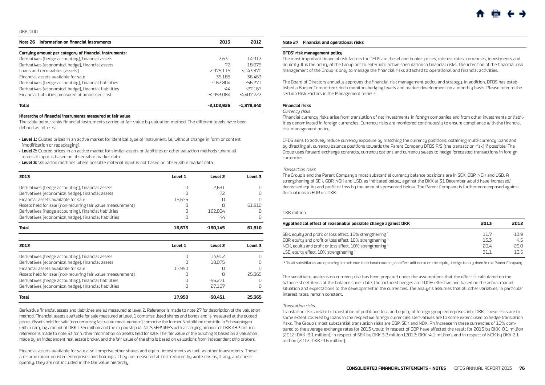<span id="page-20-0"></span>

| Information on financial instruments<br>Note 26        | 2013         | 2012         |
|--------------------------------------------------------|--------------|--------------|
| Carrying amount per category of financial instruments: |              |              |
| Derivatives (hedge accounting), financial assets       | 2.631        | 14,912       |
| Derivatives (economical hedge), financial assets       | 72           | 18.075       |
| Loans and receivables (assets)                         | 2,975,115    | 3,043,370    |
| Financial assets available for sale                    | 35.188       | 36.463       |
| Derivatives (hedge accounting), financial liabilities  | $-162.804$   | $-56,271$    |
| Derivatives (economical hedge), financial liabilities  | -44          | $-27.167$    |
| Financial liabilities measured at amortised cost       | $-4.953.084$ | $-4.407.722$ |
| <b>Total</b>                                           | $-2.102.926$ | $-1.378.340$ |

#### **Hierarchy of financial instruments measured at fair value**

The table below ranks financial instruments carried at fair value by valuation method. The different levels have been defined as follows:

**• Level 1:** Quoted prices in an active market for identical type of instrument, i.e. without change in form or content (modification or repackaging).

**• Level 2:** Quoted prices in an active market for similar assets or liabilities or other valuation methods where all material input is based on observable market data.

**• Level 3:** Valuation methods where possible material input is not based on observable market data.

| 2013                                                        | Level 1 | Level <sub>2</sub> | Level 3 |
|-------------------------------------------------------------|---------|--------------------|---------|
| Derivatives (hedge accounting), financial assets            | Ω       | 2.631              | Π       |
| Derivatives (economical hedge), financial assets            | Π       | 72                 | n       |
| Financial assets available for sale                         | 16.675  | n                  |         |
| Assets held for sale (non-recurring fair value measurement) | O       | n                  | 61.810  |
| Derivatives (hedge accounting), financial liabilities       | Π       | $-162.804$         | Π       |
| Derivatives (economical hedge), financial liabilities       | Ω       | -44                | Π       |
| <b>Total</b>                                                | 16,675  | $-160,145$         | 61,810  |
|                                                             |         |                    |         |
| 2012                                                        | Level 1 | Level 2            | Level 3 |
| Derivatives (hedge accounting), financial assets            | Π       | 14,912             |         |
| Derivatives (economical hedge), financial assets            |         | 18.075             |         |
| Financial assets available for sale                         | 17,950  | n                  | n       |
| Assets held for sale (non-recurring fair value measurement) | Π       | n                  | 25.365  |
| Derivatives (hedge accounting), financial liabilities       | Π       | -56.271            | Π       |
| Derivatives (economical hedge), financial liabilities       | Π       | $-27.167$          | Ω       |
| Total                                                       | 17,950  | $-50.451$          | 25.365  |

Derivative financial assets and liabilities are all measured at level 2. Reference is made to note 27 for description of the valuation method. Financial assets available for sale measured at level 1 comprise listed shares and bonds and is measured at the quoted prices. Assets held for sale (non-recurring fair value measurement) comprise the former Norfolkline domicile in Scheveningen with a carrying amount of DKK 13.5 million and the ro-pax ship VILNIUS SEAWAYS with a carrying amount of DKK 48.3 million, reference is made to note 33 for further information on assets held for sale. The fair value of the building is based on a valuation made by an independent real estate broker, and the fair value of the ship is based on valuations from independent ship brokers.

Financial assets available for sale also comprise other shares and equity investments as well as other investments. These are some minor unlisted enterprises and holdings. They are measured at cost reduced by write-downs, if any, and consequently, they are not included in the fair value hierarchy.

#### **Note 27 Financial and operational risks**

#### **DFDS' risk management policy**

The most important financial risk factors for DFDS are diesel and bunker prices, interest rates, currencies, investments and liquidity. It is the policy of the Group not to enter into active speculation in financial risks. The intention of the financial risk management of the Group is only to manage the financial risks attached to operational and financial activities.

The Board of Directors annually approves the financial risk management policy and strategy. In addition, DFDS has established a Bunker Committee which monitors hedging levels and market development on a monthly basis. Please refer to the section Risk Factors in the Management review.

## **Financial risks**

#### Currency risks

Financial currency risks arise from translation of net investments in foreign companies and from other investments or liabilities denominated in foreign currencies. Currency risks are monitored continuously to ensure compliance with the financial risk management policy.

DFDS aims to actively reduce currency exposure by matching the currency positions, obtaining multi-currency loans and by directing all currency balance positions towards the Parent Company DFDS A/S (the transaction risk) if possible. The Group uses forward exchange contracts, currency options and currency swaps to hedge forecasted transactions in foreign currencies.

#### Transaction risks

The Group's and the Parent Company's most substantial currency balance positions are in SEK, GBP, NOK and USD. A strengthening of SEK, GBP, NOK and USD, as indicated below, against the DKK at 31 December would have increased/ decreased equity and profit or loss by the amounts presented below. The Parent Company is furthermore exposed against fluctuations in EUR vs. DKK.

#### DKK million

| 2013    | 2012   |
|---------|--------|
| 11.7    | $-139$ |
| 13.3    | 4.5    |
| $-20.4$ | -25 N  |
| 31.1    | 135    |
|         |        |

<sup>1</sup> As all subsidiaries are operating in their own functional currency no effect will occur on the equity. Hedge is only done in the Parent Company.

The sensitivity analysis on currency risk has been prepared under the assumptions that the effect is calculated on the balance sheet items at the balance sheet date; the included hedges are 100% effective and based on the actual market situation and expectations to the development in the currencies. The analysis assumes that all other variables, in particular interest rates, remain constant.

#### Translation risks

Translation risks relate to translation of profit and loss and equity of foreign group enterprises into DKK. These risks are to some extent covered by loans in the respective foreign currencies. Derivatives are to some extent used to hedge translation risks. The Group's most substantial translation risks are GBP, SEK and NOK. An increase in these currencies of 10% compared to the average exchange rates for 2013 would in respect of GBP have affected the result for 2013 by DKK -0.1 million (2012: DKK -3.1 million), in respect of SEK by DKK 3.2 million (2012: DKK -4.1 million), and in respect of NOK by DKK 2.1 million (2012: DKK -9.6 million).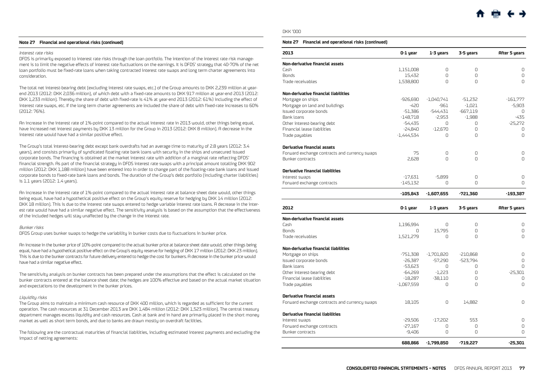#### **Note 27 Financial and operational risks (continued)**

#### Interest rate risks

DFDS is primarily exposed to interest rate risks through the loan portfolio. The intention of the interest rate risk management is to limit the negative effects of interest rate fluctuations on the earnings. It is DFDS' strategy that 40-70% of the net loan portfolio must be fixed-rate loans when taking contracted interest rate swaps and long term charter agreements into consideration.

The total net interest-bearing debt (excluding interest rate swaps, etc.) of the Group amounts to DKK 2,239 million at yearend 2013 (2012: DKK 2,036 million), of which debt with a fixed-rate amounts to DKK 917 million at year-end 2013 (2012: DKK 1,233 million). Thereby the share of debt with fixed-rate is 41% at year-end 2013 (2012: 61%) including the effect of interest rate swaps, etc. If the long term charter agreements are included the share of debt with fixed-rate increases to 60% (2012: 76%).

An increase in the interest rate of 1%-point compared to the actual interest rate in 2013 would, other things being equal, have increased net interest payments by DKK 13 million for the Group in 2013 (2012: DKK 8 million). A decrease in the interest rate would have had a similar positive effect.

The Group's total interest-bearing debt except bank overdrafts had an average time to maturity of 2.8 years (2012: 3.4 years), and consists primarily of syndicated floating rate bank loans with security in the ships and unsecured issued corporate bonds. The financing is obtained at the market interest rate with addition of a marginal rate reflecting DFDS' financial strength. As part of the financial strategy in DFDS interest rate swaps with a principal amount totalling DKK 902 million (2012: DKK 1,188 million) have been entered into in order to change part of the floating-rate bank loans and issued corporate bonds to fixed-rate bank loans and bonds. The duration of the Group's debt portfolio (including charter liabilities) is 1.1 years (2012: 1.4 years).

An increase in the interest rate of 1%-point compared to the actual interest rate at balance sheet date would, other things being equal, have had a hypothetical positive effect on the Group's equity reserve for hedging by DKK 14 million (2012: DKK 18 million). This is due to the interest rate swaps entered to hedge variable interest rate loans. A decrease in the interest rate would have had a similar negative effect. The sensitivity analysis is based on the assumption that the effectiveness of the included hedges will stay unaffected by the change in the interest rate.

#### Bunker risks

DFDS Group uses bunker swaps to hedge the variability in bunker costs due to fluctuations in bunker price.

An increase in the bunker price of 10%-point compared to the actual bunker price at balance sheet date would, other things being equal, have had a hypothetical positive effect on the Group's equity reserve for hedging of DKK 17 million (2012: DKK 23 million). This is due to the bunker contracts for future delivery entered to hedge the cost for bunkers. A decrease in the bunker price would have had a similar negative effect.

The sensitivity analysis on bunker contracts has been prepared under the assumptions that the effect is calculated on the bunker contracts entered at the balance sheet date; the hedges are 100% effective and based on the actual market situation and expectations to the development in the bunker prices.

#### Liquidity risks

The Group aims to maintain a minimum cash resource of DKK 400 million, which is regarded as sufficient for the current operation. The cash resources at 31 December 2013 are DKK 1,484 million (2012: DKK 1,523 million). The central treasury department manages excess liquidity and cash resources. Cash at bank and in hand are primarily placed in the short money market as well as short term bonds, and due to banks are drawn mostly on overdraft facilities.

The following are the contractual maturities of financial liabilities, including estimated interest payments and excluding the impact of netting agreements:

#### DKK '000

#### **Note 27 Financial and operational risks (continued)**

| 2013                                          | 0-1 year     | 1-3 years    | 3-5 years  | <b>After 5 years</b> |
|-----------------------------------------------|--------------|--------------|------------|----------------------|
| Non-derivative financial assets               |              |              |            |                      |
| Cash                                          | 1,151,008    | $\Omega$     | $\Omega$   | $\Box$               |
| <b>Bonds</b>                                  | 15,432       | 0            | $\Omega$   | 0                    |
| Trade receivables                             | 1,538,800    | 0            | $\Omega$   | $\Omega$             |
| Non-derivative financial liabilities          |              |              |            |                      |
| Mortgage on ships                             | $-926,690$   | $-1,040,741$ | $-51,232$  | $-161,777$           |
| Mortgage on land and buildings                | $-420$       | $-961$       | $-1,021$   | $-5,903$             |
| Issued corporate bonds                        | $-51.386$    | $-544,431$   | $-667,119$ | $\Box$               |
| Bank loans                                    | $-148,718$   | $-2.953$     | $-1,988$   | $-435$               |
| Other interest-bearing debt                   | $-54,435$    | 0            | 0          | $-25,272$            |
| Financial lease liabilities                   | $-24,840$    | $-12,670$    | $\Omega$   | 0                    |
| Trade payables                                | $-1,444,534$ | O            | $\cap$     | $\Omega$             |
| <b>Derivative financial assets</b>            |              |              |            |                      |
| Forward exchange contracts and currency swaps | 75           | $\Omega$     | $\Omega$   | 0                    |
| Bunker contracts                              | 2.628        | $\Omega$     | $\Omega$   | $\Omega$             |
| <b>Derivative financial liabilities</b>       |              |              |            |                      |
| Interest swaps                                | $-17,631$    | $-5.899$     | $\Omega$   | 0                    |
| Forward exchange contracts                    | $-145,132$   | $\Omega$     | $\Omega$   | $\Omega$             |
|                                               | -105,843     | $-1,607,655$ | $-721.360$ | $-193.387$           |
| 2012                                          | 0-1 year     | 1-3 years    | 3-5 years  | After 5 years        |
| Non-derivative financial assets               |              |              |            |                      |
| Cash                                          | 1,196,994    | 0            | 0          | 0                    |
| <b>Bonds</b>                                  | 0            | 15,795       | 0          | 0                    |
| Trade receivables                             | 1,521,279    | O            | $\cap$     | $\Omega$             |
| Non-derivative financial liabilities          |              |              |            |                      |
| Mortgage on ships                             | $-751,308$   | $-1,701,820$ | $-210,868$ | 0                    |
| Issued corporate bonds                        | $-26.387$    | $-57.290$    | $-523.794$ | $\Omega$             |
| Bank loans                                    | $-53,623$    | 0            | 0          | $\Omega$             |
| Other interest-bearing debt                   | $-64,269$    | $-1,223$     | 0          | $-25,301$            |
| Financial lease liabilities                   | $-18,287$    | $-38,110$    | $\Omega$   | $\Omega$             |
| Trade payables                                | $-1,067,559$ | O            | $\Omega$   | $\Omega$             |
| <b>Derivative financial assets</b>            |              |              |            |                      |
| Forward exchange contracts and currency swaps | 18,105       | 0            | 14.882     | $\Omega$             |
| Derivative financial liabilities              |              |              |            |                      |
| Interest swaps                                | $-29,506$    | $-17,202$    | 553        | 0                    |
| Forward exchange contracts                    | $-27,167$    | 0            | 0          | 0                    |
| Bunker contracts                              | $-9,406$     | O            | $\Omega$   | $\Box$               |
|                                               | 688.866      | -1,799,850   | $-719.227$ | $-25.301$            |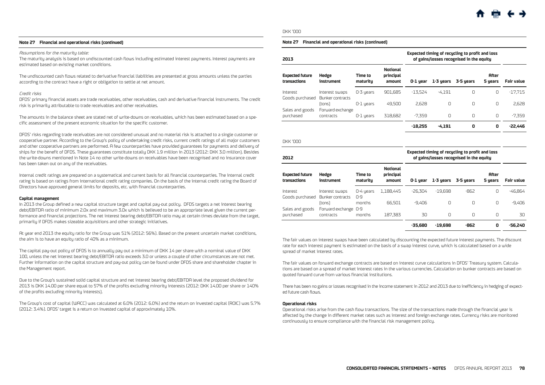#### **Note 27 Financial and operational risks (continued)**

#### Assumptions for the maturity table:

The maturity analysis is based on undiscounted cash flows including estimated interest payments. Interest payments are estimated based on existing market conditions.

The undiscounted cash flows related to derivative financial liabilities are presented at gross amounts unless the parties according to the contract have a right or obligation to settle at net amount.

#### Credit risks

DFDS' primary financial assets are trade receivables, other receivables, cash and derivative financial instruments. The credit risk is primarily attributable to trade receivables and other receivables.

The amounts in the balance sheet are stated net of write-downs on receivables, which has been estimated based on a specific assessment of the present economic situation for the specific customer.

DFDS' risks regarding trade receivables are not considered unusual and no material risk is attached to a single customer or cooperative partner. According to the Group's policy of undertaking credit risks, current credit ratings of all major customers and other cooperative partners are performed. A few counterparties have provided guarantees for payments and delivery of ships for the benefit of DFDS. These guarantees constitute totally DKK 1.9 million in 2013 (2012: DKK 3.0 million). Besides the write-downs mentioned in Note 14 no other write-downs on receivables have been recognised and no insurance cover has been taken out on any of the receivables.

Internal credit ratings are prepared on a systematical and current basis for all financial counterparties. The internal credit rating is based on ratings from international credit rating companies. On the basis of the internal credit rating the Board of Directors have approved general limits for deposits, etc. with financial counterparties.

#### **Capital management**

In 2013 the Group defined a new capital structure target and capital pay-out policy. DFDS targets a net interest bearing debt/EBITDA ratio of minimum 2.0x and maximum 3.0x which is believed to be an appropriate level given the current performance and financial projections. The net interest bearing debt/EBITDA ratio may at certain times deviate from the target, primarily if DFDS makes sizeable acquisitions and other strategic initiatives.

At year end 2013 the equity ratio for the Group was 51% (2012: 56%). Based on the present uncertain market conditions, the aim is to have an equity ratio of 40% as a minimum.

The capital pay-out policy of DFDS is to annually pay out a minimum of DKK 14 per share with a nominal value of DKK 100, unless the net interest bearing debt/EBITDA ratio exceeds 3.0 or unless a couple of other circumstances are not met. Further information on the capital structure and pay-out policy can be found under DFDS share and shareholder chapter in the Management report.

Due to the Group's sustained solid capital structure and net interest bearing debt/EBITDA level the proposed dividend for 2013 is DKK 14.00 per share equal to 57% of the profits excluding minority interests (2012: DKK 14.00 per share or 140% of the profits excluding minority interests).

The Group's cost of capital (WACC) was calculated at 6.0% (2012: 6.0%) and the return on invested capital (ROIC) was 5.7% (2012: 3.4%). DFDS' target is a return on invested capital of approximately 10%.

#### DKK '000

#### **Note 27 Financial and operational risks (continued)**

|                            |                     |                                        | Expected timing of recycling to profit and loss<br>of gains/losses recognised in the equity |           |           |                         |                   |
|----------------------------|---------------------|----------------------------------------|---------------------------------------------------------------------------------------------|-----------|-----------|-------------------------|-------------------|
| Hedge<br>instrument        | Time to<br>maturitu | <b>Notional</b><br>principal<br>amount | 0-1 year                                                                                    | 1-3 years | 3-5 years | <b>After</b><br>5 years | <b>Fair value</b> |
| Interest swaps             | 0-3 years           | 901.685                                | $-13.524$                                                                                   | $-4.191$  | 0         | 0                       | $-17.715$         |
| Bunker contracts<br>(tons) | $0-1$ years         | 49.500                                 | 2.628                                                                                       | $\Omega$  | $\Omega$  | $\Omega$                | 2.628             |
| contracts                  | 0-1 years           | 318,682                                | $-7.359$                                                                                    | $\Omega$  | 0         | 0                       | $-7.359$          |
|                            |                     |                                        | $-18.255$                                                                                   | $-4.191$  | 0         | 0                       | $-22,446$         |
|                            | Forward exchange    |                                        |                                                                                             |           |           |                         |                   |

DKK '000

| 2012                                   |                                    |                          |                                        | Expected timing of recycling to profit and loss<br>of gains/losses recognised in the equity |           |           |                         |            |
|----------------------------------------|------------------------------------|--------------------------|----------------------------------------|---------------------------------------------------------------------------------------------|-----------|-----------|-------------------------|------------|
| <b>Expected future</b><br>transactions | Hedge<br>instrument                | Time to<br>maturitu      | <b>Notional</b><br>principal<br>amount | 0-1 year                                                                                    | 1-3 years | 3-5 years | <b>After</b><br>5 years | Fair value |
| Interest<br>Goods purchased            | Interest swaps<br>Bunker contracts | 0-4 years<br>$\Omega$ -9 | 1.188.445                              | $-26.304$                                                                                   | $-19.698$ | $-862$    | $\Box$                  | $-46.864$  |
| Sales and goods                        | ftons)<br>Forward exchange         | months<br>0-9            | 66,501                                 | $-9.406$                                                                                    | O         | O         | 0                       | $-9.406$   |
| purchased                              | contracts                          | months                   | 187.383                                | 30                                                                                          | $\Omega$  | $\Omega$  | $\Omega$                | 30         |
|                                        |                                    |                          |                                        | -35.680                                                                                     | $-19.698$ | -862      | 0                       | -56.240    |

The fair values on interest swaps have been calculated by discounting the expected future interest payments. The discount rate for each interest payment is estimated on the basis of a swap interest curve, which is calculated based on a wide spread of market interest rates.

The fair values on forward exchange contracts are based on interest curve calculations in DFDS' Treasury system. Calculations are based on a spread of market interest rates in the various currencies. Calculation on bunker contracts are based on quoted forward curve from various financial institutions.

There has been no gains or losses recognised in the income statement in 2012 and 2013 due to inefficiency in hedging of expected future cash flows.

#### **Operational risks**

Operational risks arise from the cash flow transactions. The size of the transactions made through the financial year is affected by the change in different market rates such as interest and foreign exchange rates. Currency risks are monitored continuously to ensure compliance with the financial risk management policy.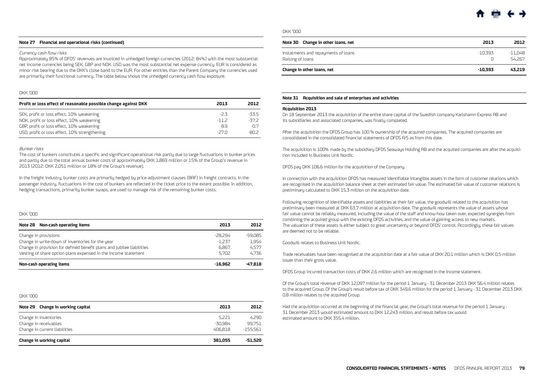#### <span id="page-23-0"></span>**Note 27 Financial and operational risks (continued)**

#### Currency cash flow risks

Approximately 85% of DFDS' revenues are invoiced in unhedged foreign currencies (2012: 84%) with the most substantial net income currencies being SEK, GBP and NOK. USD was the most substantial net expense currency. EUR is considered as minor risk bearing due to the DKK's close band to the EUR. For other entities than the Parent Company the currencies used are primarily their functional currency. The table below shows the unhedged currency cash flow exposure.

#### DKK '000

| Profit or loss effect of reasonable possible change against DKK | 2013   | 2012   |
|-----------------------------------------------------------------|--------|--------|
| SEK, profit or loss effect, 10% weakening                       | -23    | -335   |
| NOK, profit or loss effect, 10% weakening                       | $-112$ | -37.2  |
| GBP, profit or loss effect, 10% weakening                       | 8.9    | $-0.7$ |
| USD, profit or loss effect, 10% strengthening                   | $-270$ | -RN 2  |

#### Bunker risks

The cost of bunkers constitutes a specific and significant operational risk partly due to large fluctuations in bunker prices and partly due to the total annual bunker costs of approximately DKK 1,869 million or 15% of the Group's revenue in 2013 (2012: DKK 2,051 million or 18% of the Group's revenue).

In the freight industry, bunker costs are primarily hedged by price-adjustment clauses (BAF) in freight contracts. In the passenger industry, fluctuations in the cost of bunkers are reflected in the ticket price to the extent possible. In addition, hedging transactions, primarily bunker swaps, are used to manage risk of the remaining bunker costs.

#### DKK '000

| Note 28 Non-cash operating items                                      | 2013      | 2012      |
|-----------------------------------------------------------------------|-----------|-----------|
| Change in provisions                                                  | -28.294   | $-59.085$ |
| Change in write-down of inventories for the year                      | $-1.237$  | 1.954     |
| Change in provision for defined benefit plans and jubilee liabilities | 6.867     | 4.577     |
| Vesting of share option plans expensed in the income statement        | 5.702     | 4.736     |
| Non-cash operating items                                              | $-16.962$ | $-47.818$ |

#### DKK '000

| Note 29 Change in working capital | 2013    | 2012       |
|-----------------------------------|---------|------------|
| Change in inventories             | 5.221   | 4.290      |
| Change in receivables             | -30.984 | 99.751     |
| Change in current liabilities     | 406.818 | $-155.561$ |
| Change in working capital         | 381.055 | -51.520    |

#### DKK '000

| Note 30 Change in other loans, net                      | 2013      | 2012              |
|---------------------------------------------------------|-----------|-------------------|
| Instalments and repayments of loans<br>Raising of loans | -10.393   | -11.048<br>54.267 |
| Change in other loans, net                              | $-10.393$ | 43.219            |

#### **Note 31 Acquisition and sale of enterprises and activities**

#### **Acquisition 2013**

On 18 September 2013 the acquisition of the entire share capital of the Swedish company Karlshamn Express AB and its subsidiaries and associated companies, was finally completed.

After the acquisition the DFDS Group has 100 % ownership of the acquired companies. The acquired companies are consolidated in the consolidated financial statements of DFDS A/S as from this date.

The acquisition is 100% made by the subsidiary DFDS Seaways Holding AB and the acquired companies are after the acquisition included in Business Unit Nordic.

DFDS pay DKK 106.6 million for the acquisition of the Company.

In connection with the acquisition DFDS has measured identifiable intangible assets in the form of customer relations which are recognised in the acquisition balance sheet at their estimated fair value. The estimated fair value of customer relations is preliminary calculated to DKK 15.3 million on the acquisition date.

Following recognition of identifiable assets and liabilities at their fair value, the goodwill related to the acquisition has preliminary been measured at DKK 63.7 million at acquisition date. The goodwill represents the value of assets whose fair value cannot be reliably measured, including the value of the staff and know-how taken over, expected synergies from combining the acquired group with the existing DFDS activities, and the value of gaining access to new markets. The valuation of these assets is either subject to great uncertainty or beyond DFDS' control. Accordingly, these fair values are deemed not to be reliable.

Goodwill relates to Business Unit Nordic.

Trade receivables have been recognised at the acquisition date at a fair value of DKK 20.1 million which is DKK 0.5 million lower than their gross value.

DFDS Group incurred transaction costs of DKK 2.6 million which are recognised in the income statement.

Of the Group's total revenue of DKK 12,097 million for the period 1 January - 31 December 2013 DKK 56.4 million relates to the acquired Group. Of the Group's result before tax of DKK 349.6 million for the period 1 January - 31 December 2013 DKK 0.8 million relates to the acquired Group.

Had the acquisition occurred at the beginning of the financial year, the Group's total revenue for the period 1 January - 31 December 2013 would estimated amount to DKK 12,243 million, and result before tax would estimated amount to DKK 355.4 million.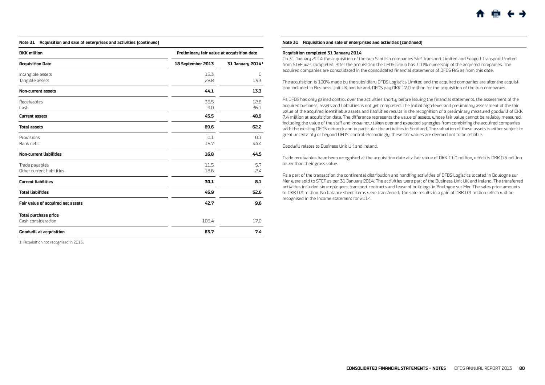## **Note 31 Acquisition and sale of enterprises and activities (continued)**

| <b>DKK</b> million                                | Preliminary fair value at acquisition date |                              |  |
|---------------------------------------------------|--------------------------------------------|------------------------------|--|
| <b>Acquisition Date</b>                           | 18 September 2013                          | 31 January 2014 <sup>1</sup> |  |
| Intangible assets<br>Tangible assets              | 15.3<br>28.8                               | $\Box$<br>13.3               |  |
| <b>Non-current assets</b>                         | 44.1                                       | 13.3                         |  |
| <b>Receivables</b><br>Cash                        | 36.5<br>9.0                                | 12.8<br>36.1                 |  |
| <b>Current assets</b>                             | 45.5                                       | 48.9                         |  |
| <b>Total assets</b>                               | 89.6                                       | 62.2                         |  |
| Provisions<br>Bank debt                           | 0.1<br>16.7                                | 0.1<br>44.4                  |  |
| <b>Non-current liabilities</b>                    | 16.8                                       | 44.5                         |  |
| Trade payables<br>Other current liabilities       | 11.5<br>18.6                               | 5.7<br>2.4                   |  |
| <b>Current liabilities</b>                        | 30.1                                       | 8.1                          |  |
| <b>Total liabilities</b>                          | 46.9                                       | 52.6                         |  |
| Fair value of acquired net assets                 | 42.7                                       | 9.6                          |  |
| <b>Total purchase price</b><br>Cash consideration | 106.4                                      | 17.0                         |  |
| <b>Goodwill at acquisition</b>                    | 63.7                                       | 7.4                          |  |

1 Acquisition not recognised in 2013.

#### **Note 31 Acquisition and sale of enterprises and activities (continued)**

#### **Acquisition completed 31 January 2014**

On 31 January 2014 the acquisition of the two Scottish companies Stef Transport Limited and Seagull Transport Limited from STEF was completed. After the acquisition the DFDS Group has 100% ownership of the acquired companies. The acquired companies are consolidated in the consolidated financial statements of DFDS A/S as from this date.

The acquisition is 100% made by the subsidiary DFDS Logistics Limited and the acquired companies are after the acquisition included in Business Unit UK and Ireland. DFDS pay DKK 17.0 million for the acquisition of the two companies.

As DFDS has only gained control over the activities shortly before issuing the financial statements, the assessment of the acquired business, assets and liabilities is not yet completed. The initial high-level and preliminary assessment of the fair value of the acquired identifiable assets and liabilities results in the recognition of a preliminary measured goodwill of DKK 7.4 million at acquisition date. The difference represents the value of assets, whose fair value cannot be reliably measured, including the value of the staff and know-how taken over and expected synergies from combining the acquired companies with the existing DFDS network and in particular the activities in Scotland. The valuation of these assets is either subject to great uncertainty or beyond DFDS' control. Accordingly, these fair values are deemed not to be reliable.

#### Goodwill relates to Business Unit UK and Ireland.

Trade receivables have been recognised at the acquisition date at a fair value of DKK 11.0 million, which is DKK 0.5 million lower than their gross value.

As a part of the transaction the continental distribution and handling activities of DFDS Logistics located in Boulogne sur Mer were sold to STEF as per 31 January 2014. The activities were part of the Business Unit UK and Ireland. The transferred activities included six employees, transport contracts and lease of buildings in Boulogne sur Mer. The sales price amounts to DKK 0.9 million. No balance sheet items were transferred. The sale results in a gain of DKK 0.9 million which will be recognised in the income statement for 2014.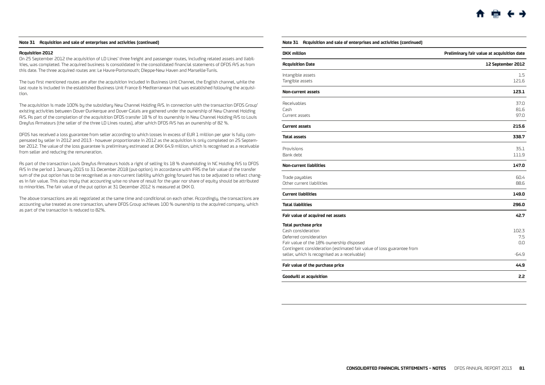#### **Note 31 Acquisition and sale of enterprises and activities (continued)**

#### **Acquisition 2012**

On 25 September 2012 the acquisition of LD Lines' three freight and passenger routes, including related assets and liabilities, was completed. The acquired business is consolidated in the consolidated financial statements of DFDS A/S as from this date. The three acquired routes are: Le Havre-Portsmouth; Dieppe-New Haven and Marseille-Tunis.

The two first mentioned routes are after the acquisition included in Business Unit Channel, the English channel, while the last route is included in the established Business Unit France & Mediterranean that was established following the acquisition.

The acquisition is made 100% by the subsidiary New Channel Holding A/S. In connection with the transaction DFDS Group' existing activities between Dover-Dunkerque and Dover-Calais are gathered under the ownership of New Channel Holding A/S. As part of the completion of the acquisition DFDS transfer 18 % of its ownership in New Channel Holding A/S to Louis Dreyfus Armateurs (the seller of the three LD Lines routes), after which DFDS A/S has an ownership of 82 %.

DFDS has received a loss guarantee from seller according to which losses in excess of EUR 1 million per year is fully compensated by seller in 2012 and 2013 - however proportionate in 2012 as the acquisition is only completed on 25 September 2012. The value of the loss guarantee is preliminary estimated at DKK 64.9 million, which is recognised as a receivable from seller and reducing the remuneration.

As part of the transaction Louis Dreyfus Armateurs holds a right of selling its 18 % shareholding in NC Holding A/S to DFDS A/S in the period 1 January 2015 to 31 December 2018 (put-option). In accordance with IFRS the fair value of the transfer sum of the put option has to be recognised as a non-current liability which going forward has to be adjusted to reflect changes in fair value. This also imply that accounting wise no share of result for the year nor share of equity should be attributed to minorities. The fair value of the put option at 31 December 2012 is measured at DKK 0.

The above transactions are all negotiated at the same time and conditional on each other. Accordingly, the transactions are accounting wise treated as one transaction, where DFDS Group achieves 100 % ownership to the acquired company, which as part of the transaction is reduced to 82%.

#### **Note 31 Acquisition and sale of enterprises and activities (continued)**

| <b>DKK</b> million<br>Preliminary fair value at acquisition date                                                                                                                                                                                 |                                |
|--------------------------------------------------------------------------------------------------------------------------------------------------------------------------------------------------------------------------------------------------|--------------------------------|
| <b>Acquisition Date</b>                                                                                                                                                                                                                          | 12 September 2012              |
| Intangible assets<br>Tangible assets                                                                                                                                                                                                             | 1.5<br>121.6                   |
| Non-current assets                                                                                                                                                                                                                               | 123.1                          |
| Receivables<br>Cash<br>Current assets                                                                                                                                                                                                            | 37.0<br>81.6<br>97.0           |
| <b>Current assets</b>                                                                                                                                                                                                                            | 215.6                          |
| <b>Total assets</b>                                                                                                                                                                                                                              | 338.7                          |
| Provisions<br>Bank debt                                                                                                                                                                                                                          | 35.1<br>111.9                  |
| <b>Non-current liabilities</b>                                                                                                                                                                                                                   | 147.0                          |
| Trade payables<br>Other current liabilities                                                                                                                                                                                                      | 60.4<br>88.6                   |
| <b>Current liabilities</b>                                                                                                                                                                                                                       | 149.0                          |
| <b>Total liabilities</b>                                                                                                                                                                                                                         | 296.0                          |
| Fair value of acquired net assets                                                                                                                                                                                                                | 42.7                           |
| <b>Total purchase price</b><br>Cash consideration<br>Deferred consideration<br>Fair value of the 18% ownership disposed<br>Contingent consideration (estimated fair value of loss guarantee from<br>seller, which is recognised as a receivable) | 102.3<br>7.5<br>0.0<br>$-64.9$ |
| Fair value of the purchase price                                                                                                                                                                                                                 | 44.9                           |
| <b>Goodwill at acquisition</b>                                                                                                                                                                                                                   | 2.2                            |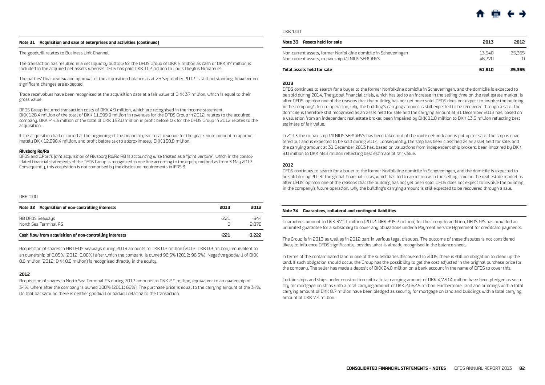#### <span id="page-26-0"></span>**Note 31 Acquisition and sale of enterprises and activities (continued)**

The goodwill relates to Business Unit Channel.

The transaction has resulted in a net liquidity outflow for the DFDS Group of DKK 5 million as cash of DKK 97 million is included in the acquired net assets whereas DFDS has paid DKK 102 million to Louis Dreyfus Armateurs.

The parties' final review and approval of the acquisition balance as at 25 September 2012 is still outstanding, however no significant changes are expected.

Trade receivables have been recognised at the acquisition date at a fair value of DKK 37 million, which is equal to their gross value.

DFDS Group incurred transaction costs of DKK 4.9 million, which are recognised in the income statement. DKK 128.4 million of the total of DKK 11,699.9 million in revenues for the DFDS Group in 2012, relates to the acquired company. DKK -44.3 million of the total of DKK 152.0 million in profit before tax for the DFDS Group in 2012 relates to the acquisition.

If the acquisition had occurred at the beginning of the financial year, total revenue for the year would amount to approximately DKK 12,096.4 million, and profit before tax to approximately DKK 150.8 million.

#### **Älvsborg Ro/Ro**

DFDS and C.Port's joint acquisition of Älvsborg Ro/Ro AB is accounting wise treated as a "joint venture", which in the consolidated financial statements of the DFDS Group is recognized in one line according to the equity method as from 3 May 2012. Consequently, this acquisition is not comprised by the disclosure requirements in IFRS 3.

#### DKK '000

| Note 32 Acquisition of non-controlling interests        | 2013 | 2012             |
|---------------------------------------------------------|------|------------------|
| AB DFDS Seaways<br>North Sea Terminal AS                | -221 | -344<br>$-2.878$ |
| Cash flow from acquisition of non-controlling interests | -221 | $-3.222$         |

Acquisition of shares in AB DFDS Seaways during 2013 amounts to DKK 0.2 million (2012: DKK 0.3 million), equivalent to an ownership of 0.05% (2012: 0.08%) after which the company is owned 96.5% (2012: 96.5%). Negative goodwill of DKK 0.6 million (2012: DKK 0.8 million) is recognised directly in the equity.

#### **2012**

Acquisition of shares in North Sea Terminal AS during 2012 amounts to DKK 2.9 million, equivalent to an ownership of 34%, where after the company is owned 100% (2011: 66%). The purchase price is equal to the carrying amount of the 34%. On that background there is neither goodwill or badwill relating to the transaction.

DKK '000

| Note 33 Assets held for sale                                                                                       | 2013             | 2012         |
|--------------------------------------------------------------------------------------------------------------------|------------------|--------------|
| Non-current assets, former Norfolkline domicile in Scheveningen<br>Non-current assets, ro-pax ship VILNIUS SEAWAYS | 13.540<br>48.270 | 25.365<br>n. |
| Total assets held for sale                                                                                         | 61.810           | 25.365       |

#### **2013**

DFDS continues to search for a buyer to the former Norfolkline domicile in Scheveningen, and the domicile is expected to be sold during 2014. The global financial crisis, which has led to an increase in the selling time on the real estate market, is after DFDS' opinion one of the reasons that the building has not yet been sold. DFDS does not expect to involve the building in the company's future operation, why the building's carrying amount is still expected to be recovered through a sale. The domicile is therefore still recognised as an asset held for sale and the carrying amount at 31 December 2013 has, based on a valuation from an independent real estate broker, been impaired by DKK 11.8 million to DKK 13.5 million reflecting best estimate of fair value.

In 2013 the ro-pax ship VILNIUS SEAWAYS has been taken out of the route network and is put up for sale. The ship is chartered out and is expected to be sold during 2014. Consequently, the ship has been classified as an asset held for sale, and the carrying amount at 31 December 2013 has, based on valuations from independent ship brokers, been impaired by DKK 3.0 million to DKK 48.3 million reflecting best estimate of fair value.

#### **2012**

DFDS continues to search for a buyer to the former Norfolkline domicile in Scheveningen, and the domicile is expected to be sold during 2013. The global financial crisis, which has led to an increase in the selling time on the real estate market, is after DFDS' opinion one of the reasons that the building has not yet been sold. DFDS does not expect to involve the building in the company's future operation, why the building's carrying amount is still expected to be recovered through a sale.

#### **Note 34 Guarantees, collateral and contingent liabilities**

Guarantees amount to DKK 370.1 million (2012: DKK 395.2 million) for the Group. In addition, DFDS A/S has provided an unlimited guarantee for a subsidiary to cover any obligations under a Payment Service Agreement for creditcard payments.

The Group is in 2013 as well as in 2012 part in various legal disputes. The outcome of these disputes is not considered likely to influence DFDS significantly, besides what is already recognised in the balance sheet.

In terms of the contaminated land in one of the subsidiaries discovered in 2005, there is still no obligation to clean up the land. If such obligation should occur, the Group has the possibility to get the cost adjusted in the original purchase price for the company. The seller has made a deposit of DKK 24.0 million on a bank account in the name of DFDS to cover this.

Certain ships and ships under construction with a total carrying amount of DKK 4,720.4 million have been pledged as security for mortgage on ships with a total carrying amount of DKK 2,062.5 million. Furthermore, land and buildings with a total carrying amount of DKK 8.7 million have been pledged as security for mortgage on land and buildings with a total carrying amount of DKK 7.4 million.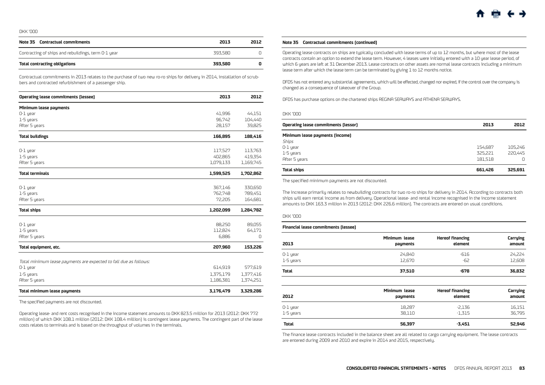<span id="page-27-0"></span>

| Note 35 Contractual commitments                     | 2013    | 2012 |
|-----------------------------------------------------|---------|------|
| Contracting of ships and rebuildings, term 0-1 year | 393.580 |      |
| <b>Total contracting obligations</b>                | 393.580 | o    |

Contractual commitments in 2013 relates to the purchase of two new ro-ro ships for delivery in 2014, installation of scrubbers and contracted refurbishment of a passenger ship.

| <b>Operating lease commitments (lessee)</b>                       | 2013      | 2012      |
|-------------------------------------------------------------------|-----------|-----------|
| Minimum lease payments                                            |           |           |
| $0-1$ year                                                        | 41,996    | 44,151    |
| 1-5 years                                                         | 96,742    | 104,440   |
| After 5 years                                                     | 28,157    | 39,825    |
| <b>Total buildings</b>                                            | 166,895   | 188,416   |
| 0-1 year                                                          | 117,527   | 113,763   |
| 1-5 years                                                         | 402,865   | 419,354   |
| After 5 years                                                     | 1,079,133 | 1,169,745 |
| <b>Total terminals</b>                                            | 1,599,525 | 1,702,862 |
|                                                                   |           |           |
| $0-1$ year                                                        | 367,146   | 330,650   |
| 1-5 years                                                         | 762,748   | 789,451   |
| After 5 years                                                     | 72,205    | 164,681   |
| <b>Total ships</b>                                                | 1,202,099 | 1,284,782 |
| 0-1 year                                                          | 88.250    | 89,055    |
| 1-5 years                                                         | 112.824   | 64,171    |
| After 5 years                                                     | 6,886     | 0         |
| Total equipment, etc.                                             | 207,960   | 153,226   |
|                                                                   |           |           |
| Total minimum lease payments are expected to fall due as follows: |           |           |
| 0-1 year                                                          | 614,919   | 577,619   |
| 1-5 years                                                         | 1,375,179 | 1,377,416 |
| After 5 years                                                     | 1,186,381 | 1,374,251 |
| <b>Total minimum lease payments</b>                               | 3,176,479 | 3,329,286 |

The specified payments are not discounted.

Operating lease- and rent costs recognised in the income statement amounts to DKK 823.5 million for 2013 (2012: DKK 772 million) of which DKK 108.1 million (2012: DKK 108.4 million) is contingent lease payments. The contingent part of the lease costs relates to terminals and is based on the throughput of volumes in the terminals.

#### **Note 35 Contractual commitments (continued)**

Operating lease contracts on ships are typically concluded with lease terms of up to 12 months, but where most of the lease contracts contain an option to extend the lease term. However, 4 leases were initially entered with a 10 year lease period, of which 6 years are left at 31 December 2013. Lease contracts on other assets are normal lease contracts including a minimum lease term after which the lease term can be terminated by giving 1 to 12 months notice.

DFDS has not entered any substantial agreements, which will be effected, changed nor expired, if the control over the company is changed as a consequence of takeover of the Group.

DFDS has purchase options on the chartered ships REGINA SEAWAYS and ATHENA SEAWAYS.

#### DKK '000

| Operating lease commitments (lessor) | 2013    | 2012    |
|--------------------------------------|---------|---------|
| Minimum lease payments (income)      |         |         |
| Ships                                |         |         |
| $0-1$ year                           | 154.687 | 105,246 |
| 1-5 years                            | 325.221 | 220,445 |
| After 5 years                        | 181.518 | Ω       |
| <b>Total ships</b>                   | 661,426 | 325,691 |

The specified minimum payments are not discounted.

The increase primarily relates to newbuilding contracts for two ro-ro ships for delivery in 2014. According to contracts both ships will earn rental income as from delivery. Operational lease- and rental income recognised in the income statement amounts to DKK 163.3 million in 2013 (2012: DKK 226.6 million). The contracts are entered on usual conditions.

#### DKK '000

#### **Financial lease commitments (lessee)**

| 2013      | <b>Minimum lease</b> | <b>Hereof financing</b> | Carrying |
|-----------|----------------------|-------------------------|----------|
|           | payments             | element                 | amount   |
| 0-1 year  | 24.840               | -616                    | 24,224   |
| 1-5 years | 12.670               | $-62$                   | 12,608   |
| Total     | 37.510               | $-678$                  | 36,832   |
|           |                      |                         |          |

| 2012      | Minimum lease | <b>Hereof financing</b> | Carrying |
|-----------|---------------|-------------------------|----------|
|           | payments      | element                 | amount   |
| O-1 year  | 18,287        | -2,136                  | 16,151   |
| 1-5 years | 38,110        | $-1.315$                | 36,795   |
| Total     | 56,397        | $-3.451$                | 52,946   |

The finance lease contracts included in the balance sheet are all related to cargo carrying equipment. The lease contracts are entered during 2009 and 2010 and expire in 2014 and 2015, respectively.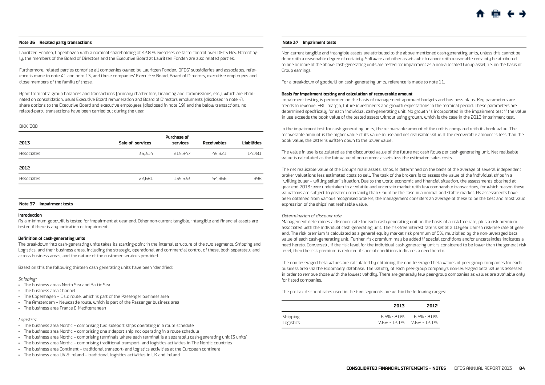#### <span id="page-28-0"></span>**Note 36 Related party transactions**

Lauritzen Fonden, Copenhagen with a nominal shareholding of 42.8 % exercises de facto control over DFDS A/S. Accordingly, the members of the Board of Directors and the Executive Board at Lauritzen Fonden are also related parties.

Furthermore, related parties comprise all companies owned by Lauritzen Fonden, DFDS' subsidiaries and associates, reference is made to note 41 and note 13, and these companies' Executive Board, Board of Directors, executive employees and close members of the family of those.

Apart from intra-group balances and transactions (primary charter hire, financing and commissions, etc.), which are eliminated on consolidation, usual Executive Board remuneration and Board of Directors emoluments (disclosed in note 4), share options to the Executive Board and executive employees (disclosed in note 19) and the below transactions, no related-party transactions have been carried out during the year.

#### DKK '000

| Sale of services | <b>Purchase of</b><br>services | <b>Receivables</b> | <b>Liabilities</b> |
|------------------|--------------------------------|--------------------|--------------------|
| 35,314           | 215,847                        | 49.321             | 14,781             |
|                  |                                |                    |                    |
| 22,681           | 139.633                        | 54.366             | 398                |
|                  |                                |                    |                    |

#### **Note 37 Impairment tests**

#### **Introduction**

As a minimum goodwill is tested for impairment at year end. Other non-current tangible, intangible and financial assets are tested if there is any indication of impairment.

#### **Definition of cash-generating units**

The breakdown into cash-generating units takes its starting-point in the internal structure of the two segments, Shipping and Logistics, and their business areas, including the strategic, operational and commercial control of these, both separately and across business areas, and the nature of the customer services provided.

Based on this the following thirteen cash generating units have been identified:

#### Shipping:

- • The business areas North Sea and Baltic Sea
- • The business area Channel
- The Copenhagen Oslo route, which is part of the Passenger business area
- The Amsterdam Newcastle route, which is part of the Passenger business area
- The business area France & Mediterranean

#### Logistics:

- • The business area Nordic comprising two sideport ships operating in a route schedule
- • The business area Nordic comprising one sideport ship not operating in a route schedule
- • The business area Nordic comprising terminals where each terminal is a separately cash-generating unit (3 units)
- • The business area Nordic comprising traditional transport- and logistics activities in The Nordic countries
- • The business area Continent traditional transport- and logistics activities at the European continent
- The business area UK & Ireland traditional logistics activities in UK and Ireland

#### **Note 37 Impairment tests**

Non-current tangible and intangible assets are attributed to the above mentioned cash-generating units, unless this cannot be done with a reasonable degree of certainty. Software and other assets which cannot with reasonable certainty be attributed to one or more of the above cash-generating units are tested for impairment as a non-allocated Group asset, i.e. on the basis of Group earnings.

For a breakdown of goodwill on cash-generating units, reference is made to note 11.

#### **Basis for impairment testing and calculation of recoverable amount**

Impairment testing is performed on the basis of management-approved budgets and business plans. Key parameters are trends in revenue, EBIT margin, future investments and growth expectations in the terminal period. These parameters are determined specifically for each individual cash-generating unit. No growth is incorporated in the impairment test if the value in use exceeds the book value of the tested assets without using growth, which is the case in the 2013 impairment test.

In the impairment test for cash-generating units, the recoverable amount of the unit is compared with its book value. The recoverable amount is the higher value of its value in use and net realisable value. If the recoverable amount is less than the book value, the latter is written down to the lower value.

The value in use is calculated as the discounted value of the future net cash flows per cash-generating unit. Net realisable value is calculated as the fair value of non-current assets less the estimated sales costs.

The net realisable value of the Group's main assets, ships, is determined on the basis of the average of several independent broker valuations less estimated costs to sell. The task of the brokers is to assess the value of the individual ships in a "willing buyer – willing seller" situation. Due to the world economic and financial situation, the assessments obtained at year end 2013 were undertaken in a volatile and uncertain market with few comparable transactions, for which reason these valuations are subject to greater uncertainty than would be the case in a normal and stable market. As assessments have been obtained from various recognised brokers, the management considers an average of these to be the best and most valid expression of the ships' net realisable value.

#### Determination of discount rate

Management determines a discount rate for each cash-generating unit on the basis of a risk-free rate, plus a risk premium associated with the individual cash-generating unit. The risk-free interest rate is set at a 10-year Danish risk-free rate at yearend. The risk premium is calculated as a general equity market risk premium of 5%, multiplied by the non-leveraged beta value of each cash-generating unit. Further, risk premium may be added if special conditions and/or uncertainties indicates a need hereto. Conversely, if the risk level for the individual cash-generating unit is considered to be lower than the general risk level, then the risk premium is reduced if special conditions indicates a need hereto.

The non-leveraged beta values are calculated by obtaining the non-leveraged beta values of peer-group companies for each business area via the Bloomberg database. The validity of each peer-group company's non-leveraged beta value is assessed in order to remove those with the lowest validity. There are generally few peer-group companies as values are available only for listed companies.

The pre-tax discount rates used in the two segments are within the following ranges:

|                       | 2013      | 2012                             |
|-----------------------|-----------|----------------------------------|
| Shipping<br>Logistics | 66% - 80% | 6.6% - 8.0%<br>76%-121% 76%-121% |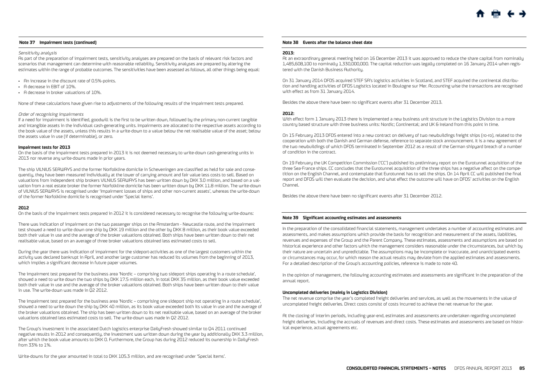#### <span id="page-29-0"></span>**Note 37 Impairment tests (continued)**

#### Sensitivity analysis

As part of the preparation of impairment tests, sensitivity analyses are prepared on the basis of relevant risk factors and scenarios that management can determine with reasonable reliability. Sensitivity analyses are prepared by altering the estimates within the range of probable outcomes. The sensitivities have been assessed as follows, all other things being equal:

- • An increase in the discount rate of 0.5%-points.
- • A decrease in EBIT of 10%.
- • A decrease in broker valuations of 10%.

None of these calculations have given rise to adjustments of the following results of the impairment tests prepared.

#### Order of recognising impairments

If a need for impairment is identified, goodwill is the first to be written down, followed by the primary non-current tangible and intangible assets in the individual cash-generating units. Impairments are allocated to the respective assets according to the book value of the assets, unless this results in a write-down to a value below the net realisable value of the asset; below the assets value in use (if determinable), or zero.

#### **Impairment tests for 2013**

On the basis of the impairment tests prepared in 2013 it is not deemed necessary to write-down cash-generating units in 2013 nor reverse any write-downs made in prior years.

The ship VILNIUS SEAWAYS and the former Norfolkline domicile in Scheveningen are classified as held for sale and consequently, they have been measured individually at the lower of carrying amount and fair value less costs to sell. Based on valuations from independent ship brokers VILNIUS SEAWAYS has been written down by DKK 3.0 million, and based on a valuation from a real estate broker the former Norfolkline domicile has been written down by DKK 11.8 million. The write-down of VILNIUS SEAWAYS is recognised under 'Impairment losses of ships and other non-current assets', whereas the write-down of the former Norfolkline domicile is recognised under 'Special items'.

#### **2012**

On the basis of the impairment tests prepared in 2012 it is considered necessary to recognise the following write-downs:

There was indication of impairment on the two passenger ships on the Amsterdam - Newcastle route, and the impairment test showed a need to write down one ship by DKK 19 million and the other by DKK 8 million, as their book value exceeded both their value in use and the average of the broker valuations obtained. Both ships have been written down to their net realisable value, based on an average of three broker valuations obtained less estimated costs to sell.

During the year there was indication of impairment for the sideport-activities as one of the largest customers within the activity was declared bankrupt in April, and another large customer has reduced its volumes from the beginning of 2013, which implies a significant decrease in future paper volumes.

The impairment test prepared for the business area 'Nordic – comprising two sideport ships operating in a route schedule', showed a need to write down the two ships by DKK 17.5 million each, in total DKK 35 million, as their book value exceeded both their value in use and the average of the broker valuations obtained. Both ships have been written down to their value in use. The write-down was made in Q2 2012.

The impairment test prepared for the business area 'Nordic – comprising one sideport ship not operating in a route schedule', showed a need to write down the ship by DKK 40 million, as its book value exceeded both its value in use and the average of the broker valuations obtained. The ship has been written down to its net realisable value, based on an average of the broker valuations obtained less estimated costs to sell. The write-down was made in Q2 2012.

The Group's investment in the associated Dutch logistics enterprise DailyFresh showed similar to Q4 2011 continued negative results in 2012 and consequently, the investment was written down during the year by additionally DKK 3.3 million, after which the book value amounts to DKK 0. Furthermore, the Group has during 2012 reduced its ownership in DailyFresh from 33% to 1%.

#### **Note 38 Events after the balance sheet date**

#### **2013:**

At an extraordinary general meeting held on 16 December 2013 it was approved to reduce the share capital from nominally 1,485,608,100 to nominally 1,330,000,000. The capital reduction was legally completed on 16 January 2014 when registered with the Danish Business Authority.

On 31 January 2014 DFDS acquired STEF SA's logistics activities in Scotland, and STEF acquired the continental distribution and handling activities of DFDS Logistics located in Boulogne sur Mer. Accounting wise the transactions are recognised with effect as from 31 January 2014.

Besides the above there have been no significant events after 31 December 2013.

#### **2012:**

With effect form 1 January 2013 there is implemented a new business unit structure in the Logistics Division to a more country based structure with three business units: Nordic; Continental; and UK & Ireland from this point in time.

On 15 February 2013 DFDS entered into a new contract on delivery of two newbuildings freight ships (ro-ro), related to the cooperation with both the Danish and German defense, reference to separate stock announcement. It is a new agreement of the two newbuildings of which DFDS terminated In September 2012 as a result of the German shipyard breach of a number of condition in the contract.

On 19 February the UK Competition Commission ('CC') published its preliminary report on the Eurotunnel acquisition of the three Sea-France ships. CC concludes that the Eurotunnel acquisition of the three ships has a negative affect on the competition on the English Channel, and contemplate that Eurotunnel has to sell the ships. On 14 April CC will published the final report and DFDS will then evaluate the decision, and what effect the outcome will have on DFDS' activities on the English Channel.

Besides the above there have been no significant events after 31 December 2012.

#### **Note 39 Significant accounting estimates and assessments**

In the preparation of the consolidated financial statements, management undertakes a number of accounting estimates and assessments, and makes assumptions which provide the basis for recognition and measurement of the assets, liabilities, revenues and expenses of the Group and the Parent Company. These estimates, assessments and assumptions are based on historical experience and other factors which the management considers reasonable under the circumstances, but which by their nature are uncertain and unpredictable. The assumptions may be incomplete or inaccurate, and unanticipated events or circumstances may occur, for which reason the actual results may deviate from the applied estimates and assessments. For a detailed description of the Group's accounting policies, reference is made to note 40.

In the opinion of management, the following accounting estimates and assessments are significant in the preparation of the annual report.

#### **Uncompleted deliveries (mainly in Logistics Division)**

The net revenue comprise the year's completed freight deliveries and services, as well as the movements in the value of uncompleted freight deliveries. Direct costs consist of costs incurred to achieve the net revenue for the year.

At the closing of interim periods, including year-end, estimates and assessments are undertaken regarding uncompleted freight deliveries, including the accruals of revenues and direct costs. These estimates and assessments are based on historical experience, actual agreements etc.

Write-downs for the year amounted in total to DKK 105.3 million, and are recognised under 'Special Items'.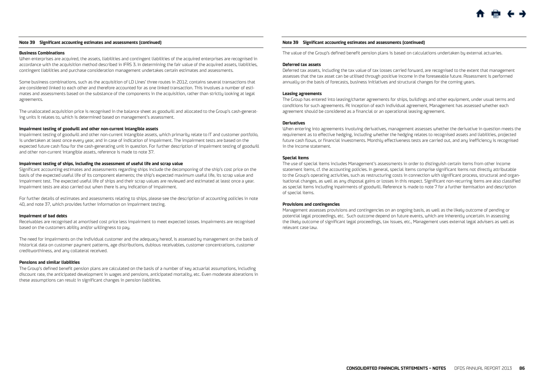#### **Note 39 Significant accounting estimates and assessments (continued)**

#### **Business Combinations**

When enterprises are acquired, the assets, liabilities and contingent liabilities of the acquired enterprises are recognised in accordance with the acquisition method described in IFRS 3. In determining the fair value of the acquired assets, liabilities, contingent liabilities and purchase consideration management undertakes certain estimates and assessments.

Some business combinations, such as the acquisition of LD Lines' three routes in 2012, contains several transactions that are considered linked to each other and therefore accounted for as one linked transaction. This involves a number of estimates and assessments based on the substance of the components in the acquisition, rather than strictly looking at legal agreements.

The unallocated acquisition price is recognised in the balance sheet as goodwill and allocated to the Group's cash-generating units it relates to, which is determined based on management's assessment.

#### **Impairment testing of goodwill and other non-current intangible assets**

Impairment testing of goodwill and other non-current intangible assets, which primarily relate to IT and customer portfolio, is undertaken at least once every year, and in case of indication of impairment. The impairment tests are based on the expected future cash flow for the cash-generating unit in question. For further description of impairment testing of goodwill and other non-current intangible assets, reference is made to note 37.

#### **Impairment testing of ships, including the assessment of useful life and scrap value**

Significant accounting estimates and assessments regarding ships include the decomponing of the ship's cost price on the basis of the expected useful life of its component elements; the ship's expected maximum useful life, its scrap value and impairment test. The expected useful life of ships and their scrap values are reviewed and estimated at least once a year. Impairment tests are also carried out when there is any indication of impairment.

For further details of estimates and assessments relating to ships, please see the description of accounting policies in note 40, and note 37, which provides further information on impairment testing.

#### **Impairment of bad debts**

Receivables are recognised at amortised cost price less impairment to meet expected losses. Impairments are recognised based on the customers ability and/or willingness to pay.

The need for impairments on the individual customer and the adequacy hereof, is assessed by management on the basis of historical data on customer payment patterns, age distributions, dubious receivables, customer concentrations, customer creditworthiness, and any collateral received.

#### **Pensions and similar liabilities**

The Group's defined benefit pension plans are calculated on the basis of a number of key actuarial assumptions, including discount rate, the anticipated development in wages and pensions, anticipated mortality, etc. Even moderate alterations in these assumptions can result in significant changes in pension liabilities.

#### **Note 39 Significant accounting estimates and assessments (continued)**

The value of the Group's defined benefit pension plans is based on calculations undertaken by external actuaries.

#### **Deferred tax assets**

Deferred tax assets, including the tax value of tax losses carried forward, are recognised to the extent that management assesses that the tax asset can be utilised through positive income in the foreseeable future. Assessment is performed annually on the basis of forecasts, business initiatives and structural changes for the coming years.

#### **Leasing agreements**

The Group has entered into leasing/charter agreements for ships, buildings and other equipment, under usual terms and conditions for such agreements. At inception of each individual agreement, Management has assessed whether each agreement should be considered as a financial or an operational leasing agreement.

#### **Derivatives**

When entering into agreements involving derivatives, management assesses whether the derivative in question meets the requirement as to effective hedging, including whether the hedging relates to recognised assets and liabilities, projected future cash flows, or financial investments. Monthly effectiveness tests are carried out, and any inefficiency is recognised in the income statement.

#### **Special items**

The use of special items includes Management's assessments in order to distinguish certain items from other income statement items, cf. the accounting policies. In general, special items comprise significant items not directly attributable to the Group's operating activities, such as restructuring costs in connection with significant process, structural and organisational changes, as well as any disposal gains or losses in this respect. Significant non-recurring items are also classified as special items including inpairments of goodwill. Reference is made to note 7 for a further itemisation and description of special items.

#### **Provisions and contingencies**

Management assesses provisions and contingencies on an ongoing basis, as well as the likely outcome of pending or potential legal proceedings, etc. Such outcome depend on future events, which are inherently uncertain. In assessing the likely outcome of significant legal proceedings, tax issues, etc., Management uses external legal advisers as well as relevant case law.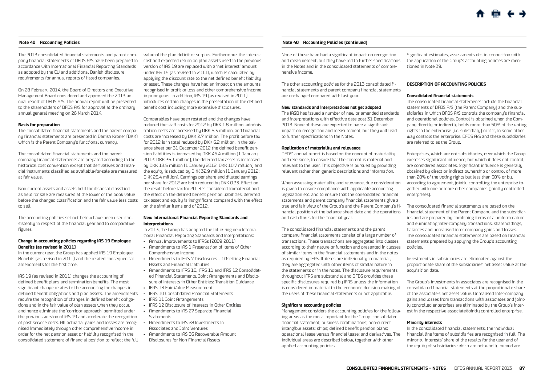#### <span id="page-31-0"></span>**Note 40 Accounting Policies**

The 2013 consolidated financial statements and parent company financial statements of DFDS A/S have been prepared in accordance with International Financial Reporting Standards as adopted by the EU and additional Danish disclosure requirements for annual reports of listed companies.

On 28 February 2014, the Board of Directors and Executive Management Board considered and approved the 2013 annual report of DFDS A/S. The annual report will be presented to the shareholders of DFDS A/S for approval at the ordinary annual general meeting on 26 March 2014.

#### **Basis for preparation**

The consolidated financial statements and the parent company financial statements are presented in Danish Kroner (DKK) which is the Parent Company's functional currency.

The consolidated financial statements and the parent company financial statements are prepared according to the historical cost convention except that derivatives and financial instruments classified as available-for-sale are measured at fair value.

Non-current assets and assets held for disposal classified as held for sale are measured at the lower of the book value before the changed classification and the fair value less costs to sell.

The accounting policies set out below have been used consistently in respect of the financial year and to comparative figures.

#### **Change in accounting policies regarding IAS 19 Employee Benefits (as revised in 2011)**

In the current year, the Group has applied IAS 19 Employee Benefits (as revised in 2011) and the related consequential amendments for the first time.

IAS 19 (as revised in 2011) changes the accounting of defined benefit plans and termination benefits. The most significant change relates to the accounting for changes in defined benefit obligations and plan assets. The amendments • IFRS 10 Consolidated Financial Statements require the recognition of changes in defined benefit obligations and in the fair value of plan assets when they occur, and hence eliminate the 'corridor approach' permitted under the previous version of IAS 19 and accelerate the recognition of past service costs. All actuarial gains and losses are recognised immediately through other comprehensive income in order for the net pension asset or liability recognised in the consolidated statement of financial position to reflect the full

value of the plan deficit or surplus. Furthermore, the interest cost and expected return on plan assets used in the previous version of IAS 19 are replaced with a 'net interest' amount under IAS 19 (as revised in 2011), which is calculated by applying the discount rate to the net defined benefit liability or asset. These changes have had an impact on the amounts recognised in profit or loss and other comprehensive income in prior years. In addition, IAS 19 (as revised in 2011) introduces certain changes in the presentation of the defined benefit cost including more extensive disclosures.

Comparables have been restated and the changes have reduced the staff costs for 2012 by DKK 1.8 million, administration costs are increased by DKK 5.3 million, and financial costs are increased by DKK 2.7 million. The profit before tax for 2012 is in total reduced by DKK 6.2 million. In the balance sheet per 31 December 2012 the defined benefit pension liabilities is increased by DKK 46.4 million (1 January 2012: DKK 36.1 million), the deferred tax asset is increased by DKK 13.5 million (1 January 2012: DKK 10.7 million) and the equity is reduced by DKK 32.9 million (1 January 2012: DKK 25.4 million). Earnings per share and diluted earnings per share for 2012 are both reduced by DKK 0.33. Effect on the result before tax for 2013 is considered immaterial and the effect on the defined benefit pension liabilities, deferred tax asset and equity is insignificant compared with the effect on the similar items end of 2012.

#### **New International Financial Reporting Standards and Interpretations**

In 2013, the Group has adopted the following new International Financial Reporting Standards and Interpretations:

- • Annual Improvements to IFRSs (2009-2011)
- • Amendments to IAS 1 Presentation of Items of Other Comprehensive Income
- • Amendments to IFRS 7 Disclosures Offsetting Financial Assets and Financial Liabilities
- • Amendments to IFRS 10, IFRS 11 and IFRS 12 Consolidated Financial Statements, Joint Arrangements and Disclosure of Interests in Other Entities: Transition Guidance
- • IFRS 13 Fair Value Measurement
- 
- • IFRS 11 Joint Arrangements
- • IFRS 12 Disclosure of Interests in Other Entities • Amendments to IAS 27 Separate Financial
- Statements • Amendments to IAS 28 Investments in
- Associates and Joint Ventures
- • Amendments to IAS 36 Recoverable Amount
- Disclosures for Non-Financial Assets

#### **Note 40 Accounting Policies (continued)**

None of these have had a significant impact on recognition and measurement, but they have led to further specifications in the Notes and in the consolidated statements of comprehensive income.

The other accounting policies for the 2013 consolidated financial statements and parent company financial statements are unchanged compared with last year.

#### **New standards and interpretations not yet adopted**

The IASB has issued a number of new or amended standards and interpretations with effective date post 31 December 2013. None of these are expected to have a significant impact on recognition and measurement, but they will lead to further specifications in the Notes.

#### **Application of materiality and relevance**

DFDS' annual report is based on the concept of materiality and relevance, to ensure that the content is material and relevant to the user. This objective is pursued by providing relevant rather than generic descriptions and information.

When assessing materiality and relevance, due consideration is given to ensure compliance with applicable accounting legislation etc. and to ensure that the consolidated financial statements and parent company financial statements give a true and fair view of the Group's and the Parent Company's financial position at the balance sheet date and the operations and cash flows for the financial year.

The consolidated financial statements and the parent company financial statements consist of a large number of transactions. These transactions are aggregated into classes according to their nature or function and presented in classes of similar items in the financial statements and in the notes as required by IFRS. If items are individually immaterial, they are aggregated with other items of similar nature in the statements or in the notes. The disclosure requirements throughout IFRS are substantial and DFDS provides these specific disclosures required by IFRS unless the information is considered immaterial to the economic decision-making of the users of these financial statements or not applicable.

#### **Significant accounting policies**

Management considers the accounting policies for the following areas as the most important for the Group: consolidated financial statement; business combinations; non-current intangible assets; ships; defined benefit pension plans; operational lease versus financial lease; and derivatives. The individual areas are described below, together with other applied accounting policies.

Significant estimates, assessments etc. in connection with the application of the Group's accounting policies are mentioned in Note 39.

### **DESCRIPTION OF ACCOUNTING POLICIES**

#### **Consolidated financial statements**

The consolidated financial statements include the financial statements of DFDS A/S (the Parent Company) and the subsidiaries in which DFDS A/S controls the company's financial and operational policies. Control is obtained when the Company directly or indirectly holds more than 50% of the voting rights in the enterprise (i.e. subsidiary) or if it, in some other way controls the enterprise. DFDS A/S and these subsidiaries are referred to as the Group.

Enterprises, which are not subsidiaries, over which the Group exercises significant influence, but which it does not control, are considered associates. Significant influence is generally obtained by direct or indirect ownership or control of more than 20% of the voting rights but less than 50% or by, according to agreement, jointly controlling the enterprise together with one or more other companies (jointly controlled enterprises).

The consolidated financial statements are based on the financial statement of the Parent Company and the subsidiaries and are prepared by combining items of a uniform nature and eliminating inter-company transactions, shareholdings, balances and unrealised inter-company gains and losses. The consolidated financial statements are based on financial statements prepared by applying the Group's accounting policies.

Investments in subsidiaries are eliminated against the proportionate share of the subsidiaries' net asset value at the acquisition date.

The Group's investments in associates are recognised in the consolidated financial statements at the proportionate share of the associate's net asset value. Unrealised inter-company gains and losses from transactions with associates and jointly controlled enterprises are eliminated by the Group's interest in the respective associate/jointly controlled enterprise.

#### **Minority interests**

In the consolidated financial statements, the individual financial line items of subsidiaries are recognised in full. The minority interests' share of the results for the year and of the equity of subsidiaries which are not wholly-owned are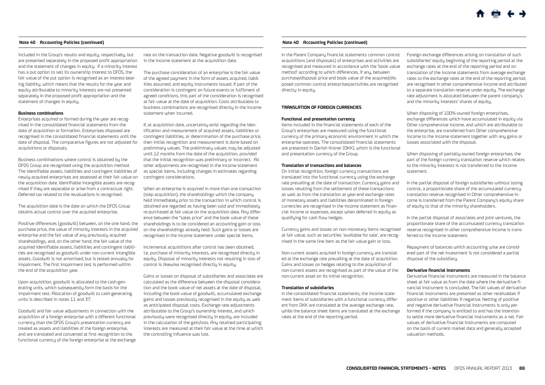included in the Group's results and equity, respectively, but are presented separately in the proposed profit appropriation and the statement of changes in equity. If a minority interest has a put option to sell its ownership interest to DFDS, the fair value of the put option is recognised as an interest-bearing liability, which means that the results for the year and equity attributable to minority interests are not presented separately in the proposed profit appropriation and the statement of changes in equity.

#### **Business combinations**

Enterprises acquired or formed during the year are recognised in the consolidated financial statements from the date of acquisition or formation. Enterprises disposed are recognised in the consolidated financial statements until the date of disposal. The comparative figures are not adjusted for acquisitions or disposals.

Business combinations where control is obtained by the DFDS Group are recognised using the acquisition method. The identifiable assets, liabilities and contingent liabilities of newly-acquired enterprises are assessed at their fair value on the acquisition date. Identifiable intangible assets are recognised if they are separable or arise from a contractual right. Deferred tax related to the revaluations is recognised.

The acquisition date is the date on which the DFDS Group obtains actual control over the acquired enterprise.

Positive differences (goodwill) between, on the one hand, the purchase price, the value of minority interests in the acquired enterprise and the fair value of any previously acquired shareholdings, and, on the other hand, the fair value of the acquired identifiable assets, liabilities and contingent liabilities are recognised as goodwill under non-current intangible assets. Goodwill is not amortised, but is tested annually for impairment. The first impairment test is performed within the end of the acquisition year.

Upon acquisition, goodwill is allocated to the cash-generating units, which subsequently form the basis for the impairment test. Allocation of goodwill to cash-generating units is described in notes 11 and 37.

Goodwill and fair value adjustments in connection with the acquisition of a foreign enterprise with a different functional currency than the DFDS Group's presentation currency are treated as assets and liabilities of the foreign enterprise, and are translated and converted at first recognition to the functional currency of the foreign enterprise at the exchange

rate on the transaction date. Negative goodwill is recognised in the income statement at the acquisition date.

The purchase consideration of an enterprise is the fair value of the agreed payment in the form of assets acquired, liabilities assumed, and equity instruments issued. If part of the consideration is contingent on future events or fulfilment of agreed conditions, this part of the consideration is recognised at fair value at the date of acquisition. Costs attributable to business combinations are recognised directly in the income statement when incurred.

If, at acquisition date, uncertainty exist regarding the identification and measurement of acquired assets, liabilities or contingent liabilities, or determination of the purchase price, then initial recognition and measurement is done based on preliminary values. The preliminary values may be adjusted until 12 months from the date of the acquisition, provided that the initial recognition was preliminary or incorrect. All other adjustments are recognised in the income statement as special items, including changes in estimates regarding contingent considerations.

When an enterprise is acquired in more than one transaction (step acquisition), the shareholdings which the company held immediately prior to the transaction in which control is obtained are regarded as having been sold and immediately re-purchased at fair value on the acquisition date. Any difference between the "sales price" and the book value of these shareholdings is to be considered an accounting gain or loss on the shareholdings already held. Such gains or losses are recognised in the income statement under special items.

Incremental acquisitions after control has been obtained, i.e. purchase of minority interests, are recognised directly in equity. Disposal of minority interests not resulting in loss of control is likewise recognised directly in equity.

Gains or losses on disposal of subsidiaries and associates are calculated as the difference between the disposal consideration and the book value of net assets at the date of disposal, including the book value of goodwill, accumulated exchange gains and losses previously recognised in the equity as well as anticipated disposal costs. Exchange rate adjustments attributable to the Group's ownership interest, and which previously were recognised directly in equity, are included in the calculation of the gain/loss. Any retained participating interests are measured at their fair value at the time at which the controlling influence was lost.

#### **Note 40 Accounting Policies (continued)**

In the Parent Company financial statements common control acquisitions (and disposals) of enterprises and activities are recognised and measured in accordance with the 'book value method' according to which differences, if any, between purchase/disposal price and book value of the acquired/disposed common control enterprises/activities are recognised directly in equity.

#### **TRANSLATION OF FOREIGN CURRENCIES**

#### **Functional and presentation currency**

Items included in the financial statements of each of the Group's enterprises are measured using the functional currency of the primary economic environment in which the enterprise operates. The consolidated financial statements are presented in Danish Kroner (DKK), which is the functional and presentation currency of the Group.

#### **Translation of transactions and balances**

On initial recognition, foreign currency transactions are translated into the functional currency using the exchange rate prevailing at the date of transaction. Currency gains and losses resulting from the settlement of these transactions as well as from the translation at year-end exchange rates of monetary assets and liabilities denominated in foreign currencies are recognised in the income statement as financial income or expenses, except when deferred in equity as qualifying for cash flow hedges.

Currency gains and losses on non-monetary items recognised at fair value, such as securities 'available for sale', are recognised in the same line item as the fair value gain or loss.

Non-current assets acquired in foreign currency are translated at the exchange rate prevailing at the date of acquisition. Gains and losses on hedges relating to the acquisition of non-current assets are recognised as part of the value of the non-current asset on its initial recognition.

#### **Translation of subsidiaries**

In the consolidated financial statements, the income statement items of subsidiaries with a functional currency different from DKK are translated at the average exchange rate, while the balance sheet items are translated at the exchange rates at the end of the reporting period.

Foreign exchange differences arising on translation of such subsidiaries' equity beginning of the reporting period at the exchange rates at the end of the reporting period and on translation of the income statements from average exchange rates to the exchange rates at the end of the reporting period, are recognised in other comprehensive income and attributed to a separate translation reserve under equity. The exchange rate adjustment is allocated between the parent company's and the minority interests' shares of equity.

When disposing of 100%-owned foreign enterprises, exchange differences which have accumulated in equity via Other comprehensive income, and which are attributable to the enterprise, are transferred from Other comprehensive income to the income statement together with any gains or losses associated with the disposal.

When disposing of partially-owned foreign enterprises, the part of the foreign currency translation reserve which relates to the minority interests is not transferred to the income statement.

In the partial disposal of foreign subsidiaries without losing control, a proportionate share of the accumulated currency translation reserve recognised in Other comprehensive income is transferred from the Parent Company's equity share of equity to that of the minority shareholders.

In the partial disposal of associates and joint ventures, the proportionate share of the accumulated currency translation reserve recognised in other comprehensive income is transferred to the income statement.

Repayment of balances which accounting wise are considered part of the net investment is not considered a partial disposal of the subsidiary.

#### **Derivative financial instruments**

Derivative financial instruments are measured in the balance sheet at fair value as from the date where the derivative financial instrument is concluded. The fair values of derivative financial instruments are presented as other receivables if positive or other liabilities if negative. Netting of positive and negative derivative financial instruments is only performed if the company is entitled to and has the intention to settle more derivative financial instruments as a net. Fair values of derivative financial instruments are computed on the basis of current market data and generally accepted valuation methods.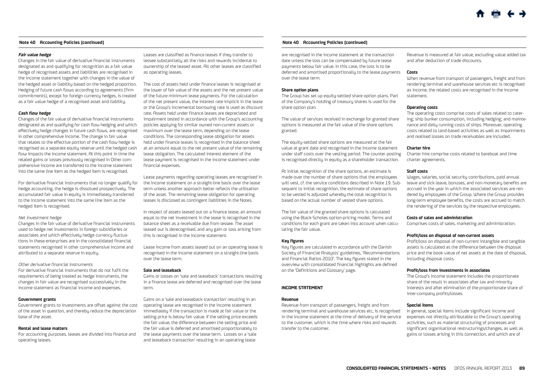#### **Fair value hedge**

Changes in the fair value of derivative financial instruments designated as and qualifying for recognition as a fair value hedge of recognised assets and liabilities are recognised in the income statement together with changes in the value of the hedged asset or liability based on the hedged proportion. Hedging of future cash flows according to agreements (firm commitments), except for foreign currency hedges, is treated as a fair value hedge of a recognised asset and liability.

#### **Cash flow hedge**

Changes of the fair value of derivative financial instruments designated as and qualifying for cash flow hedging and which effectively hedge changes in future cash flows, are recognised in other comprehensive income. The change in fair value that relates to the effective portion of the cash flow hedge is recognised as a separate equity reserve until the hedged cash flow impacts the income statement. At this point in time the related gains or losses previously recognised in Other comprehensive income are transferred to the income statement into the same line item as the hedged item is recognised.

For derivative financial instruments that no longer qualify for hedge accounting, the hedge is dissolved prospectively. The accumulated fair value in equity is immediately transferred to the income statement into the same line item as the hedged item is recognised.

#### Net investment hedge

Changes in the fair value of derivative financial instruments used to hedge net investments in foreign subsidiaries or associates and which effectively hedge currency fluctuations in these enterprises are in the consolidated financial statements recognised in other comprehensive income and attributed to a separate reserve in equity.

#### Other derivative financial instruments

For derivative financial instruments that do not fulfil the requirements of being treated as hedge instruments, the changes in fair value are recognised successively in the income statement as financial income and expenses.

#### **Government grants**

Government grants to investments are offset against the cost of the asset in question, and thereby reduce the depreciation base of the asset.

#### **Rental and lease matters**

For accounting purposes, leases are divided into finance and operating leases.

Leases are classified as finance leases if they transfer to lessee substantially all the risks and rewards incidental to ownership of the leased asset. All other leases are classified as operating leases.

The cost of assets held under finance leases is recognised at the lower of fair value of the assets and the net present value of the future minimum lease payments. For the calculation of the net present value, the interest rate implicit in the lease or the Group's incremental borrowing rate is used as discount rate. Assets held under finance leases are depreciated and impairment tested in accordance with the Group's accounting policies applying for similar owned non-current assets or maximum over the lease term, depending on the lease conditions. The corresponding lease obligation for assets held under finance leases is recognised in the balance sheet at an amount equal to the net present value of the remaining lease obligation. The calculated interest element of the lease payment is recognised in the income statement under financial expenses.

Lease payments regarding operating leases are recognised in the income statement on a straight-line basis over the lease term unless another approach better reflects the utilisation of the asset. The remaining lease obligation for operating leases is disclosed as contingent liabilities in the Notes.

In respect of assets leased out on a finance lease, an amount equal to the net investment in the lease is recognised in the balance sheet as a receivable due from lessee. The asset leased out is derecognised, and any gain or loss arising from this is recognised in the income statement.

Lease income from assets leased out on an operating lease is recognised in the income statement on a straight-line basis over the lease term.

#### **Sale and leaseback**

Gains or losses on 'sale and leaseback' transactions resulting in a finance lease are deferred and recognised over the lease term.

Gains on a 'sale and leaseback transaction' resulting in an operating lease are recognised in the income statement immediately if the transaction is made at fair value or the selling price is below fair value. If the selling price exceeds the fair value, the difference between the selling price and the fair value is deferred and amortised proportionately to the lease payments over the lease term. Losses on a 'sale and leaseback transaction' resulting in an operating lease

#### **Note 40 Accounting Policies (continued)**

are recognised in the income statement at the transaction date unless the loss can be compensated by future lease payments below fair value. In this case, the loss is to be deferred and amortised proportionally to the lease payments over the lease term.

#### **Share option plans**

The Group has set up equity-settled share option plans. Part of the Company's holding of treasury shares is used for the share option plan.

The value of services received in exchange for granted share options is measured at the fair value of the share options granted.

The equity-settled share options are measured at the fair value at grant date and recognised in the income statement under staff costs over the vesting period. The counter posting is recognised directly in equity as a shareholder transaction.

At initial recognition of the share options, an estimate is made over the number of share options that the employees will vest, cf. the service conditions described in Note 19. Subsequent to initial recognition, the estimate of share options to be vested is adjusted whereby the total recognition is based on the actual number of vested share options.

The fair value of the granted share options is calculated using the Black-Scholes option-pricing model. Terms and conditions for each grant are taken into account when calculating the fair value.

#### **Key figures**

Key figures are calculated in accordance with the Danish Society of Financial Analysts' guidelines, 'Recommendations and Financial Ratios 2010'. The key figures stated in the overview with consolidated financial highlights are defined on the 'Definitions and Glossary' page.

#### **INCOME STATEMENT**

#### **Revenue**

Revenue from transport of passengers, freight and from rendering terminal and warehouse services etc, is recognised in the income statement at the time of delivery of the service to the customer, which is the time where risks and rewards transfer to the customer.

Revenue is measured at fair value, excluding value added tax and after deduction of trade discounts.

#### **Costs**

When revenue from transport of passengers, freight and from rendering terminal and warehouse services etc is recognised as income, the related costs are recognised in the income statement.

#### **Operating costs**

The operating costs comprise costs of sales related to catering; ship bunker consumption, including hedging; and maintenance and daily running costs of ships. Moreover, operating costs related to land-based activities as well as impairments and realised losses on trade receivables are included.

#### **Charter hire**

Charter hire comprise costs related to bareboat and time charter agreements.

#### **Staff costs**

Wages, salaries, social security contributions, paid annual leave and sick leave, bonuses, and non-monetary benefits are accrued in the year in which the associated services are rendered by employees of the Group. Where the Group provides long-term employee benefits, the costs are accrued to match the rendering of the services by the respective employees.

#### **Costs of sales and administration**

Comprises costs of sales, marketing and administration.

#### **Profit/loss on disposal of non-current assets**

Profit/loss on disposal of non-current intangible and tangible assets is calculated as the difference between the disposal price and the book value of net assets at the date of disposal, including disposal costs.

#### **Profit/loss from investments in associates**

The Group's income statement includes the proportionate share of the result in associates after tax and minority interests and after elimination of the proportionate share of inter-company profits/losses.

#### **Special items**

In general, special items include significant income and expenses not directly attributable to the Group's operating activities, such as material structuring of processes and significant organisational restructurings/changes, as well as gains or losses arising in this connection, and which are of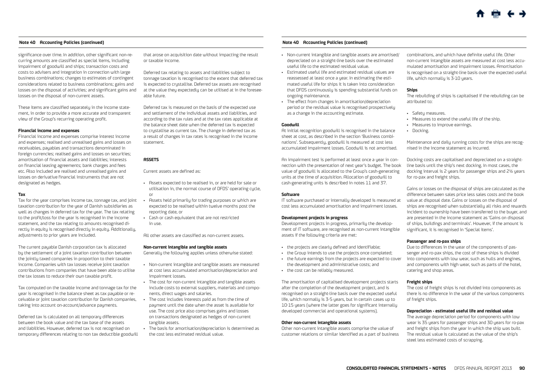significance over time. In addition, other significant non-recurring amounts are classified as special items, including impairment of goodwill and ships; transaction costs and costs to advisers and integration in connection with large business combinations; changes to estimates of contingent considerations related to business combinations; gains and losses on the disposal of activities; and significant gains and losses on the disposal of non-current assets.

These items are classified separately in the income statement, in order to provide a more accurate and transparent view of the Group's recurring operating profit.

#### **Financial income and expenses**

Financial income and expenses comprise interest income and expenses; realised and unrealised gains and losses on receivables, payables and transactions denominated in foreign currencies; realised gains and losses on securities; amortisation of financial assets and liabilities; interests on financial leasing agreements; bank charges and fees etc. Also included are realised and unrealised gains and losses on derivative financial instruments that are not designated as hedges.

#### **Tax**

Tax for the year comprises income tax, tonnage tax, and joint taxation contribution for the year of Danish subsidiaries as well as changes in deferred tax for the year. The tax relating to the profit/loss for the year is recognised in the income statement, and the tax relating to amounts recognised directly in equity is recognised directly in equity. Additionally, adjustments to prior years are included.

The current payable Danish corporation tax is allocated by the settlement of a joint taxation contribution between the jointly taxed companies in proportion to their taxable income. Companies with tax losses receive joint taxation contributions from companies that have been able to utilise the tax losses to reduce their own taxable profit.

Tax computed on the taxable income and tonnage tax for the year is recognised in the balance sheet as tax payable or receivable or joint taxation contribution for Danish companies, taking into account on-account/advance payments.

Deferred tax is calculated on all temporary differences between the book value and the tax base of the assets and liabilities. However, deferred tax is not recognised on temporary differences relating to non tax deductible goodwill

that arose on acquisition date without impacting the result or taxable income.

Deferred tax relating to assets and liabilities subject to tonnage taxation is recognised to the extent that deferred tax is expected to crustallise. Deferred tax assets are recognised at the value they expectedly can be utilised at in the foreseeable future.

Deferred tax is measured on the basis of the expected use and settlement of the individual assets and liabilities, and according to the tax rules and at the tax rates applicable at the balance sheet date when the deferred tax is expected to crustallise as current tax. The change in deferred tax as a result of changes in tax rates is recognised in the income statement.

#### **ASSETS**

Current assets are defined as:

- • Assets expected to be realised in, or are held for sale or utilisation in, the normal course of DFDS' operating cycle, or
- • Assets held primarily for trading purposes or which are expected to be realised within twelve months post the reporting date, or
- • Cash or cash equivalent that are not restricted in use.

All other assets are classified as non-current assets.

#### **Non-current intangible and tangible assets**

Generally the following applies unless otherwise stated:

- • Non-current intangible and tangible assets are measured at cost less accumulated amortisation/depreciation and impairment losses.
- • The cost for non-current intangible and tangible assets include costs to external suppliers, materials and components, direct wages and salaries.
- • The cost includes interests paid as from the time of payment until the date when the asset is available for use. The cost price also comprises gains and losses on transactions designated as hedges of non-current tangible assets.
- The basis for amortisation/depreciation is determined as
- the cost less estimated residual value.

#### **Note 40 Accounting Policies (continued)**

- • Non-current intangible and tangible assets are amortised/ depreciated on a straight-line basis over the estimated useful life to the estimated residual value.
- • Estimated useful life and estimated residual values are reassessed at least once a year. In estimating the estimated useful life for ships it is taken into consideration that DFDS continuously is spending substantial funds on ongoing maintenance.
- • The effect from changes in amortisation/depreciation period or the residual value is recognised prospectively as a change in the accounting estimate.

#### **Goodwill**

At initial recognition goodwill is recognised in the balance sheet at cost, as described in the section 'Business combinations'. Subsequently, goodwill is measured at cost less accumulated impairment losses. Goodwill is not amortised.

An impairment test is performed at least once a year in connection with the presentation of next year's budget. The book value of goodwill is allocated to the Group's cash-generating units at the time of acquisition. Allocation of goodwill to cash-generating units is described in notes 11 and 37.

#### **Software**

IT software purchased or internally developed is measured at cost less accumulated amortisation and impairment losses.

#### **Development projects in progress**

Development projects in progress, primarily the development of IT software, are recognised as non-current intangible assets if the following criteria are met:

- the projects are clearly defined and identifiable;
- • the Group intends to use the projects once completed;
- • the future earnings from the projects are expected to cover the development and administrative costs; and
- • the cost can be reliably measured.

The amortisation of capitalised development projects starts after the completion of the development project, and is recognised on a straight-line basis over the expected useful life, which normally is 3-5 years, but in certain cases up to 10-15 years (where the latter goes for significant internally developed commercial and operational systems).

#### **Other non-current intangible assets**

Other non-current intangible assets comprise the value of customer relations or similar identified as a part of business combinations, and which have definite useful life. Other non-current intangible assets are measured at cost less accumulated amortisation and impairment losses. Amortisation is recognised on a straight-line basis over the expected useful life, which normally is 3-10 years.

#### **Ships**

The rebuilding of ships is capitalised if the rebuilding can be attributed to:

- • Safety measures.
	- • Measures to extend the useful life of the ship.
	- • Measures to improve earnings.
	- • Docking.

Maintenance and daily running costs for the ships are recognised in the income statement as incurred.

Docking costs are capitalised and depreciated on a straightline basis until the ship's next docking. In most cases, the docking interval is 2 years for passenger ships and 2½ years for ro-pax and freight ships.

Gains or losses on the disposal of ships are calculated as the difference between sales price less sales costs and the book value at disposal date. Gains or losses on the disposal of ships are recognised when substantially all risks and rewards incident to ownership have been transferred to the buyer, and are presented in the income statement as 'Gains on disposal of ships, buildings and terminals'. However, if the amount is significant, it is recognised in 'Special items'.

#### **Passenger and ro-pax ships**

Due to differences in the wear of the components of passenger and ro-pax ships, the cost of these ships is divided into components with low wear, such as hulls and engines, and components with high wear, such as parts of the hotel, catering and shop areas.

#### **Freight ships**

The cost of freight ships is not divided into components as there is no difference in the wear of the various components of freight ships.

#### **Depreciation - estimated useful life and residual value**

The average depreciation period for components with low wear is 35 years for passenger ships and 30 years for ro-pax and freight ships from the year in which the ship was built. The residual value is calculated as the value of the ship's steel less estimated costs of scrapping.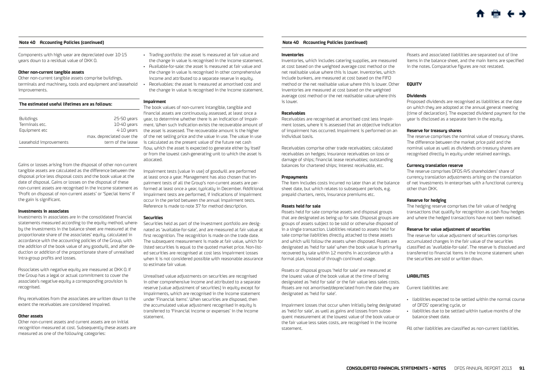Components with high wear are depreciated over 10-15 years down to a residual value of DKK 0.

#### **Other non-current tangible assets**

Other non-current tangible assets comprise buildings, terminals and machinery, tools and equipment and leasehold improvements.

| The estimated useful lifetimes are as follows: |                           |  |  |  |  |  |
|------------------------------------------------|---------------------------|--|--|--|--|--|
|                                                |                           |  |  |  |  |  |
| <b>Buildings</b>                               | 25-50 years               |  |  |  |  |  |
| Terminals etc.                                 | 10-40 years               |  |  |  |  |  |
| Equipment etc                                  | 4-10 years                |  |  |  |  |  |
|                                                | max. depreciated over the |  |  |  |  |  |
| Leasehold improvements                         | term of the lease         |  |  |  |  |  |

Gains or losses arising from the disposal of other non-current tangible assets are calculated as the difference between the disposal price less disposal costs and the book value at the date of disposal. Gains or losses on the disposal of these non-current assets are recognised in the income statement as 'Profit on disposal of non-current assets' or 'Special items' if the gain is significant.

#### **Investments in associates**

Investments in associates are in the consolidated financial statements measured according to the equity method, whereby the investments in the balance sheet are measured at the proportionate share of the associates' equity, calculated in accordance with the accounting policies of the Group, with the addition of the book value of any goodwill, and after deduction or addition of the proportionate share of unrealised intra-group profits and losses.

Associates with negative equity are measured at DKK 0. If the Group has a legal or actual commitment to cover the associate's negative equity a corresponding provision is recognised.

Any receivables from the associates are written down to the extent the receivables are considered impaired.

#### **Other assets**

Other non-current assets and current assets are on initial recognition measured at cost. Subsequently these assets are measured as one of the following categories:

- • Trading portfolio: the asset is measured at fair value and the change in value is recognised in the income statement.
- • Available-for-sale: the asset is measured at fair value and the change in value is recognised in other comprehensive income and attributed to a separate reserve in equity.
- Receivables: the asset is measured at amortised cost and the change in value is recognised in the income statement.

#### **Impairment**

max. depreciated over the of the net selling price and the value in use. The value in use The book values of non-current intangible, tangible and financial assets are continuously assessed, at least once a ears year, to determine whether there is an indication of impairment. When such indication exists the recoverable amount of the asset is assessed. The recoverable amount is the higher is calculated as the present value of the future net cash flow, which the asset is expected to generate either by itself or from the lowest cash-generating unit to which the asset is allocated.

> Impairment tests (value in use) of goodwill are performed at least once a year. Management has also chosen that Impairment tests of all the Group's non-current assets are performed at least once a year, typically in December. Additional impairment tests are performed, if indications of impairment occur in the period between the annual impairment tests. Reference is made to note 37 for method description.

#### **Securities**

Securities held as part of the investment portfolio are designated as 'available-for-sale', and are measured at fair value at first recognition. The recognition is made on the trade date. The subsequent measurement is made at fair value, which for listed securities is equal to the quoted market price. Non-listed securities are recognised at cost less impairment losses when it is not considered possible with reasonable assurance to estimate fair value.

Unrealised value adjustments on securities are recognised in other comprehensive income and attributed to a separate reserve (value adjustment of securities) in equity except for impairments, which are recognised in the income statement under 'Financial items'. When securities are disposed, then the accumulated value adjustment recognised in equity is transferred to 'Financial income or expenses' in the income statement.

#### **Note 40 Accounting Policies (continued)**

#### **Inventories**

Inventories, which includes catering supplies, are measured at cost based on the weighted average cost method or the net realisable value where this is lower. Inventories, which include bunkers, are measured at cost based on the FIFO method or the net realisable value where this is lower. Other inventories are measured at cost based on the weighted average cost method or the net realisable value where this is lower.

#### **Receivables**

Receivables are recognised at amortised cost less impairment losses, where it is assessed that an objective indication of impairment has occurred. Impairment is performed on an individual basis.

Receivables comprise other trade receivables; calculated receivables on hedges; insurance receivables on loss or damage of ships; financial lease receivables; outstanding balances for chartered ships; interest receivable, etc.

#### **Prepayments**

The item includes costs incurred no later than at the balance sheet date, but which relates to subsequent periods, e.g. prepaid charters, rents, insurance premiums etc.

#### **Assets held for sale**

Assets held for sale comprise assets and disposal groups that are designated as being up for sale. Disposal groups are groups of assets subject to be sold or otherwise disposed of in a single transaction. Liabilities related to assets held for sale comprise liabilities directly attached to these assets and which will follow the assets when disposed. Assets are designated as 'held for sale' when the book value is primarily recovered by sale within 12 months in accordance with a formal plan, instead of through continued usage.

Assets or disposal groups 'held for sale' are measured at the lowest value of the book value at the time of being designated as 'held for sale' or the fair value less sales costs. Assets are not amortised/depreciated from the date they are designated as 'held for sale'.

Impairment losses that occur when initially being designated as 'held for sale', as well as gains and losses from subsequent measurement at the lowest value of the book value or the fair value less sales costs, are recognised in the income statement.

Assets and associated liabilities are separated out of line items in the balance sheet, and the main items are specified in the notes. Comparative figures are not restated.

## **EQUITY**

#### **Dividends**

Proposed dividends are recognised as liabilities at the date on which they are adopted at the annual general meeting (time of declaration). The expected dividend payment for the year is disclosed as a separate item in the equity.

#### **Reserve for treasury shares**

The reserve comprises the nominal value of treasury shares. The difference between the market price paid and the nominal value as well as dividends on treasury shares are recognised directly in equity under retained earnings.

#### **Currency translation reserve**

The reserve comprises DFDS A/S shareholders' share of currency translation adjustments arising on the translation of net investments in enterprises with a functional currency other than DKK.

#### **Reserve for hedging**

The hedging reserve comprises the fair value of hedging transactions that qualify for recognition as cash flow hedges and where the hedged transactions have not been realised.

#### **Reserve for value adjustment of securities**

The reserve for value adjustment of securities comprises accumulated changes in the fair value of the securities classified as 'available-for-sale'. The reserve is dissolved and transferred to financial items in the income statement when the securities are sold or written down.

#### **LIABILITIES**

Current liabilities are:

- • liabilities expected to be settled within the normal course of DFDS' operating cycle, or
- • liabilities due to be settled within twelve months of the balance sheet date.

All other liabilities are classified as non-current liabilities.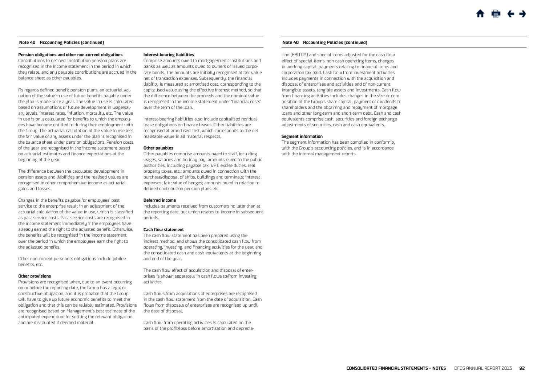#### **Pension obligations and other non-current obligations**

Contributions to defined contribution pension plans are recognised in the income statement in the period in which they relate, and any payable contributions are accrued in the balance sheet as other payables.

As regards defined benefit pension plans, an actuarial valuation of the value in use of future benefits payable under the plan is made once a year. The value in use is calculated based on assumptions of future development in wage/salary levels, interest rates, inflation, mortality, etc. The value in use is only calculated for benefits to which the employees have become entitled to during their employment with the Group. The actuarial calculation of the value in use less the fair value of any assets under the plan is recognised in the balance sheet under pension obligations. Pension costs of the year are recognised in the income statement based on actuarial estimates and finance expectations at the beginning of the year.

The difference between the calculated development in pension assets and liabilities and the realised values are recognised in other comprehensive income as actuarial gains and losses.

Changes in the benefits payable for employees' past service to the enterprise result in an adjustment of the actuarial calculation of the value in use, which is classified as past service costs. Past service costs are recognised in the income statement immediately if the employees have already earned the right to the adjusted benefit. Otherwise, the benefits will be recognised in the income statement over the period in which the employees earn the right to the adjusted benefits.

Other non-current personnel obligations include jubilee benefits, etc.

#### **Other provisions**

Provisions are recognised when, due to an event occurring on or before the reporting date, the Group has a legal or constructive obligation, and it is probable that the Group will have to give up future economic benefits to meet the obligation and that this can be reliably estimated. Provisions are recognised based on Management's best estimate of the anticipated expenditure for settling the relevant obligation and are discounted if deemed material.

#### **Interest-bearing liabilities**

Comprise amounts owed to mortgage/credit institutions and banks as well as amounts owed to owners of issued corporate bonds. The amounts are initially recognised at fair value net of transaction expenses. Subsequently, the financial liability is measured at amortised cost, corresponding to the capitalised value using the effective interest method, so that the difference between the proceeds and the nominal value is recognised in the income statement under 'financial costs' over the term of the loan.

Interest-bearing liabilities also include capitalised residual lease obligations on finance leases. Other liabilities are recognised at amortised cost, which corresponds to the net realisable value in all material respects.

#### **Other payables**

Other payables comprise amounts owed to staff, including wages, salaries and holiday pay; amounts owed to the public authorities, including payable tax, VAT, excise duties, real property taxes, etc.; amounts owed in connection with the purchase/disposal of ships, buildings and terminals; interest expenses; fair value of hedges; amounts owed in relation to defined contribution pension plans etc.

#### **Deferred income**

Includes payments received from customers no later than at the reporting date, but which relates to income in subsequent periods.

#### **Cash flow statement**

The cash flow statement has been prepared using the indirect method, and shows the consolidated cash flow from operating, investing, and financing activities for the year, and the consolidated cash and cash equivalents at the beginning and end of the year.

The cash flow effect of acquisition and disposal of enterprises is shown separately in cash flows to/from investing activities.

Cash flows from acquisitions of enterprises are recognised in the cash flow statement from the date of acquisition. Cash flows from disposals of enterprises are recognised up until the date of disposal.

Cash flow from operating activities is calculated on the basis of the profit/loss before amortisation and deprecia-

#### **Note 40 Accounting Policies (continued) Note 40 Accounting Policies (continued)**

tion (EBITDA) and special items adjusted for the cash flow effect of special items, non-cash operating items, changes in working capital, payments relating to financial items and corporation tax paid. Cash flow from investment activities includes payments in connection with the acquisition and disposal of enterprises and activities and of non-current intangible assets, tangible assets and investments. Cash flow from financing activities includes changes in the size or composition of the Group's share capital, payment of dividends to shareholders and the obtaining and repayment of mortgage loans and other long-term and short-term debt. Cash and cash equivalents comprise cash, securities and foreign exchange adjustments of securities, cash and cash equivalents.

#### **Segment information**

The segment information has been compiled in conformity with the Group's accounting policies, and is in accordance with the internal management reports.